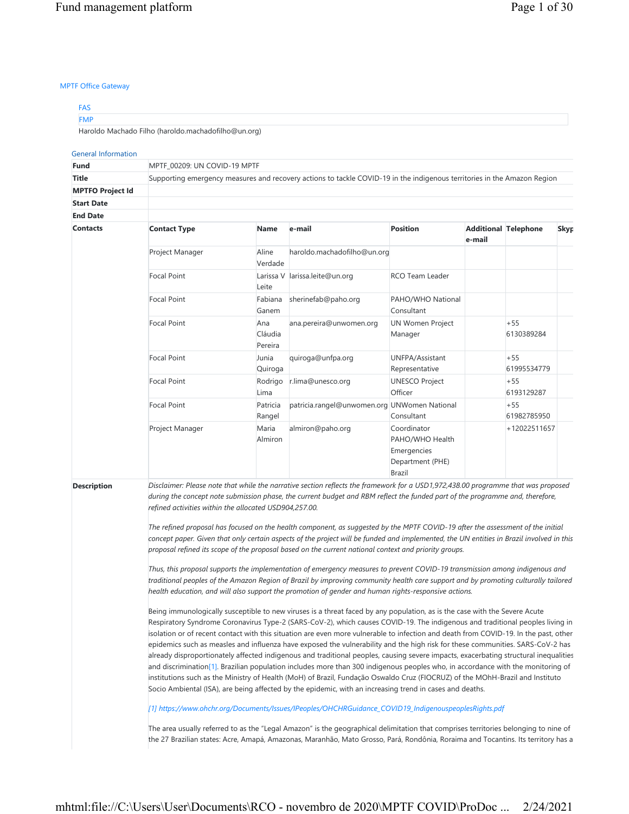## MPTF Office Gateway

| <b>FAS</b>                                          |  |
|-----------------------------------------------------|--|
| <b>FMP</b>                                          |  |
| Haroldo Machado Filho (haroldo.machadofilho@un.org) |  |

### General Information

| <b>Contact Type</b> | Name                      | e-mail                       | <b>Position</b>                                                                          | e-mail                                                                      |                                                                                                                                                                                                                                                                                                                           | <b>Skyp</b>                                                                                                                                                                                                                                                                                                                                                                                                                                                                                                                                                                                                                                                                                                                                                                                                                                                                                                                                                                                                                                                                                                                                                                                                                                                                                                                                                                                                                                                                                                                                                                                                                                                                                                                                                                                                                                                                                                                                                                                                                                                                                                                                                                                                                                                                                                                                 |  |  |  |  |
|---------------------|---------------------------|------------------------------|------------------------------------------------------------------------------------------|-----------------------------------------------------------------------------|---------------------------------------------------------------------------------------------------------------------------------------------------------------------------------------------------------------------------------------------------------------------------------------------------------------------------|---------------------------------------------------------------------------------------------------------------------------------------------------------------------------------------------------------------------------------------------------------------------------------------------------------------------------------------------------------------------------------------------------------------------------------------------------------------------------------------------------------------------------------------------------------------------------------------------------------------------------------------------------------------------------------------------------------------------------------------------------------------------------------------------------------------------------------------------------------------------------------------------------------------------------------------------------------------------------------------------------------------------------------------------------------------------------------------------------------------------------------------------------------------------------------------------------------------------------------------------------------------------------------------------------------------------------------------------------------------------------------------------------------------------------------------------------------------------------------------------------------------------------------------------------------------------------------------------------------------------------------------------------------------------------------------------------------------------------------------------------------------------------------------------------------------------------------------------------------------------------------------------------------------------------------------------------------------------------------------------------------------------------------------------------------------------------------------------------------------------------------------------------------------------------------------------------------------------------------------------------------------------------------------------------------------------------------------------|--|--|--|--|
| Project Manager     | Aline<br>Verdade          |                              |                                                                                          |                                                                             |                                                                                                                                                                                                                                                                                                                           |                                                                                                                                                                                                                                                                                                                                                                                                                                                                                                                                                                                                                                                                                                                                                                                                                                                                                                                                                                                                                                                                                                                                                                                                                                                                                                                                                                                                                                                                                                                                                                                                                                                                                                                                                                                                                                                                                                                                                                                                                                                                                                                                                                                                                                                                                                                                             |  |  |  |  |
| <b>Focal Point</b>  | Leite                     |                              | <b>RCO Team Leader</b>                                                                   |                                                                             |                                                                                                                                                                                                                                                                                                                           |                                                                                                                                                                                                                                                                                                                                                                                                                                                                                                                                                                                                                                                                                                                                                                                                                                                                                                                                                                                                                                                                                                                                                                                                                                                                                                                                                                                                                                                                                                                                                                                                                                                                                                                                                                                                                                                                                                                                                                                                                                                                                                                                                                                                                                                                                                                                             |  |  |  |  |
| <b>Focal Point</b>  | Fabiana<br>Ganem          | sherinefab@paho.org          | PAHO/WHO National<br>Consultant                                                          |                                                                             |                                                                                                                                                                                                                                                                                                                           |                                                                                                                                                                                                                                                                                                                                                                                                                                                                                                                                                                                                                                                                                                                                                                                                                                                                                                                                                                                                                                                                                                                                                                                                                                                                                                                                                                                                                                                                                                                                                                                                                                                                                                                                                                                                                                                                                                                                                                                                                                                                                                                                                                                                                                                                                                                                             |  |  |  |  |
| <b>Focal Point</b>  | Ana<br>Cláudia<br>Pereira | ana.pereira@unwomen.org      | <b>UN Women Project</b><br>Manager                                                       |                                                                             | $+55$<br>6130389284                                                                                                                                                                                                                                                                                                       |                                                                                                                                                                                                                                                                                                                                                                                                                                                                                                                                                                                                                                                                                                                                                                                                                                                                                                                                                                                                                                                                                                                                                                                                                                                                                                                                                                                                                                                                                                                                                                                                                                                                                                                                                                                                                                                                                                                                                                                                                                                                                                                                                                                                                                                                                                                                             |  |  |  |  |
| <b>Focal Point</b>  | Junia<br>Quiroga          | quiroga@unfpa.org            | UNFPA/Assistant<br>Representative                                                        |                                                                             | $+55$<br>61995534779                                                                                                                                                                                                                                                                                                      |                                                                                                                                                                                                                                                                                                                                                                                                                                                                                                                                                                                                                                                                                                                                                                                                                                                                                                                                                                                                                                                                                                                                                                                                                                                                                                                                                                                                                                                                                                                                                                                                                                                                                                                                                                                                                                                                                                                                                                                                                                                                                                                                                                                                                                                                                                                                             |  |  |  |  |
| <b>Focal Point</b>  | Rodrigo<br>Lima           | r.lima@unesco.org            | <b>UNESCO Project</b><br>Officer                                                         |                                                                             | $+55$<br>6193129287                                                                                                                                                                                                                                                                                                       |                                                                                                                                                                                                                                                                                                                                                                                                                                                                                                                                                                                                                                                                                                                                                                                                                                                                                                                                                                                                                                                                                                                                                                                                                                                                                                                                                                                                                                                                                                                                                                                                                                                                                                                                                                                                                                                                                                                                                                                                                                                                                                                                                                                                                                                                                                                                             |  |  |  |  |
| <b>Focal Point</b>  | Patricia<br>Rangel        |                              | Consultant                                                                               |                                                                             | $+55$<br>61982785950                                                                                                                                                                                                                                                                                                      |                                                                                                                                                                                                                                                                                                                                                                                                                                                                                                                                                                                                                                                                                                                                                                                                                                                                                                                                                                                                                                                                                                                                                                                                                                                                                                                                                                                                                                                                                                                                                                                                                                                                                                                                                                                                                                                                                                                                                                                                                                                                                                                                                                                                                                                                                                                                             |  |  |  |  |
| Project Manager     | Maria<br>Almiron          | almiron@paho.org             | Coordinator<br>PAHO/WHO Health<br>Emergencies<br>Department (PHE)<br><b>Brazil</b>       |                                                                             |                                                                                                                                                                                                                                                                                                                           |                                                                                                                                                                                                                                                                                                                                                                                                                                                                                                                                                                                                                                                                                                                                                                                                                                                                                                                                                                                                                                                                                                                                                                                                                                                                                                                                                                                                                                                                                                                                                                                                                                                                                                                                                                                                                                                                                                                                                                                                                                                                                                                                                                                                                                                                                                                                             |  |  |  |  |
|                     |                           |                              |                                                                                          |                                                                             |                                                                                                                                                                                                                                                                                                                           |                                                                                                                                                                                                                                                                                                                                                                                                                                                                                                                                                                                                                                                                                                                                                                                                                                                                                                                                                                                                                                                                                                                                                                                                                                                                                                                                                                                                                                                                                                                                                                                                                                                                                                                                                                                                                                                                                                                                                                                                                                                                                                                                                                                                                                                                                                                                             |  |  |  |  |
|                     |                           | MPTF_00209: UN COVID-19 MPTF | Larissa V larissa.leite@un.org<br>refined activities within the allocated USD904,257.00. | haroldo.machadofilho@un.org<br>patricia.rangel@unwomen.org UNWomen National | proposal refined its scope of the proposal based on the current national context and priority groups.<br>health education, and will also support the promotion of gender and human rights-responsive actions.<br>Socio Ambiental (ISA), are being affected by the epidemic, with an increasing trend in cases and deaths. | Supporting emergency measures and recovery actions to tackle COVID-19 in the indigenous territories in the Amazon Region<br><b>Additional Telephone</b><br>+12022511657<br>Disclaimer: Please note that while the narrative section reflects the framework for a USD1,972,438.00 programme that was proposed<br>during the concept note submission phase, the current budget and RBM reflect the funded part of the programme and, therefore,<br>The refined proposal has focused on the health component, as suggested by the MPTF COVID-19 after the assessment of the initial<br>concept paper. Given that only certain aspects of the project will be funded and implemented, the UN entities in Brazil involved in this<br>Thus, this proposal supports the implementation of emergency measures to prevent COVID-19 transmission among indigenous and<br>traditional peoples of the Amazon Region of Brazil by improving community health care support and by promoting culturally tailored<br>Being immunologically susceptible to new viruses is a threat faced by any population, as is the case with the Severe Acute<br>Respiratory Syndrome Coronavirus Type-2 (SARS-CoV-2), which causes COVID-19. The indigenous and traditional peoples living in<br>isolation or of recent contact with this situation are even more vulnerable to infection and death from COVID-19. In the past, other<br>epidemics such as measles and influenza have exposed the vulnerability and the high risk for these communities. SARS-CoV-2 has<br>already disproportionately affected indigenous and traditional peoples, causing severe impacts, exacerbating structural inequalities<br>and discrimination[1]. Brazilian population includes more than 300 indigenous peoples who, in accordance with the monitoring of<br>institutions such as the Ministry of Health (MoH) of Brazil, Fundação Oswaldo Cruz (FIOCRUZ) of the MOhH-Brazil and Instituto<br>[1] https://www.ohchr.org/Documents/Issues/IPeoples/OHCHRGuidance_COVID19_IndigenouspeoplesRights.pdf<br>The area usually referred to as the "Legal Amazon" is the geographical delimitation that comprises territories belonging to nine of<br>the 27 Brazilian states: Acre, Amapá, Amazonas, Maranhão, Mato Grosso, Pará, Rondônia, Roraima and Tocantins. Its territory has a |  |  |  |  |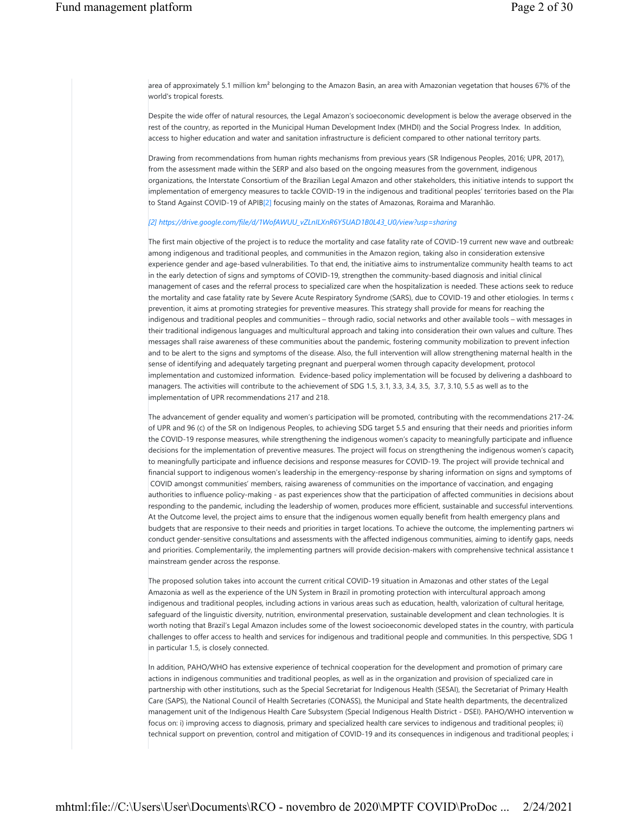area of approximately 5.1 million km² belonging to the Amazon Basin, an area with Amazonian vegetation that houses 67% of the world's tropical forests.

Despite the wide offer of natural resources, the Legal Amazon's socioeconomic development is below the average observed in the rest of the country, as reported in the Municipal Human Development Index (MHDI) and the Social Progress Index. In addition, access to higher education and water and sanitation infrastructure is deficient compared to other national territory parts.

Drawing from recommendations from human rights mechanisms from previous years (SR Indigenous Peoples, 2016; UPR, 2017), from the assessment made within the SERP and also based on the ongoing measures from the government, indigenous organizations, the Interstate Consortium of the Brazilian Legal Amazon and other stakeholders, this initiative intends to support the implementation of emergency measures to tackle COVID-19 in the indigenous and traditional peoples' territories based on the Plan to Stand Against COVID-19 of APIB[2] focusing mainly on the states of Amazonas, Roraima and Maranhão.

#### *[2] https://drive.google.com/file/d/1WofAWUU\_vZLnILXnR6Y5UAD1B0L43\_U0/view?usp=sharing*

The first main objective of the project is to reduce the mortality and case fatality rate of COVID-19 current new wave and outbreaks among indigenous and traditional peoples, and communities in the Amazon region, taking also in consideration extensive experience gender and age-based vulnerabilities. To that end, the initiative aims to instrumentalize community health teams to act in the early detection of signs and symptoms of COVID-19, strengthen the community-based diagnosis and initial clinical management of cases and the referral process to specialized care when the hospitalization is needed. These actions seek to reduce the mortality and case fatality rate by Severe Acute Respiratory Syndrome (SARS), due to COVID-19 and other etiologies. In terms of prevention, it aims at promoting strategies for preventive measures. This strategy shall provide for means for reaching the indigenous and traditional peoples and communities – through radio, social networks and other available tools – with messages in their traditional indigenous languages and multicultural approach and taking into consideration their own values and culture. These messages shall raise awareness of these communities about the pandemic, fostering community mobilization to prevent infection and to be alert to the signs and symptoms of the disease. Also, the full intervention will allow strengthening maternal health in the sense of identifying and adequately targeting pregnant and puerperal women through capacity development, protocol implementation and customized information. Evidence-based policy implementation will be focused by delivering a dashboard to managers. The activities will contribute to the achievement of SDG 1.5, 3.1, 3.3, 3.4, 3.5, 3.7, 3.10, 5.5 as well as to the implementation of UPR recommendations 217 and 218.

The advancement of gender equality and women's participation will be promoted, contributing with the recommendations 217-24. of UPR and 96 (c) of the SR on Indigenous Peoples, to achieving SDG target 5.5 and ensuring that their needs and priorities inform the COVID-19 response measures, while strengthening the indigenous women's capacity to meaningfully participate and influence decisions for the implementation of preventive measures. The project will focus on strengthening the indigenous women's capacity to meaningfully participate and influence decisions and response measures for COVID-19. The project will provide technical and financial support to indigenous women's leadership in the emergency-response by sharing information on signs and symptoms of COVID amongst communities' members, raising awareness of communities on the importance of vaccination, and engaging authorities to influence policy-making - as past experiences show that the participation of affected communities in decisions about responding to the pandemic, including the leadership of women, produces more efficient, sustainable and successful interventions. At the Outcome level, the project aims to ensure that the indigenous women equally benefit from health emergency plans and budgets that are responsive to their needs and priorities in target locations. To achieve the outcome, the implementing partners wi conduct gender-sensitive consultations and assessments with the affected indigenous communities, aiming to identify gaps, needs and priorities. Complementarily, the implementing partners will provide decision-makers with comprehensive technical assistance t mainstream gender across the response.

The proposed solution takes into account the current critical COVID-19 situation in Amazonas and other states of the Legal Amazonia as well as the experience of the UN System in Brazil in promoting protection with intercultural approach among indigenous and traditional peoples, including actions in various areas such as education, health, valorization of cultural heritage, safeguard of the linguistic diversity, nutrition, environmental preservation, sustainable development and clean technologies. It is worth noting that Brazil's Legal Amazon includes some of the lowest socioeconomic developed states in the country, with particula challenges to offer access to health and services for indigenous and traditional people and communities. In this perspective, SDG 1 in particular 1.5, is closely connected.

In addition, PAHO/WHO has extensive experience of technical cooperation for the development and promotion of primary care actions in indigenous communities and traditional peoples, as well as in the organization and provision of specialized care in partnership with other institutions, such as the Special Secretariat for Indigenous Health (SESAI), the Secretariat of Primary Health Care (SAPS), the National Council of Health Secretaries (CONASS), the Municipal and State health departments, the decentralized management unit of the Indigenous Health Care Subsystem (Special Indigenous Health District - DSEI). PAHO/WHO intervention w focus on: i) improving access to diagnosis, primary and specialized health care services to indigenous and traditional peoples; ii) technical support on prevention, control and mitigation of COVID-19 and its consequences in indigenous and traditional peoples; i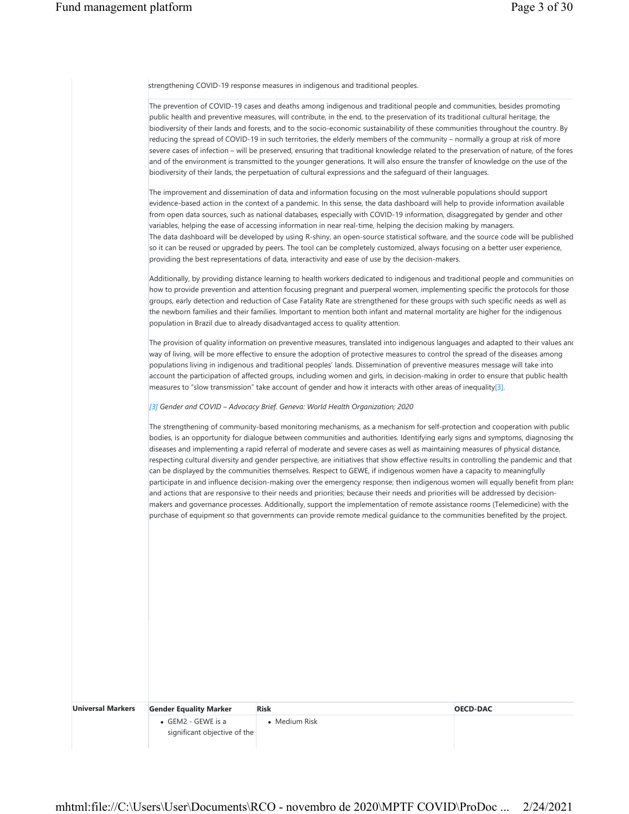strengthening COVID-19 response measures in indigenous and traditional peoples.

| The prevention of COVID-19 cases and deaths among indigenous and traditional people and communities, besides promoting<br>public health and preventive measures, will contribute, in the end, to the preservation of its traditional cultural heritage, the<br>biodiversity of their lands and forests, and to the socio-economic sustainability of these communities throughout the country. By<br>reducing the spread of COVID-19 in such territories, the elderly members of the community – normally a group at risk of more |
|----------------------------------------------------------------------------------------------------------------------------------------------------------------------------------------------------------------------------------------------------------------------------------------------------------------------------------------------------------------------------------------------------------------------------------------------------------------------------------------------------------------------------------|
| severe cases of infection - will be preserved, ensuring that traditional knowledge related to the preservation of nature, of the fores                                                                                                                                                                                                                                                                                                                                                                                           |
| and of the environment is transmitted to the younger generations. It will also ensure the transfer of knowledge on the use of the                                                                                                                                                                                                                                                                                                                                                                                                |
| biodiversity of their lands, the perpetuation of cultural expressions and the safequard of their languages.                                                                                                                                                                                                                                                                                                                                                                                                                      |
| The improvement and dissemination of data and information focusing on the most vulnerable populations should support                                                                                                                                                                                                                                                                                                                                                                                                             |
| evidence-based action in the context of a pandemic. In this sense, the data dashboard will help to provide information available                                                                                                                                                                                                                                                                                                                                                                                                 |
| from open data sources, such as national databases, especially with COVID-19 information, disaggregated by gender and other                                                                                                                                                                                                                                                                                                                                                                                                      |
| variables, helping the ease of accessing information in near real-time, helping the decision making by managers.                                                                                                                                                                                                                                                                                                                                                                                                                 |
| The data dashboard will be developed by using R-shiny, an open-source statistical software, and the source code will be published                                                                                                                                                                                                                                                                                                                                                                                                |
| so it can be reused or upgraded by peers. The tool can be completely customized, always focusing on a better user experience,                                                                                                                                                                                                                                                                                                                                                                                                    |
| providing the best representations of data, interactivity and ease of use by the decision-makers.                                                                                                                                                                                                                                                                                                                                                                                                                                |
| Additionally, by providing distance learning to health workers dedicated to indigenous and traditional people and communities on                                                                                                                                                                                                                                                                                                                                                                                                 |
| how to provide prevention and attention focusing pregnant and puerperal women, implementing specific the protocols for those                                                                                                                                                                                                                                                                                                                                                                                                     |
| groups, early detection and reduction of Case Fatality Rate are strengthened for these groups with such specific needs as well as                                                                                                                                                                                                                                                                                                                                                                                                |
| the newborn families and their families. Important to mention both infant and maternal mortality are higher for the indigenous                                                                                                                                                                                                                                                                                                                                                                                                   |
| population in Brazil due to already disadvantaged access to quality attention.                                                                                                                                                                                                                                                                                                                                                                                                                                                   |
| The provision of quality information on preventive measures, translated into indigenous languages and adapted to their values and                                                                                                                                                                                                                                                                                                                                                                                                |
| way of living, will be more effective to ensure the adoption of protective measures to control the spread of the diseases among                                                                                                                                                                                                                                                                                                                                                                                                  |
| populations living in indigenous and traditional peoples' lands. Dissemination of preventive measures message will take into                                                                                                                                                                                                                                                                                                                                                                                                     |
| account the participation of affected groups, including women and girls, in decision-making in order to ensure that public health                                                                                                                                                                                                                                                                                                                                                                                                |
| measures to "slow transmission" take account of gender and how it interacts with other areas of inequality[3].                                                                                                                                                                                                                                                                                                                                                                                                                   |
| [3] Gender and COVID - Advocacy Brief. Geneva: World Health Organization; 2020                                                                                                                                                                                                                                                                                                                                                                                                                                                   |
| The strengthening of community-based monitoring mechanisms, as a mechanism for self-protection and cooperation with public                                                                                                                                                                                                                                                                                                                                                                                                       |
| bodies, is an opportunity for dialogue between communities and authorities. Identifying early signs and symptoms, diagnosing the                                                                                                                                                                                                                                                                                                                                                                                                 |
| diseases and implementing a rapid referral of moderate and severe cases as well as maintaining measures of physical distance,                                                                                                                                                                                                                                                                                                                                                                                                    |
| respecting cultural diversity and gender perspective, are initiatives that show effective results in controlling the pandemic and that                                                                                                                                                                                                                                                                                                                                                                                           |
| can be displayed by the communities themselves. Respect to GEWE, if indigenous women have a capacity to meaningfully                                                                                                                                                                                                                                                                                                                                                                                                             |

and actions that are responsive to their needs and priorities; because their needs and priorities will be addressed by decisionmakers and governance processes. Additionally, support the implementation of remote assistance rooms (Telemedicine) with the purchase of equipment so that governments can provide remote medical guidance to the communities benefited by the project.

participate in and influence decision-making over the emergency response; then indigenous women will equally benefit from plans

| <b>OECD-DAC</b> | <b>Risk</b>           | <b>Gender Equality Marker</b>                              | <b>Universal Markers</b> |
|-----------------|-----------------------|------------------------------------------------------------|--------------------------|
|                 | $\bullet$ Medium Risk | $\bullet$ GEM2 - GEWE is a<br>significant objective of the |                          |
|                 |                       |                                                            |                          |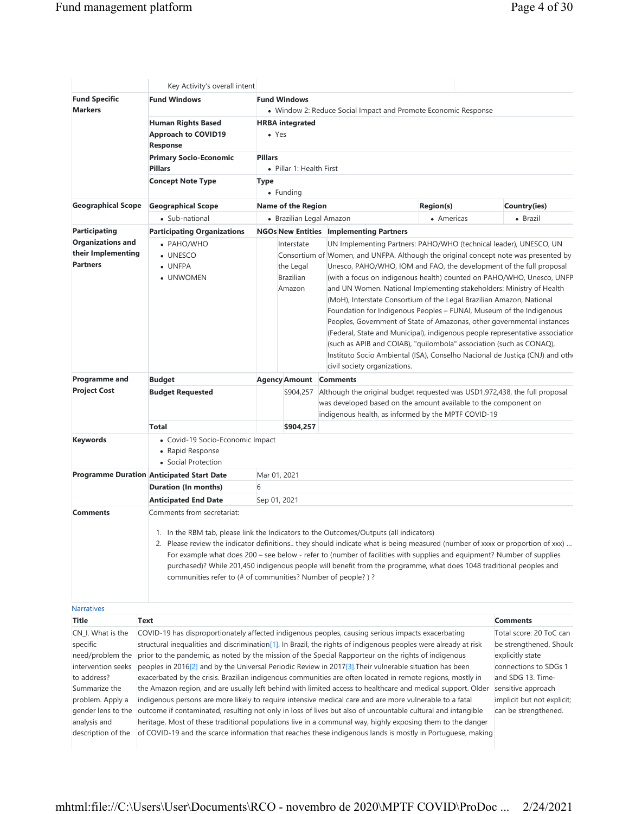|                                                                                                                                                                   | Key Activity's overall intent                                                                                                                                                                                                                                                                                                                                                                                                                                                                                                                                                                                                                                                                                                                                                                                                                                                                                                                                                                                                                                                                                                                                         |                                                       |                                                                                                                                                                                                                                                                                                                                                                                                                                                                                                                                                                                                                                                                                                                                                                                                                                                                                  |                  |                                                                                                                                                                            |
|-------------------------------------------------------------------------------------------------------------------------------------------------------------------|-----------------------------------------------------------------------------------------------------------------------------------------------------------------------------------------------------------------------------------------------------------------------------------------------------------------------------------------------------------------------------------------------------------------------------------------------------------------------------------------------------------------------------------------------------------------------------------------------------------------------------------------------------------------------------------------------------------------------------------------------------------------------------------------------------------------------------------------------------------------------------------------------------------------------------------------------------------------------------------------------------------------------------------------------------------------------------------------------------------------------------------------------------------------------|-------------------------------------------------------|----------------------------------------------------------------------------------------------------------------------------------------------------------------------------------------------------------------------------------------------------------------------------------------------------------------------------------------------------------------------------------------------------------------------------------------------------------------------------------------------------------------------------------------------------------------------------------------------------------------------------------------------------------------------------------------------------------------------------------------------------------------------------------------------------------------------------------------------------------------------------------|------------------|----------------------------------------------------------------------------------------------------------------------------------------------------------------------------|
| <b>Fund Specific</b><br><b>Markers</b>                                                                                                                            | <b>Fund Windows</b>                                                                                                                                                                                                                                                                                                                                                                                                                                                                                                                                                                                                                                                                                                                                                                                                                                                                                                                                                                                                                                                                                                                                                   | <b>Fund Windows</b>                                   | • Window 2: Reduce Social Impact and Promote Economic Response                                                                                                                                                                                                                                                                                                                                                                                                                                                                                                                                                                                                                                                                                                                                                                                                                   |                  |                                                                                                                                                                            |
|                                                                                                                                                                   | <b>Human Rights Based</b><br><b>Approach to COVID19</b><br>Response                                                                                                                                                                                                                                                                                                                                                                                                                                                                                                                                                                                                                                                                                                                                                                                                                                                                                                                                                                                                                                                                                                   | <b>HRBA</b> integrated<br>$\bullet$ Yes               |                                                                                                                                                                                                                                                                                                                                                                                                                                                                                                                                                                                                                                                                                                                                                                                                                                                                                  |                  |                                                                                                                                                                            |
|                                                                                                                                                                   | <b>Primary Socio-Economic</b><br><b>Pillars</b>                                                                                                                                                                                                                                                                                                                                                                                                                                                                                                                                                                                                                                                                                                                                                                                                                                                                                                                                                                                                                                                                                                                       | <b>Pillars</b><br>• Pillar 1: Health First            |                                                                                                                                                                                                                                                                                                                                                                                                                                                                                                                                                                                                                                                                                                                                                                                                                                                                                  |                  |                                                                                                                                                                            |
|                                                                                                                                                                   | <b>Concept Note Type</b>                                                                                                                                                                                                                                                                                                                                                                                                                                                                                                                                                                                                                                                                                                                                                                                                                                                                                                                                                                                                                                                                                                                                              | <b>Type</b><br>• Funding                              |                                                                                                                                                                                                                                                                                                                                                                                                                                                                                                                                                                                                                                                                                                                                                                                                                                                                                  |                  |                                                                                                                                                                            |
| <b>Geographical Scope</b>                                                                                                                                         | <b>Geographical Scope</b>                                                                                                                                                                                                                                                                                                                                                                                                                                                                                                                                                                                                                                                                                                                                                                                                                                                                                                                                                                                                                                                                                                                                             | <b>Name of the Region</b>                             |                                                                                                                                                                                                                                                                                                                                                                                                                                                                                                                                                                                                                                                                                                                                                                                                                                                                                  | <b>Region(s)</b> | Country(ies)                                                                                                                                                               |
|                                                                                                                                                                   | • Sub-national                                                                                                                                                                                                                                                                                                                                                                                                                                                                                                                                                                                                                                                                                                                                                                                                                                                                                                                                                                                                                                                                                                                                                        | • Brazilian Legal Amazon                              |                                                                                                                                                                                                                                                                                                                                                                                                                                                                                                                                                                                                                                                                                                                                                                                                                                                                                  | • Americas       | • Brazil                                                                                                                                                                   |
| <b>Participating</b>                                                                                                                                              | <b>Participating Organizations</b>                                                                                                                                                                                                                                                                                                                                                                                                                                                                                                                                                                                                                                                                                                                                                                                                                                                                                                                                                                                                                                                                                                                                    |                                                       | <b>NGOs New Entities Implementing Partners</b>                                                                                                                                                                                                                                                                                                                                                                                                                                                                                                                                                                                                                                                                                                                                                                                                                                   |                  |                                                                                                                                                                            |
| <b>Organizations and</b><br>their Implementing<br><b>Partners</b>                                                                                                 | • PAHO/WHO<br>• UNESCO<br>• UNFPA<br>• UNWOMEN                                                                                                                                                                                                                                                                                                                                                                                                                                                                                                                                                                                                                                                                                                                                                                                                                                                                                                                                                                                                                                                                                                                        | Interstate<br>the Legal<br><b>Brazilian</b><br>Amazon | UN Implementing Partners: PAHO/WHO (technical leader), UNESCO, UN<br>Consortium of Women, and UNFPA. Although the original concept note was presented by<br>Unesco, PAHO/WHO, IOM and FAO, the development of the full proposal<br>(with a focus on indigenous health) counted on PAHO/WHO, Unesco, UNFP<br>and UN Women. National Implementing stakeholders: Ministry of Health<br>(MoH), Interstate Consortium of the Legal Brazilian Amazon, National<br>Foundation for Indigenous Peoples - FUNAI, Museum of the Indigenous<br>Peoples, Government of State of Amazonas, other governmental instances<br>(Federal, State and Municipal), indigenous people representative associatior<br>(such as APIB and COIAB), "quilombola" association (such as CONAQ),<br>Instituto Socio Ambiental (ISA), Conselho Nacional de Justiça (CNJ) and othe<br>civil society organizations. |                  |                                                                                                                                                                            |
| <b>Programme and</b>                                                                                                                                              | <b>Budget</b>                                                                                                                                                                                                                                                                                                                                                                                                                                                                                                                                                                                                                                                                                                                                                                                                                                                                                                                                                                                                                                                                                                                                                         | <b>Agency Amount Comments</b>                         |                                                                                                                                                                                                                                                                                                                                                                                                                                                                                                                                                                                                                                                                                                                                                                                                                                                                                  |                  |                                                                                                                                                                            |
| <b>Project Cost</b>                                                                                                                                               | <b>Budget Requested</b>                                                                                                                                                                                                                                                                                                                                                                                                                                                                                                                                                                                                                                                                                                                                                                                                                                                                                                                                                                                                                                                                                                                                               |                                                       | \$904,257 Although the original budget requested was USD1,972,438, the full proposal<br>was developed based on the amount available to the component on<br>indigenous health, as informed by the MPTF COVID-19                                                                                                                                                                                                                                                                                                                                                                                                                                                                                                                                                                                                                                                                   |                  |                                                                                                                                                                            |
|                                                                                                                                                                   | <b>Total</b>                                                                                                                                                                                                                                                                                                                                                                                                                                                                                                                                                                                                                                                                                                                                                                                                                                                                                                                                                                                                                                                                                                                                                          | \$904,257                                             |                                                                                                                                                                                                                                                                                                                                                                                                                                                                                                                                                                                                                                                                                                                                                                                                                                                                                  |                  |                                                                                                                                                                            |
| <b>Keywords</b>                                                                                                                                                   | • Covid-19 Socio-Economic Impact<br>• Rapid Response<br>• Social Protection                                                                                                                                                                                                                                                                                                                                                                                                                                                                                                                                                                                                                                                                                                                                                                                                                                                                                                                                                                                                                                                                                           |                                                       |                                                                                                                                                                                                                                                                                                                                                                                                                                                                                                                                                                                                                                                                                                                                                                                                                                                                                  |                  |                                                                                                                                                                            |
|                                                                                                                                                                   | <b>Programme Duration Anticipated Start Date</b>                                                                                                                                                                                                                                                                                                                                                                                                                                                                                                                                                                                                                                                                                                                                                                                                                                                                                                                                                                                                                                                                                                                      | Mar 01, 2021                                          |                                                                                                                                                                                                                                                                                                                                                                                                                                                                                                                                                                                                                                                                                                                                                                                                                                                                                  |                  |                                                                                                                                                                            |
|                                                                                                                                                                   | Duration (In months)                                                                                                                                                                                                                                                                                                                                                                                                                                                                                                                                                                                                                                                                                                                                                                                                                                                                                                                                                                                                                                                                                                                                                  | 6                                                     |                                                                                                                                                                                                                                                                                                                                                                                                                                                                                                                                                                                                                                                                                                                                                                                                                                                                                  |                  |                                                                                                                                                                            |
|                                                                                                                                                                   | <b>Anticipated End Date</b>                                                                                                                                                                                                                                                                                                                                                                                                                                                                                                                                                                                                                                                                                                                                                                                                                                                                                                                                                                                                                                                                                                                                           | Sep 01, 2021                                          |                                                                                                                                                                                                                                                                                                                                                                                                                                                                                                                                                                                                                                                                                                                                                                                                                                                                                  |                  |                                                                                                                                                                            |
| <b>Comments</b>                                                                                                                                                   | Comments from secretariat:<br>communities refer to (# of communities? Number of people?)?                                                                                                                                                                                                                                                                                                                                                                                                                                                                                                                                                                                                                                                                                                                                                                                                                                                                                                                                                                                                                                                                             |                                                       | 1. In the RBM tab, please link the Indicators to the Outcomes/Outputs (all indicators)<br>2. Please review the indicator definitions. they should indicate what is being measured (number of xxxx or proportion of xxx)<br>For example what does 200 - see below - refer to (number of facilities with supplies and equipment? Number of supplies<br>purchased)? While 201,450 indigenous people will benefit from the programme, what does 1048 traditional peoples and                                                                                                                                                                                                                                                                                                                                                                                                         |                  |                                                                                                                                                                            |
| <b>Narratives</b>                                                                                                                                                 |                                                                                                                                                                                                                                                                                                                                                                                                                                                                                                                                                                                                                                                                                                                                                                                                                                                                                                                                                                                                                                                                                                                                                                       |                                                       |                                                                                                                                                                                                                                                                                                                                                                                                                                                                                                                                                                                                                                                                                                                                                                                                                                                                                  |                  |                                                                                                                                                                            |
| <b>Title</b>                                                                                                                                                      | <b>Text</b>                                                                                                                                                                                                                                                                                                                                                                                                                                                                                                                                                                                                                                                                                                                                                                                                                                                                                                                                                                                                                                                                                                                                                           |                                                       |                                                                                                                                                                                                                                                                                                                                                                                                                                                                                                                                                                                                                                                                                                                                                                                                                                                                                  |                  | <b>Comments</b>                                                                                                                                                            |
| CN_I. What is the<br>specific<br>need/problem the<br>intervention seeks<br>to address?<br>Summarize the<br>problem. Apply a<br>analysis and<br>description of the | COVID-19 has disproportionately affected indigenous peoples, causing serious impacts exacerbating<br>structural inequalities and discrimination $[1]$ . In Brazil, the rights of indigenous peoples were already at risk<br>prior to the pandemic, as noted by the mission of the Special Rapporteur on the rights of indigenous<br>peoples in 2016[2] and by the Universal Periodic Review in 2017[3]. Their vulnerable situation has been<br>exacerbated by the crisis. Brazilian indigenous communities are often located in remote regions, mostly in<br>the Amazon region, and are usually left behind with limited access to healthcare and medical support. Older sensitive approach<br>indigenous persons are more likely to require intensive medical care and are more vulnerable to a fatal<br>gender lens to the outcome if contaminated, resulting not only in loss of lives but also of uncountable cultural and intangible<br>heritage. Most of these traditional populations live in a communal way, highly exposing them to the danger<br>of COVID-19 and the scarce information that reaches these indigenous lands is mostly in Portuguese, making |                                                       |                                                                                                                                                                                                                                                                                                                                                                                                                                                                                                                                                                                                                                                                                                                                                                                                                                                                                  |                  | Total score: 20 ToC can<br>be strengthened. Shoulc<br>explicitly state<br>connections to SDGs 1<br>and SDG 13. Time-<br>implicit but not explicit;<br>can be strengthened. |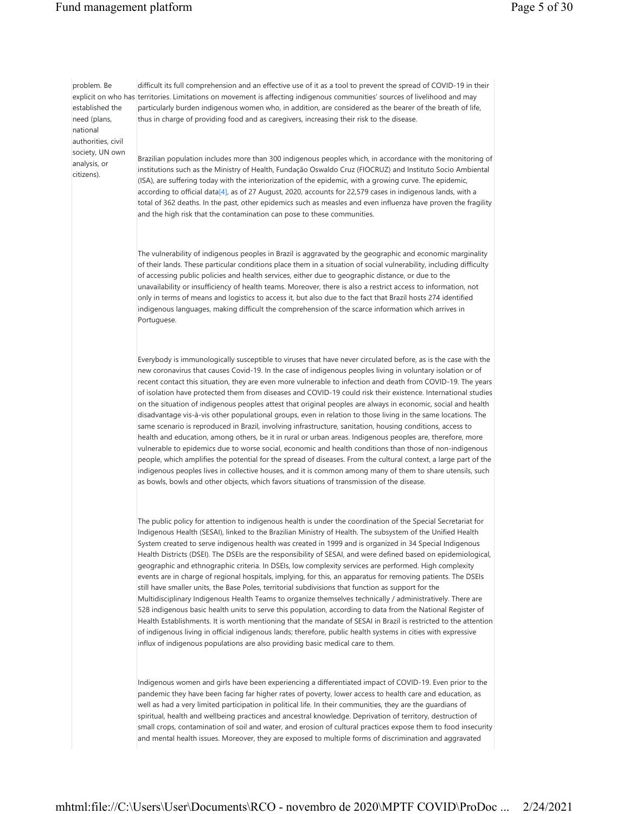## Fund management platform Page 5 of 30

problem. Be established the need (plans, national authorities, civil society, UN own analysis, or citizens).

explicit on who has territories. Limitations on movement is affecting indigenous communities' sources of livelihood and may difficult its full comprehension and an effective use of it as a tool to prevent the spread of COVID-19 in their particularly burden indigenous women who, in addition, are considered as the bearer of the breath of life, thus in charge of providing food and as caregivers, increasing their risk to the disease.

> Brazilian population includes more than 300 indigenous peoples which, in accordance with the monitoring of institutions such as the Ministry of Health, Fundação Oswaldo Cruz (FIOCRUZ) and Instituto Socio Ambiental (ISA), are suffering today with the interiorization of the epidemic, with a growing curve. The epidemic, according to official data[4], as of 27 August, 2020, accounts for 22,579 cases in indigenous lands, with a total of 362 deaths. In the past, other epidemics such as measles and even influenza have proven the fragility and the high risk that the contamination can pose to these communities.

The vulnerability of indigenous peoples in Brazil is aggravated by the geographic and economic marginality of their lands. These particular conditions place them in a situation of social vulnerability, including difficulty of accessing public policies and health services, either due to geographic distance, or due to the unavailability or insufficiency of health teams. Moreover, there is also a restrict access to information, not only in terms of means and logistics to access it, but also due to the fact that Brazil hosts 274 identified indigenous languages, making difficult the comprehension of the scarce information which arrives in Portuguese.

Everybody is immunologically susceptible to viruses that have never circulated before, as is the case with the new coronavirus that causes Covid-19. In the case of indigenous peoples living in voluntary isolation or of recent contact this situation, they are even more vulnerable to infection and death from COVID-19. The years of isolation have protected them from diseases and COVID-19 could risk their existence. International studies on the situation of indigenous peoples attest that original peoples are always in economic, social and health disadvantage vis-à-vis other populational groups, even in relation to those living in the same locations. The same scenario is reproduced in Brazil, involving infrastructure, sanitation, housing conditions, access to health and education, among others, be it in rural or urban areas. Indigenous peoples are, therefore, more vulnerable to epidemics due to worse social, economic and health conditions than those of non-indigenous people, which amplifies the potential for the spread of diseases. From the cultural context, a large part of the indigenous peoples lives in collective houses, and it is common among many of them to share utensils, such as bowls, bowls and other objects, which favors situations of transmission of the disease.

The public policy for attention to indigenous health is under the coordination of the Special Secretariat for Indigenous Health (SESAI), linked to the Brazilian Ministry of Health. The subsystem of the Unified Health System created to serve indigenous health was created in 1999 and is organized in 34 Special Indigenous Health Districts (DSEI). The DSEIs are the responsibility of SESAI, and were defined based on epidemiological, geographic and ethnographic criteria. In DSEIs, low complexity services are performed. High complexity events are in charge of regional hospitals, implying, for this, an apparatus for removing patients. The DSEIs still have smaller units, the Base Poles, territorial subdivisions that function as support for the Multidisciplinary Indigenous Health Teams to organize themselves technically / administratively. There are 528 indigenous basic health units to serve this population, according to data from the National Register of Health Establishments. It is worth mentioning that the mandate of SESAI in Brazil is restricted to the attention of indigenous living in official indigenous lands; therefore, public health systems in cities with expressive influx of indigenous populations are also providing basic medical care to them.

Indigenous women and girls have been experiencing a differentiated impact of COVID-19. Even prior to the pandemic they have been facing far higher rates of poverty, lower access to health care and education, as well as had a very limited participation in political life. In their communities, they are the guardians of spiritual, health and wellbeing practices and ancestral knowledge. Deprivation of territory, destruction of small crops, contamination of soil and water, and erosion of cultural practices expose them to food insecurity and mental health issues. Moreover, they are exposed to multiple forms of discrimination and aggravated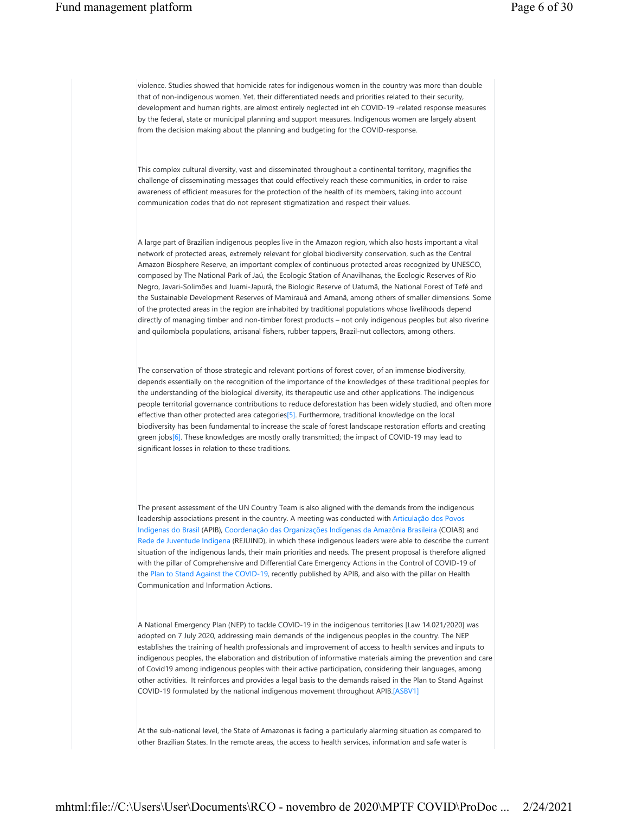violence. Studies showed that homicide rates for indigenous women in the country was more than double that of non-indigenous women. Yet, their differentiated needs and priorities related to their security, development and human rights, are almost entirely neglected int eh COVID-19 -related response measures by the federal, state or municipal planning and support measures. Indigenous women are largely absent from the decision making about the planning and budgeting for the COVID-response.

This complex cultural diversity, vast and disseminated throughout a continental territory, magnifies the challenge of disseminating messages that could effectively reach these communities, in order to raise awareness of efficient measures for the protection of the health of its members, taking into account communication codes that do not represent stigmatization and respect their values.

A large part of Brazilian indigenous peoples live in the Amazon region, which also hosts important a vital network of protected areas, extremely relevant for global biodiversity conservation, such as the Central Amazon Biosphere Reserve, an important complex of continuous protected areas recognized by UNESCO, composed by The National Park of Jaú, the Ecologic Station of Anavilhanas, the Ecologic Reserves of Rio Negro, Javari-Solimões and Juami-Japurá, the Biologic Reserve of Uatumã, the National Forest of Tefé and the Sustainable Development Reserves of Mamirauá and Amanã, among others of smaller dimensions. Some of the protected areas in the region are inhabited by traditional populations whose livelihoods depend directly of managing timber and non-timber forest products – not only indigenous peoples but also riverine and quilombola populations, artisanal fishers, rubber tappers, Brazil-nut collectors, among others.

The conservation of those strategic and relevant portions of forest cover, of an immense biodiversity, depends essentially on the recognition of the importance of the knowledges of these traditional peoples for the understanding of the biological diversity, its therapeutic use and other applications. The indigenous people territorial governance contributions to reduce deforestation has been widely studied, and often more effective than other protected area categories[5]. Furthermore, traditional knowledge on the local biodiversity has been fundamental to increase the scale of forest landscape restoration efforts and creating green jobs[6]. These knowledges are mostly orally transmitted; the impact of COVID-19 may lead to significant losses in relation to these traditions.

The present assessment of the UN Country Team is also aligned with the demands from the indigenous leadership associations present in the country. A meeting was conducted with Articulação dos Povos Indígenas do Brasil (APIB), Coordenação das Organizações Indígenas da Amazônia Brasileira (COIAB) and Rede de Juventude Indígena (REJUIND), in which these indigenous leaders were able to describe the current situation of the indigenous lands, their main priorities and needs. The present proposal is therefore aligned with the pillar of Comprehensive and Differential Care Emergency Actions in the Control of COVID-19 of the Plan to Stand Against the COVID-19, recently published by APIB, and also with the pillar on Health Communication and Information Actions.

A National Emergency Plan (NEP) to tackle COVID-19 in the indigenous territories [Law 14.021/2020] was adopted on 7 July 2020, addressing main demands of the indigenous peoples in the country. The NEP establishes the training of health professionals and improvement of access to health services and inputs to indigenous peoples, the elaboration and distribution of informative materials aiming the prevention and care of Covid19 among indigenous peoples with their active participation, considering their languages, among other activities. It reinforces and provides a legal basis to the demands raised in the Plan to Stand Against COVID-19 formulated by the national indigenous movement throughout APIB.[ASBV1]

At the sub-national level, the State of Amazonas is facing a particularly alarming situation as compared to other Brazilian States. In the remote areas, the access to health services, information and safe water is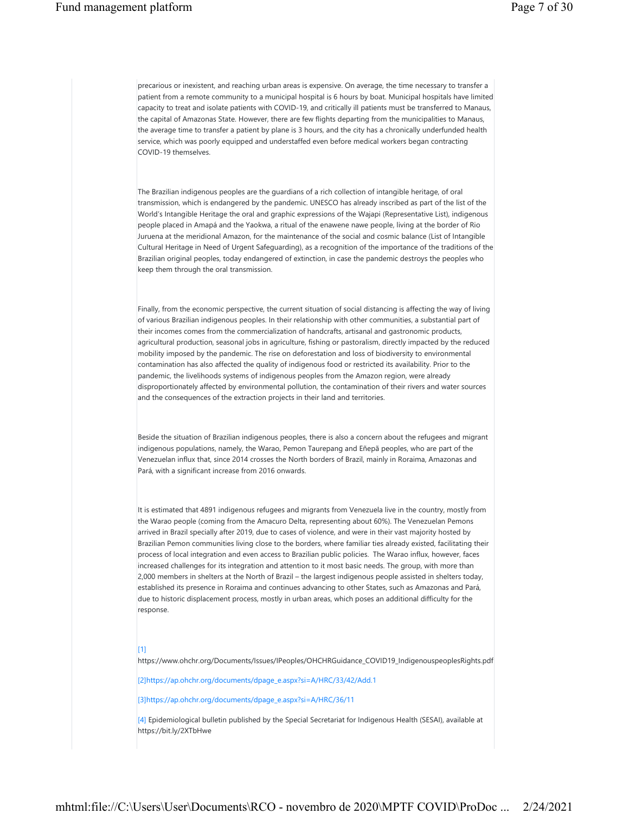precarious or inexistent, and reaching urban areas is expensive. On average, the time necessary to transfer a patient from a remote community to a municipal hospital is 6 hours by boat. Municipal hospitals have limited capacity to treat and isolate patients with COVID-19, and critically ill patients must be transferred to Manaus, the capital of Amazonas State. However, there are few flights departing from the municipalities to Manaus, the average time to transfer a patient by plane is 3 hours, and the city has a chronically underfunded health service, which was poorly equipped and understaffed even before medical workers began contracting COVID-19 themselves.

The Brazilian indigenous peoples are the guardians of a rich collection of intangible heritage, of oral transmission, which is endangered by the pandemic. UNESCO has already inscribed as part of the list of the World's Intangible Heritage the oral and graphic expressions of the Wajapi (Representative List), indigenous people placed in Amapá and the Yaokwa, a ritual of the enawene nawe people, living at the border of Rio Juruena at the meridional Amazon, for the maintenance of the social and cosmic balance (List of Intangible Cultural Heritage in Need of Urgent Safeguarding), as a recognition of the importance of the traditions of the Brazilian original peoples, today endangered of extinction, in case the pandemic destroys the peoples who keep them through the oral transmission.

Finally, from the economic perspective, the current situation of social distancing is affecting the way of living of various Brazilian indigenous peoples. In their relationship with other communities, a substantial part of their incomes comes from the commercialization of handcrafts, artisanal and gastronomic products, agricultural production, seasonal jobs in agriculture, fishing or pastoralism, directly impacted by the reduced mobility imposed by the pandemic. The rise on deforestation and loss of biodiversity to environmental contamination has also affected the quality of indigenous food or restricted its availability. Prior to the pandemic, the livelihoods systems of indigenous peoples from the Amazon region, were already disproportionately affected by environmental pollution, the contamination of their rivers and water sources and the consequences of the extraction projects in their land and territories.

Beside the situation of Brazilian indigenous peoples, there is also a concern about the refugees and migrant indigenous populations, namely, the Warao, Pemon Taurepang and Eñepã peoples, who are part of the Venezuelan influx that, since 2014 crosses the North borders of Brazil, mainly in Roraima, Amazonas and Pará, with a significant increase from 2016 onwards.

It is estimated that 4891 indigenous refugees and migrants from Venezuela live in the country, mostly from the Warao people (coming from the Amacuro Delta, representing about 60%). The Venezuelan Pemons arrived in Brazil specially after 2019, due to cases of violence, and were in their vast majority hosted by Brazilian Pemon communities living close to the borders, where familiar ties already existed, facilitating their process of local integration and even access to Brazilian public policies. The Warao influx, however, faces increased challenges for its integration and attention to it most basic needs. The group, with more than 2,000 members in shelters at the North of Brazil – the largest indigenous people assisted in shelters today, established its presence in Roraima and continues advancing to other States, such as Amazonas and Pará, due to historic displacement process, mostly in urban areas, which poses an additional difficulty for the response.

#### [1]

https://www.ohchr.org/Documents/Issues/IPeoples/OHCHRGuidance\_COVID19\_IndigenouspeoplesRights.pdf

[2]https://ap.ohchr.org/documents/dpage\_e.aspx?si=A/HRC/33/42/Add.1

[3]https://ap.ohchr.org/documents/dpage\_e.aspx?si=A/HRC/36/11

[4] Epidemiological bulletin published by the Special Secretariat for Indigenous Health (SESAI), available at https://bit.ly/2XTbHwe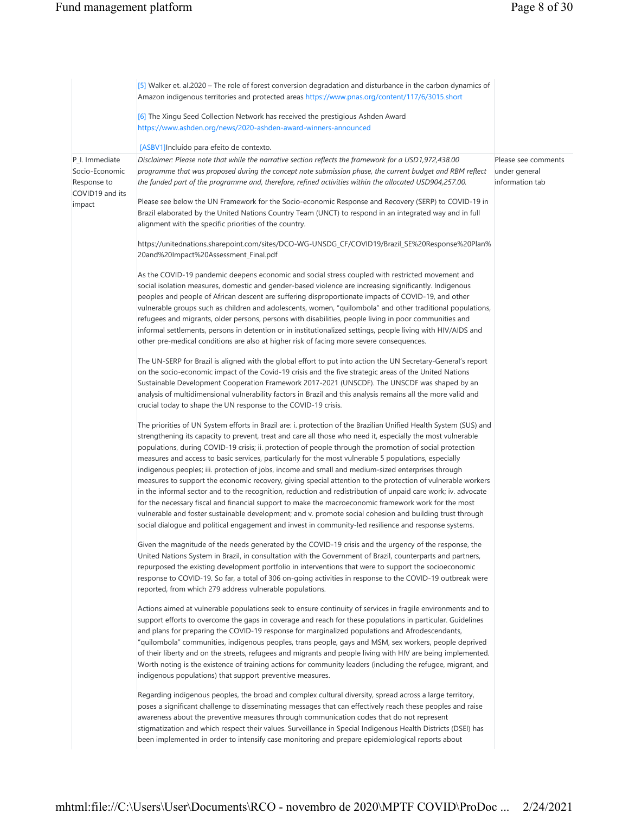|                                                                    | [5] Walker et. al.2020 – The role of forest conversion degradation and disturbance in the carbon dynamics of<br>Amazon indigenous territories and protected areas https://www.pnas.org/content/117/6/3015.short                                                                                                                                                                                                                                                                                                                                                                                                                                                                                                                                                                                                                                                                                                                                                                                                                                                                                                          |                                                         |
|--------------------------------------------------------------------|--------------------------------------------------------------------------------------------------------------------------------------------------------------------------------------------------------------------------------------------------------------------------------------------------------------------------------------------------------------------------------------------------------------------------------------------------------------------------------------------------------------------------------------------------------------------------------------------------------------------------------------------------------------------------------------------------------------------------------------------------------------------------------------------------------------------------------------------------------------------------------------------------------------------------------------------------------------------------------------------------------------------------------------------------------------------------------------------------------------------------|---------------------------------------------------------|
|                                                                    | [6] The Xingu Seed Collection Network has received the prestigious Ashden Award<br>https://www.ashden.org/news/2020-ashden-award-winners-announced                                                                                                                                                                                                                                                                                                                                                                                                                                                                                                                                                                                                                                                                                                                                                                                                                                                                                                                                                                       |                                                         |
|                                                                    | [ASBV1]Incluído para efeito de contexto.                                                                                                                                                                                                                                                                                                                                                                                                                                                                                                                                                                                                                                                                                                                                                                                                                                                                                                                                                                                                                                                                                 |                                                         |
| P_I. Immediate<br>Socio-Economic<br>Response to<br>COVID19 and its | Disclaimer: Please note that while the narrative section reflects the framework for a USD1,972,438.00<br>programme that was proposed during the concept note submission phase, the current budget and RBM reflect<br>the funded part of the programme and, therefore, refined activities within the allocated USD904,257.00.                                                                                                                                                                                                                                                                                                                                                                                                                                                                                                                                                                                                                                                                                                                                                                                             | Please see comments<br>under general<br>information tab |
| impact                                                             | Please see below the UN Framework for the Socio-economic Response and Recovery (SERP) to COVID-19 in<br>Brazil elaborated by the United Nations Country Team (UNCT) to respond in an integrated way and in full<br>alignment with the specific priorities of the country.                                                                                                                                                                                                                                                                                                                                                                                                                                                                                                                                                                                                                                                                                                                                                                                                                                                |                                                         |
|                                                                    | https://unitednations.sharepoint.com/sites/DCO-WG-UNSDG_CF/COVID19/Brazil_SE%20Response%20Plan%<br>20and%20Impact%20Assessment_Final.pdf                                                                                                                                                                                                                                                                                                                                                                                                                                                                                                                                                                                                                                                                                                                                                                                                                                                                                                                                                                                 |                                                         |
|                                                                    | As the COVID-19 pandemic deepens economic and social stress coupled with restricted movement and<br>social isolation measures, domestic and gender-based violence are increasing significantly. Indigenous<br>peoples and people of African descent are suffering disproportionate impacts of COVID-19, and other<br>vulnerable groups such as children and adolescents, women, "quilombola" and other traditional populations,<br>refugees and migrants, older persons, persons with disabilities, people living in poor communities and<br>informal settlements, persons in detention or in institutionalized settings, people living with HIV/AIDS and<br>other pre-medical conditions are also at higher risk of facing more severe consequences.                                                                                                                                                                                                                                                                                                                                                                    |                                                         |
|                                                                    | The UN-SERP for Brazil is aligned with the global effort to put into action the UN Secretary-General's report<br>on the socio-economic impact of the Covid-19 crisis and the five strategic areas of the United Nations<br>Sustainable Development Cooperation Framework 2017-2021 (UNSCDF). The UNSCDF was shaped by an<br>analysis of multidimensional vulnerability factors in Brazil and this analysis remains all the more valid and<br>crucial today to shape the UN response to the COVID-19 crisis.                                                                                                                                                                                                                                                                                                                                                                                                                                                                                                                                                                                                              |                                                         |
|                                                                    | The priorities of UN System efforts in Brazil are: i. protection of the Brazilian Unified Health System (SUS) and<br>strengthening its capacity to prevent, treat and care all those who need it, especially the most vulnerable<br>populations, during COVID-19 crisis; ii. protection of people through the promotion of social protection<br>measures and access to basic services, particularly for the most vulnerable 5 populations, especially<br>indigenous peoples; iii. protection of jobs, income and small and medium-sized enterprises through<br>measures to support the economic recovery, giving special attention to the protection of vulnerable workers<br>in the informal sector and to the recognition, reduction and redistribution of unpaid care work; iv. advocate<br>for the necessary fiscal and financial support to make the macroeconomic framework work for the most<br>vulnerable and foster sustainable development; and v. promote social cohesion and building trust through<br>social dialogue and political engagement and invest in community-led resilience and response systems. |                                                         |
|                                                                    | Given the magnitude of the needs generated by the COVID-19 crisis and the urgency of the response, the<br>United Nations System in Brazil, in consultation with the Government of Brazil, counterparts and partners,<br>repurposed the existing development portfolio in interventions that were to support the socioeconomic<br>response to COVID-19. So far, a total of 306 on-going activities in response to the COVID-19 outbreak were<br>reported, from which 279 address vulnerable populations.                                                                                                                                                                                                                                                                                                                                                                                                                                                                                                                                                                                                                  |                                                         |
|                                                                    | Actions aimed at vulnerable populations seek to ensure continuity of services in fragile environments and to<br>support efforts to overcome the gaps in coverage and reach for these populations in particular. Guidelines<br>and plans for preparing the COVID-19 response for marginalized populations and Afrodescendants,<br>"quilombola" communities, indigenous peoples, trans people, gays and MSM, sex workers, people deprived<br>of their liberty and on the streets, refugees and migrants and people living with HIV are being implemented.<br>Worth noting is the existence of training actions for community leaders (including the refugee, migrant, and<br>indigenous populations) that support preventive measures.                                                                                                                                                                                                                                                                                                                                                                                     |                                                         |
|                                                                    | Regarding indigenous peoples, the broad and complex cultural diversity, spread across a large territory,<br>poses a significant challenge to disseminating messages that can effectively reach these peoples and raise<br>awareness about the preventive measures through communication codes that do not represent<br>stigmatization and which respect their values. Surveillance in Special Indigenous Health Districts (DSEI) has<br>been implemented in order to intensify case monitoring and prepare epidemiological reports about                                                                                                                                                                                                                                                                                                                                                                                                                                                                                                                                                                                 |                                                         |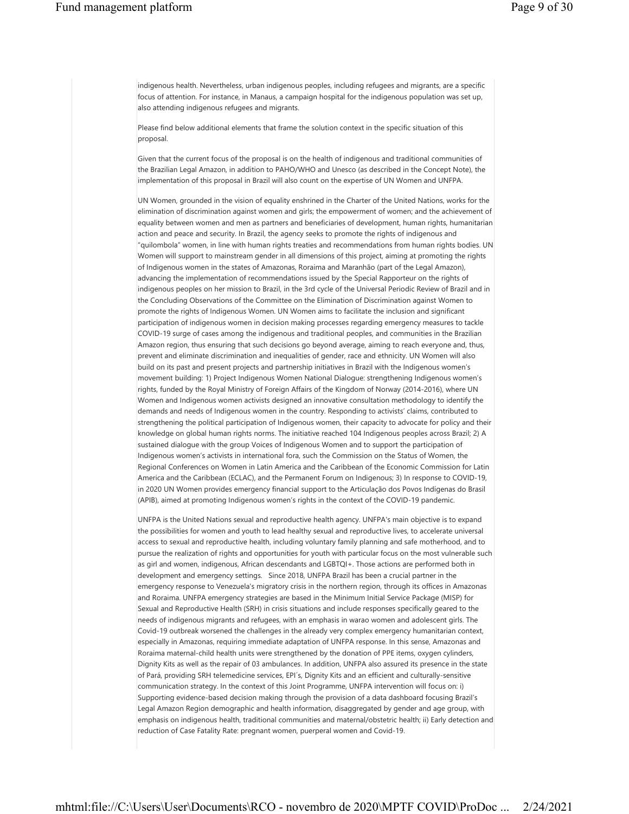indigenous health. Nevertheless, urban indigenous peoples, including refugees and migrants, are a specific focus of attention. For instance, in Manaus, a campaign hospital for the indigenous population was set up, also attending indigenous refugees and migrants.

Please find below additional elements that frame the solution context in the specific situation of this proposal.

Given that the current focus of the proposal is on the health of indigenous and traditional communities of the Brazilian Legal Amazon, in addition to PAHO/WHO and Unesco (as described in the Concept Note), the implementation of this proposal in Brazil will also count on the expertise of UN Women and UNFPA.

UN Women, grounded in the vision of equality enshrined in the Charter of the United Nations, works for the elimination of discrimination against women and girls; the empowerment of women; and the achievement of equality between women and men as partners and beneficiaries of development, human rights, humanitarian action and peace and security. In Brazil, the agency seeks to promote the rights of indigenous and "quilombola" women, in line with human rights treaties and recommendations from human rights bodies. UN Women will support to mainstream gender in all dimensions of this project, aiming at promoting the rights of Indigenous women in the states of Amazonas, Roraima and Maranhão (part of the Legal Amazon), advancing the implementation of recommendations issued by the Special Rapporteur on the rights of indigenous peoples on her mission to Brazil, in the 3rd cycle of the Universal Periodic Review of Brazil and in the Concluding Observations of the Committee on the Elimination of Discrimination against Women to promote the rights of Indigenous Women. UN Women aims to facilitate the inclusion and significant participation of indigenous women in decision making processes regarding emergency measures to tackle COVID-19 surge of cases among the indigenous and traditional peoples, and communities in the Brazilian Amazon region, thus ensuring that such decisions go beyond average, aiming to reach everyone and, thus, prevent and eliminate discrimination and inequalities of gender, race and ethnicity. UN Women will also build on its past and present projects and partnership initiatives in Brazil with the Indigenous women's movement building: 1) Project Indigenous Women National Dialogue: strengthening Indigenous women's rights, funded by the Royal Ministry of Foreign Affairs of the Kingdom of Norway (2014-2016), where UN Women and Indigenous women activists designed an innovative consultation methodology to identify the demands and needs of Indigenous women in the country. Responding to activists' claims, contributed to strengthening the political participation of Indigenous women, their capacity to advocate for policy and their knowledge on global human rights norms. The initiative reached 104 Indigenous peoples across Brazil; 2) A sustained dialogue with the group Voices of Indigenous Women and to support the participation of Indigenous women's activists in international fora, such the Commission on the Status of Women, the Regional Conferences on Women in Latin America and the Caribbean of the Economic Commission for Latin America and the Caribbean (ECLAC), and the Permanent Forum on Indigenous; 3) In response to COVID-19, in 2020 UN Women provides emergency financial support to the Articulação dos Povos Indígenas do Brasil (APIB), aimed at promoting Indigenous women's rights in the context of the COVID-19 pandemic.

UNFPA is the United Nations sexual and reproductive health agency. UNFPA's main objective is to expand the possibilities for women and youth to lead healthy sexual and reproductive lives, to accelerate universal access to sexual and reproductive health, including voluntary family planning and safe motherhood, and to pursue the realization of rights and opportunities for youth with particular focus on the most vulnerable such as girl and women, indigenous, African descendants and LGBTQI+. Those actions are performed both in development and emergency settings. Since 2018, UNFPA Brazil has been a crucial partner in the emergency response to Venezuela's migratory crisis in the northern region, through its offices in Amazonas and Roraima. UNFPA emergency strategies are based in the Minimum Initial Service Package (MISP) for Sexual and Reproductive Health (SRH) in crisis situations and include responses specifically geared to the needs of indigenous migrants and refugees, with an emphasis in warao women and adolescent girls. The Covid-19 outbreak worsened the challenges in the already very complex emergency humanitarian context, especially in Amazonas, requiring immediate adaptation of UNFPA response. In this sense, Amazonas and Roraima maternal-child health units were strengthened by the donation of PPE items, oxygen cylinders, Dignity Kits as well as the repair of 03 ambulances. In addition, UNFPA also assured its presence in the state of Pará, providing SRH telemedicine services, EPI´s, Dignity Kits and an efficient and culturally-sensitive communication strategy. In the context of this Joint Programme, UNFPA intervention will focus on: i) Supporting evidence-based decision making through the provision of a data dashboard focusing Brazil's Legal Amazon Region demographic and health information, disaggregated by gender and age group, with emphasis on indigenous health, traditional communities and maternal/obstetric health; ii) Early detection and reduction of Case Fatality Rate: pregnant women, puerperal women and Covid-19.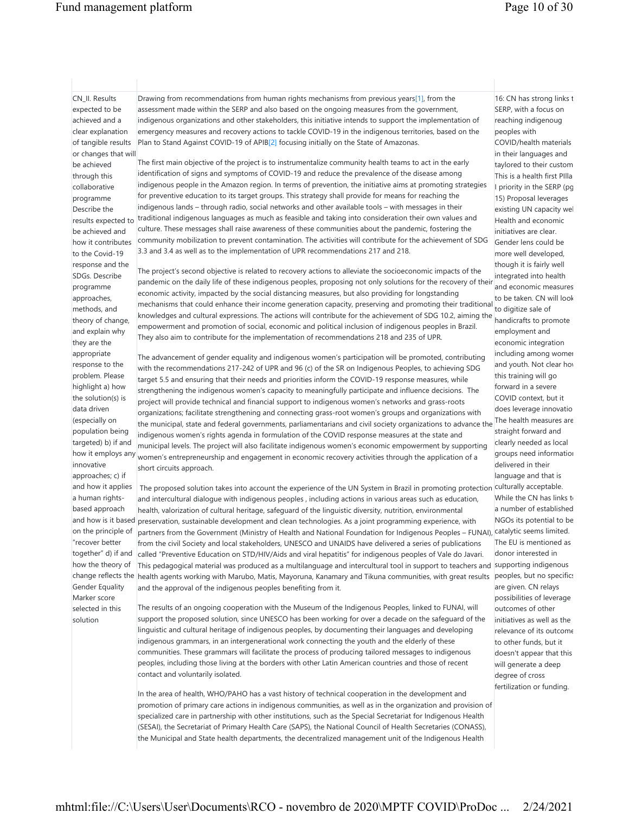## Fund management platform Page 10 of 30

16: CN has strong links t SERP, with a focus on reaching indigenoug

CN\_II. Results expected to be achieved and a clear explanation of tangible results or changes that will be achieved through this collaborative programme Describe the results expected to be achieved and how it contributes to the Covid-19 response and the SDGs. Describe programme approaches, methods, and theory of change, and explain why they are the appropriate response to the problem. Please highlight a) how the solution(s) is data driven (especially on population being targeted) b) if and how it employs any innovative approaches; c) if and how it applies a human rightsbased approach and how is it based on the principle of "recover better together" d) if and how the theory of Gender Equality Marker score selected in this solution

Drawing from recommendations from human rights mechanisms from previous years<sup>[1]</sup>, from the assessment made within the SERP and also based on the ongoing measures from the government, indigenous organizations and other stakeholders, this initiative intends to support the implementation of emergency measures and recovery actions to tackle COVID-19 in the indigenous territories, based on the Plan to Stand Against COVID-19 of APIB[2] focusing initially on the State of Amazonas.

The first main objective of the project is to instrumentalize community health teams to act in the early identification of signs and symptoms of COVID-19 and reduce the prevalence of the disease among indigenous people in the Amazon region. In terms of prevention, the initiative aims at promoting strategies for preventive education to its target groups. This strategy shall provide for means for reaching the indigenous lands – through radio, social networks and other available tools – with messages in their traditional indigenous languages as much as feasible and taking into consideration their own values and culture. These messages shall raise awareness of these communities about the pandemic, fostering the community mobilization to prevent contamination. The activities will contribute for the achievement of SDG 3.3 and 3.4 as well as to the implementation of UPR recommendations 217 and 218.

The project's second objective is related to recovery actions to alleviate the socioeconomic impacts of the pandemic on the daily life of these indigenous peoples, proposing not only solutions for the recovery of their economic activity, impacted by the social distancing measures, but also providing for longstanding mechanisms that could enhance their income generation capacity, preserving and promoting their traditional knowledges and cultural expressions. The actions will contribute for the achievement of SDG 10.2, aiming the empowerment and promotion of social, economic and political inclusion of indigenous peoples in Brazil. They also aim to contribute for the implementation of recommendations 218 and 235 of UPR.

The advancement of gender equality and indigenous women's participation will be promoted, contributing with the recommendations 217-242 of UPR and 96 (c) of the SR on Indigenous Peoples, to achieving SDG target 5.5 and ensuring that their needs and priorities inform the COVID-19 response measures, while strengthening the indigenous women's capacity to meaningfully participate and influence decisions. The project will provide technical and financial support to indigenous women's networks and grass-roots organizations; facilitate strengthening and connecting grass-root women's groups and organizations with the municipal, state and federal governments, parliamentarians and civil society organizations to advance the The health measures are indigenous women's rights agenda in formulation of the COVID response measures at the state and municipal levels. The project will also facilitate indigenous women's economic empowerment by supporting women's entrepreneurship and engagement in economic recovery activities through the application of a short circuits approach.

change reflects the health agents working with Marubo, Matis, Mayoruna, Kanamary and Tikuna communities, with great results peoples, but no specifics The proposed solution takes into account the experience of the UN System in Brazil in promoting protection culturally acceptable. and intercultural dialogue with indigenous peoples , including actions in various areas such as education, health, valorization of cultural heritage, safeguard of the linguistic diversity, nutrition, environmental preservation, sustainable development and clean technologies. As a joint programming experience, with partners from the Government (Ministry of Health and National Foundation for Indigenous Peoples – FUNAI), catalytic seems limited. from the civil Society and local stakeholders, UNESCO and UNAIDS have delivered a series of publications called "Preventive Education on STD/HIV/Aids and viral hepatitis" for indigenous peoples of Vale do Javari. This pedagogical material was produced as a multilanguage and intercultural tool in support to teachers and supporting indigenous and the approval of the indigenous peoples benefiting from it.

> The results of an ongoing cooperation with the Museum of the Indigenous Peoples, linked to FUNAI, will support the proposed solution, since UNESCO has been working for over a decade on the safeguard of the linguistic and cultural heritage of indigenous peoples, by documenting their languages and developing indigenous grammars, in an intergenerational work connecting the youth and the elderly of these communities. These grammars will facilitate the process of producing tailored messages to indigenous peoples, including those living at the borders with other Latin American countries and those of recent contact and voluntarily isolated.

In the area of health, WHO/PAHO has a vast history of technical cooperation in the development and promotion of primary care actions in indigenous communities, as well as in the organization and provision of specialized care in partnership with other institutions, such as the Special Secretariat for Indigenous Health (SESAI), the Secretariat of Primary Health Care (SAPS), the National Council of Health Secretaries (CONASS), the Municipal and State health departments, the decentralized management unit of the Indigenous Health

peoples with COVID/health materials in their languages and taylored to their custom This is a health first PIlla I priority in the SERP (pg 15) Proposal leverages existing UN capacity wel Health and economic initiatives are clear. Gender lens could be more well developed, though it is fairly well integrated into health and economic measures to be taken. CN will look to digitize sale of handicrafts to promote employment and economic integration including among women and youth. Not clear how this training will go forward in a severe COVID context, but it does leverage innovatio straight forward and clearly needed as local groups need information delivered in their language and that is While the CN has links to a number of established NGOs its potential to be The EU is mentioned as donor interested in are given. CN relays possibilities of leverage outcomes of other initiatives as well as the relevance of its outcome to other funds, but it doesn't appear that this will generate a deep degree of cross fertilization or funding.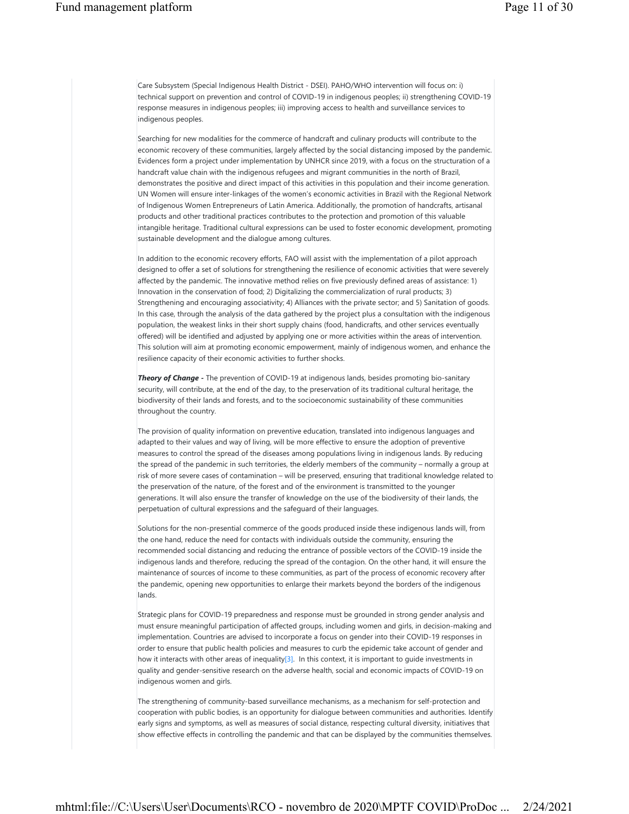Care Subsystem (Special Indigenous Health District - DSEI). PAHO/WHO intervention will focus on: i) technical support on prevention and control of COVID-19 in indigenous peoples; ii) strengthening COVID-19 response measures in indigenous peoples; iii) improving access to health and surveillance services to indigenous peoples.

Searching for new modalities for the commerce of handcraft and culinary products will contribute to the economic recovery of these communities, largely affected by the social distancing imposed by the pandemic. Evidences form a project under implementation by UNHCR since 2019, with a focus on the structuration of a handcraft value chain with the indigenous refugees and migrant communities in the north of Brazil, demonstrates the positive and direct impact of this activities in this population and their income generation. UN Women will ensure inter-linkages of the women's economic activities in Brazil with the Regional Network of Indigenous Women Entrepreneurs of Latin America. Additionally, the promotion of handcrafts, artisanal products and other traditional practices contributes to the protection and promotion of this valuable intangible heritage. Traditional cultural expressions can be used to foster economic development, promoting sustainable development and the dialogue among cultures.

In addition to the economic recovery efforts, FAO will assist with the implementation of a pilot approach designed to offer a set of solutions for strengthening the resilience of economic activities that were severely affected by the pandemic. The innovative method relies on five previously defined areas of assistance: 1) Innovation in the conservation of food; 2) Digitalizing the commercialization of rural products; 3) Strengthening and encouraging associativity; 4) Alliances with the private sector; and 5) Sanitation of goods. In this case, through the analysis of the data gathered by the project plus a consultation with the indigenous population, the weakest links in their short supply chains (food, handicrafts, and other services eventually offered) will be identified and adjusted by applying one or more activities within the areas of intervention. This solution will aim at promoting economic empowerment, mainly of indigenous women, and enhance the resilience capacity of their economic activities to further shocks.

*Theory of Change -* The prevention of COVID-19 at indigenous lands, besides promoting bio-sanitary security, will contribute, at the end of the day, to the preservation of its traditional cultural heritage, the biodiversity of their lands and forests, and to the socioeconomic sustainability of these communities throughout the country.

The provision of quality information on preventive education, translated into indigenous languages and adapted to their values and way of living, will be more effective to ensure the adoption of preventive measures to control the spread of the diseases among populations living in indigenous lands. By reducing the spread of the pandemic in such territories, the elderly members of the community – normally a group at risk of more severe cases of contamination – will be preserved, ensuring that traditional knowledge related to the preservation of the nature, of the forest and of the environment is transmitted to the younger generations. It will also ensure the transfer of knowledge on the use of the biodiversity of their lands, the perpetuation of cultural expressions and the safeguard of their languages.

Solutions for the non-presential commerce of the goods produced inside these indigenous lands will, from the one hand, reduce the need for contacts with individuals outside the community, ensuring the recommended social distancing and reducing the entrance of possible vectors of the COVID-19 inside the indigenous lands and therefore, reducing the spread of the contagion. On the other hand, it will ensure the maintenance of sources of income to these communities, as part of the process of economic recovery after the pandemic, opening new opportunities to enlarge their markets beyond the borders of the indigenous lands.

Strategic plans for COVID-19 preparedness and response must be grounded in strong gender analysis and must ensure meaningful participation of affected groups, including women and girls, in decision-making and implementation. Countries are advised to incorporate a focus on gender into their COVID-19 responses in order to ensure that public health policies and measures to curb the epidemic take account of gender and how it interacts with other areas of inequality[3]. In this context, it is important to quide investments in quality and gender-sensitive research on the adverse health, social and economic impacts of COVID-19 on indigenous women and girls.

The strengthening of community-based surveillance mechanisms, as a mechanism for self-protection and cooperation with public bodies, is an opportunity for dialogue between communities and authorities. Identify early signs and symptoms, as well as measures of social distance, respecting cultural diversity, initiatives that show effective effects in controlling the pandemic and that can be displayed by the communities themselves.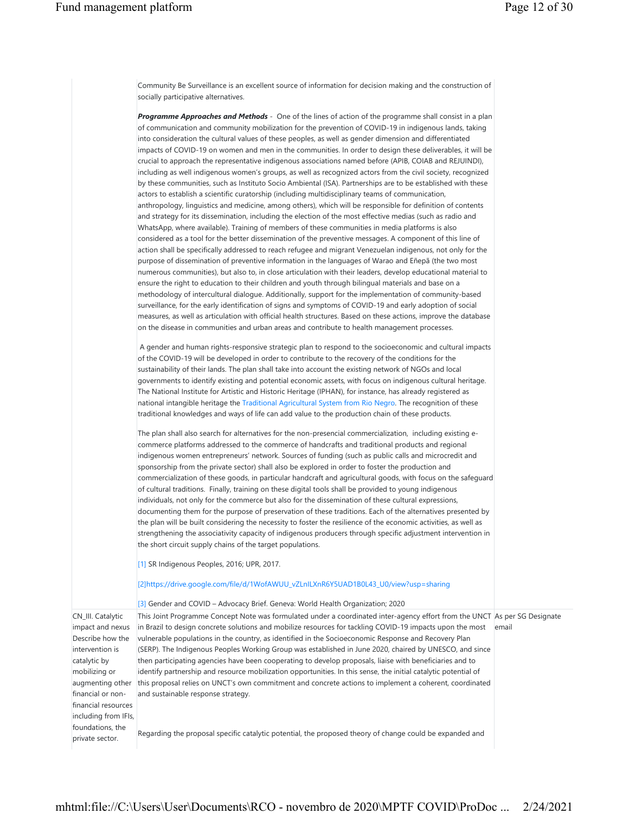|                                                                                                                                                                               | Community Be Surveillance is an excellent source of information for decision making and the construction of<br>socially participative alternatives.                                                                                                                                                                                                                                                                                                                                                                                                                                                                                                                                                                                                                                                                                                                                                                                                                                                                                                                                                                                                                                                                                                                                                                                                                                                                                                                                                                                                                                                                                                                                                                                                                                                                                                                                                                                                                                                                                                                                                                                                                                                                                                                                                                                                                                                                                                                                                                                                                                                                                                                                                                                                                                                                                                                                                          |       |
|-------------------------------------------------------------------------------------------------------------------------------------------------------------------------------|--------------------------------------------------------------------------------------------------------------------------------------------------------------------------------------------------------------------------------------------------------------------------------------------------------------------------------------------------------------------------------------------------------------------------------------------------------------------------------------------------------------------------------------------------------------------------------------------------------------------------------------------------------------------------------------------------------------------------------------------------------------------------------------------------------------------------------------------------------------------------------------------------------------------------------------------------------------------------------------------------------------------------------------------------------------------------------------------------------------------------------------------------------------------------------------------------------------------------------------------------------------------------------------------------------------------------------------------------------------------------------------------------------------------------------------------------------------------------------------------------------------------------------------------------------------------------------------------------------------------------------------------------------------------------------------------------------------------------------------------------------------------------------------------------------------------------------------------------------------------------------------------------------------------------------------------------------------------------------------------------------------------------------------------------------------------------------------------------------------------------------------------------------------------------------------------------------------------------------------------------------------------------------------------------------------------------------------------------------------------------------------------------------------------------------------------------------------------------------------------------------------------------------------------------------------------------------------------------------------------------------------------------------------------------------------------------------------------------------------------------------------------------------------------------------------------------------------------------------------------------------------------------------------|-------|
|                                                                                                                                                                               | <b>Programme Approaches and Methods</b> - One of the lines of action of the programme shall consist in a plan<br>of communication and community mobilization for the prevention of COVID-19 in indigenous lands, taking<br>into consideration the cultural values of these peoples, as well as gender dimension and differentiated<br>impacts of COVID-19 on women and men in the communities. In order to design these deliverables, it will be<br>crucial to approach the representative indigenous associations named before (APIB, COIAB and REJUINDI),<br>including as well indigenous women's groups, as well as recognized actors from the civil society, recognized<br>by these communities, such as Instituto Socio Ambiental (ISA). Partnerships are to be established with these<br>actors to establish a scientific curatorship (including multidisciplinary teams of communication,<br>anthropology, linguistics and medicine, among others), which will be responsible for definition of contents<br>and strategy for its dissemination, including the election of the most effective medias (such as radio and<br>WhatsApp, where available). Training of members of these communities in media platforms is also<br>considered as a tool for the better dissemination of the preventive messages. A component of this line of<br>action shall be specifically addressed to reach refugee and migrant Venezuelan indigenous, not only for the<br>purpose of dissemination of preventive information in the languages of Warao and Eñepã (the two most<br>numerous communities), but also to, in close articulation with their leaders, develop educational material to<br>ensure the right to education to their children and youth through bilingual materials and base on a<br>methodology of intercultural dialogue. Additionally, support for the implementation of community-based<br>surveillance, for the early identification of signs and symptoms of COVID-19 and early adoption of social<br>measures, as well as articulation with official health structures. Based on these actions, improve the database<br>on the disease in communities and urban areas and contribute to health management processes.<br>A gender and human rights-responsive strategic plan to respond to the socioeconomic and cultural impacts<br>of the COVID-19 will be developed in order to contribute to the recovery of the conditions for the<br>sustainability of their lands. The plan shall take into account the existing network of NGOs and local<br>governments to identify existing and potential economic assets, with focus on indigenous cultural heritage.<br>The National Institute for Artistic and Historic Heritage (IPHAN), for instance, has already registered as<br>national intangible heritage the Traditional Agricultural System from Rio Negro. The recognition of these |       |
|                                                                                                                                                                               | traditional knowledges and ways of life can add value to the production chain of these products.<br>The plan shall also search for alternatives for the non-presencial commercialization, including existing e-<br>commerce platforms addressed to the commerce of handcrafts and traditional products and regional<br>indigenous women entrepreneurs' network. Sources of funding (such as public calls and microcredit and<br>sponsorship from the private sector) shall also be explored in order to foster the production and<br>commercialization of these goods, in particular handcraft and agricultural goods, with focus on the safeguard<br>of cultural traditions. Finally, training on these digital tools shall be provided to young indigenous<br>individuals, not only for the commerce but also for the dissemination of these cultural expressions,<br>documenting them for the purpose of preservation of these traditions. Each of the alternatives presented by<br>the plan will be built considering the necessity to foster the resilience of the economic activities, as well as<br>strengthening the associativity capacity of indigenous producers through specific adjustment intervention in<br>the short circuit supply chains of the target populations.<br>[1] SR Indigenous Peoples, 2016; UPR, 2017.                                                                                                                                                                                                                                                                                                                                                                                                                                                                                                                                                                                                                                                                                                                                                                                                                                                                                                                                                                                                                                                                                                                                                                                                                                                                                                                                                                                                                                                                                                                                                                         |       |
|                                                                                                                                                                               | [2]https://drive.google.com/file/d/1WofAWUU_vZLnILXnR6Y5UAD1B0L43_U0/view?usp=sharing                                                                                                                                                                                                                                                                                                                                                                                                                                                                                                                                                                                                                                                                                                                                                                                                                                                                                                                                                                                                                                                                                                                                                                                                                                                                                                                                                                                                                                                                                                                                                                                                                                                                                                                                                                                                                                                                                                                                                                                                                                                                                                                                                                                                                                                                                                                                                                                                                                                                                                                                                                                                                                                                                                                                                                                                                        |       |
| CN_III. Catalytic<br>impact and nexus<br>Describe how the<br>intervention is<br>catalytic by<br>mobilizing or<br>augmenting other<br>financial or non-<br>financial resources | [3] Gender and COVID – Advocacy Brief. Geneva: World Health Organization; 2020<br>This Joint Programme Concept Note was formulated under a coordinated inter-agency effort from the UNCT As per SG Designate<br>in Brazil to design concrete solutions and mobilize resources for tackling COVID-19 impacts upon the most<br>vulnerable populations in the country, as identified in the Socioeconomic Response and Recovery Plan<br>(SERP). The Indigenous Peoples Working Group was established in June 2020, chaired by UNESCO, and since<br>then participating agencies have been cooperating to develop proposals, liaise with beneficiaries and to<br>identify partnership and resource mobilization opportunities. In this sense, the initial catalytic potential of<br>this proposal relies on UNCT's own commitment and concrete actions to implement a coherent, coordinated<br>and sustainable response strategy.                                                                                                                                                                                                                                                                                                                                                                                                                                                                                                                                                                                                                                                                                                                                                                                                                                                                                                                                                                                                                                                                                                                                                                                                                                                                                                                                                                                                                                                                                                                                                                                                                                                                                                                                                                                                                                                                                                                                                                                 | email |
| including from IFIs,<br>foundations, the<br>private sector.                                                                                                                   | Regarding the proposal specific catalytic potential, the proposed theory of change could be expanded and                                                                                                                                                                                                                                                                                                                                                                                                                                                                                                                                                                                                                                                                                                                                                                                                                                                                                                                                                                                                                                                                                                                                                                                                                                                                                                                                                                                                                                                                                                                                                                                                                                                                                                                                                                                                                                                                                                                                                                                                                                                                                                                                                                                                                                                                                                                                                                                                                                                                                                                                                                                                                                                                                                                                                                                                     |       |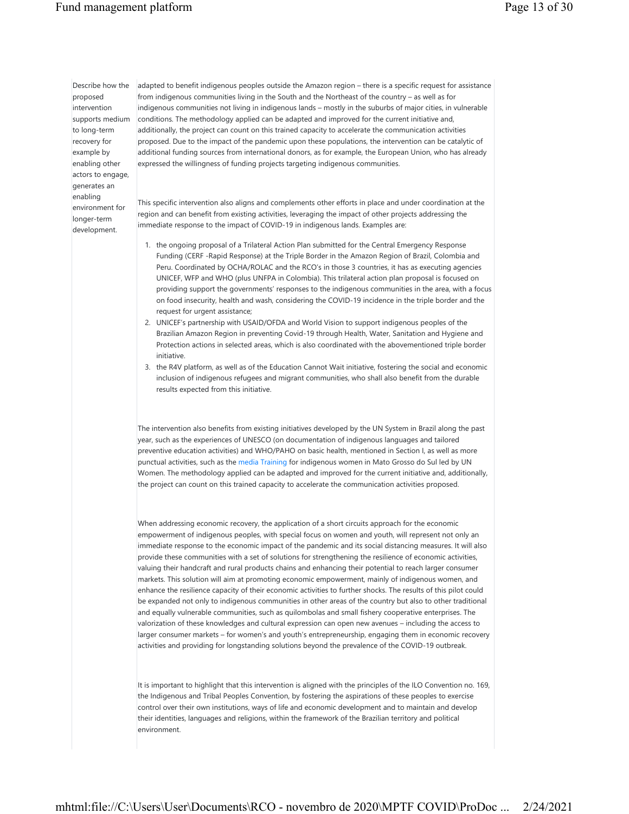## Fund management platform Page 13 of 30

Describe how the proposed intervention to long-term recovery for example by enabling other actors to engage, generates an enabling environment for longer-term development.

supports medium conditions. The methodology applied can be adapted and improved for the current initiative and, adapted to benefit indigenous peoples outside the Amazon region – there is a specific request for assistance from indigenous communities living in the South and the Northeast of the country – as well as for indigenous communities not living in indigenous lands – mostly in the suburbs of major cities, in vulnerable additionally, the project can count on this trained capacity to accelerate the communication activities proposed. Due to the impact of the pandemic upon these populations, the intervention can be catalytic of additional funding sources from international donors, as for example, the European Union, who has already expressed the willingness of funding projects targeting indigenous communities.

> This specific intervention also aligns and complements other efforts in place and under coordination at the region and can benefit from existing activities, leveraging the impact of other projects addressing the immediate response to the impact of COVID-19 in indigenous lands. Examples are:

- 1. the ongoing proposal of a Trilateral Action Plan submitted for the Central Emergency Response Funding (CERF -Rapid Response) at the Triple Border in the Amazon Region of Brazil, Colombia and Peru. Coordinated by OCHA/ROLAC and the RCO's in those 3 countries, it has as executing agencies UNICEF, WFP and WHO (plus UNFPA in Colombia). This trilateral action plan proposal is focused on providing support the governments' responses to the indigenous communities in the area, with a focus on food insecurity, health and wash, considering the COVID-19 incidence in the triple border and the request for urgent assistance;
- 2. UNICEF's partnership with USAID/OFDA and World Vision to support indigenous peoples of the Brazilian Amazon Region in preventing Covid-19 through Health, Water, Sanitation and Hygiene and Protection actions in selected areas, which is also coordinated with the abovementioned triple border initiative.
- 3. the R4V platform, as well as of the Education Cannot Wait initiative, fostering the social and economic inclusion of indigenous refugees and migrant communities, who shall also benefit from the durable results expected from this initiative.

The intervention also benefits from existing initiatives developed by the UN System in Brazil along the past year, such as the experiences of UNESCO (on documentation of indigenous languages and tailored preventive education activities) and WHO/PAHO on basic health, mentioned in Section I, as well as more punctual activities, such as the media Training for indigenous women in Mato Grosso do Sul led by UN Women. The methodology applied can be adapted and improved for the current initiative and, additionally, the project can count on this trained capacity to accelerate the communication activities proposed.

When addressing economic recovery, the application of a short circuits approach for the economic empowerment of indigenous peoples, with special focus on women and youth, will represent not only an immediate response to the economic impact of the pandemic and its social distancing measures. It will also provide these communities with a set of solutions for strengthening the resilience of economic activities, valuing their handcraft and rural products chains and enhancing their potential to reach larger consumer markets. This solution will aim at promoting economic empowerment, mainly of indigenous women, and enhance the resilience capacity of their economic activities to further shocks. The results of this pilot could be expanded not only to indigenous communities in other areas of the country but also to other traditional and equally vulnerable communities, such as quilombolas and small fishery cooperative enterprises. The valorization of these knowledges and cultural expression can open new avenues – including the access to larger consumer markets – for women's and youth's entrepreneurship, engaging them in economic recovery activities and providing for longstanding solutions beyond the prevalence of the COVID-19 outbreak.

It is important to highlight that this intervention is aligned with the principles of the ILO Convention no. 169, the Indigenous and Tribal Peoples Convention, by fostering the aspirations of these peoples to exercise control over their own institutions, ways of life and economic development and to maintain and develop their identities, languages and religions, within the framework of the Brazilian territory and political environment.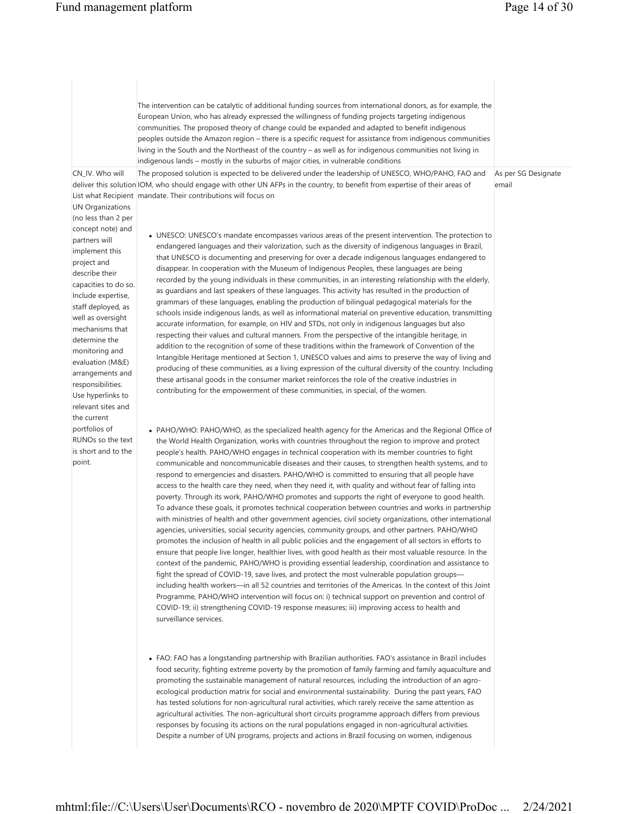|                                                                                                                                                                                                                                                                                                                                                                                                                   | The intervention can be catalytic of additional funding sources from international donors, as for example, the<br>European Union, who has already expressed the willingness of funding projects targeting indigenous<br>communities. The proposed theory of change could be expanded and adapted to benefit indigenous<br>peoples outside the Amazon region - there is a specific request for assistance from indigenous communities<br>living in the South and the Northeast of the country - as well as for indigenous communities not living in<br>indigenous lands – mostly in the suburbs of major cities, in vulnerable conditions                                                                                                                                                                                                                                                                                                                                                                                                                                                                                                                                                                                                                                                                                                                                                                                                                                                                                                                                                                                                                                                                                                                                                                                                                                       |                              |
|-------------------------------------------------------------------------------------------------------------------------------------------------------------------------------------------------------------------------------------------------------------------------------------------------------------------------------------------------------------------------------------------------------------------|--------------------------------------------------------------------------------------------------------------------------------------------------------------------------------------------------------------------------------------------------------------------------------------------------------------------------------------------------------------------------------------------------------------------------------------------------------------------------------------------------------------------------------------------------------------------------------------------------------------------------------------------------------------------------------------------------------------------------------------------------------------------------------------------------------------------------------------------------------------------------------------------------------------------------------------------------------------------------------------------------------------------------------------------------------------------------------------------------------------------------------------------------------------------------------------------------------------------------------------------------------------------------------------------------------------------------------------------------------------------------------------------------------------------------------------------------------------------------------------------------------------------------------------------------------------------------------------------------------------------------------------------------------------------------------------------------------------------------------------------------------------------------------------------------------------------------------------------------------------------------------|------------------------------|
| CN_IV. Who will<br><b>UN Organizations</b><br>(no less than 2 per<br>concept note) and<br>partners will<br>implement this<br>project and<br>describe their<br>capacities to do so.<br>Include expertise,<br>staff deployed, as<br>well as oversight<br>mechanisms that<br>determine the<br>monitoring and<br>evaluation (M&E)<br>arrangements and<br>responsibilities.<br>Use hyperlinks to<br>relevant sites and | The proposed solution is expected to be delivered under the leadership of UNESCO, WHO/PAHO, FAO and<br>deliver this solution IOM, who should engage with other UN AFPs in the country, to benefit from expertise of their areas of<br>List what Recipient   mandate. Their contributions will focus on<br>• UNESCO: UNESCO's mandate encompasses various areas of the present intervention. The protection to<br>endangered languages and their valorization, such as the diversity of indigenous languages in Brazil,<br>that UNESCO is documenting and preserving for over a decade indigenous languages endangered to<br>disappear. In cooperation with the Museum of Indigenous Peoples, these languages are being<br>recorded by the young individuals in these communities, in an interesting relationship with the elderly,<br>as guardians and last speakers of these languages. This activity has resulted in the production of<br>grammars of these languages, enabling the production of bilingual pedagogical materials for the<br>schools inside indigenous lands, as well as informational material on preventive education, transmitting<br>accurate information, for example, on HIV and STDs, not only in indigenous languages but also<br>respecting their values and cultural manners. From the perspective of the intangible heritage, in<br>addition to the recognition of some of these traditions within the framework of Convention of the<br>Intangible Heritage mentioned at Section 1, UNESCO values and aims to preserve the way of living and<br>producing of these communities, as a living expression of the cultural diversity of the country. Including<br>these artisanal goods in the consumer market reinforces the role of the creative industries in<br>contributing for the empowerment of these communities, in special, of the women. | As per SG Designate<br>email |
| the current<br>portfolios of<br>RUNOs so the text<br>is short and to the<br>point.                                                                                                                                                                                                                                                                                                                                | • PAHO/WHO: PAHO/WHO, as the specialized health agency for the Americas and the Regional Office of<br>the World Health Organization, works with countries throughout the region to improve and protect<br>people's health. PAHO/WHO engages in technical cooperation with its member countries to fight<br>communicable and noncommunicable diseases and their causes, to strengthen health systems, and to<br>respond to emergencies and disasters. PAHO/WHO is committed to ensuring that all people have<br>access to the health care they need, when they need it, with quality and without fear of falling into<br>poverty. Through its work, PAHO/WHO promotes and supports the right of everyone to good health.<br>To advance these goals, it promotes technical cooperation between countries and works in partnership<br>with ministries of health and other government agencies, civil society organizations, other international<br>agencies, universities, social security agencies, community groups, and other partners. PAHO/WHO<br>promotes the inclusion of health in all public policies and the engagement of all sectors in efforts to<br>ensure that people live longer, healthier lives, with good health as their most valuable resource. In the<br>context of the pandemic, PAHO/WHO is providing essential leadership, coordination and assistance to<br>fight the spread of COVID-19, save lives, and protect the most vulnerable population groups—<br>including health workers—in all 52 countries and territories of the Americas. In the context of this Joint<br>Programme, PAHO/WHO intervention will focus on: i) technical support on prevention and control of<br>COVID-19; ii) strengthening COVID-19 response measures; iii) improving access to health and<br>surveillance services.                                                    |                              |
|                                                                                                                                                                                                                                                                                                                                                                                                                   | • FAO: FAO has a longstanding partnership with Brazilian authorities. FAO's assistance in Brazil includes<br>food security, fighting extreme poverty by the promotion of family farming and family aquaculture and<br>promoting the sustainable management of natural resources, including the introduction of an agro-<br>ecological production matrix for social and environmental sustainability. During the past years, FAO<br>has tested solutions for non-agricultural rural activities, which rarely receive the same attention as<br>agricultural activities. The non-agricultural short circuits programme approach differs from previous<br>responses by focusing its actions on the rural populations engaged in non-agricultural activities.                                                                                                                                                                                                                                                                                                                                                                                                                                                                                                                                                                                                                                                                                                                                                                                                                                                                                                                                                                                                                                                                                                                       |                              |

Despite a number of UN programs, projects and actions in Brazil focusing on women, indigenous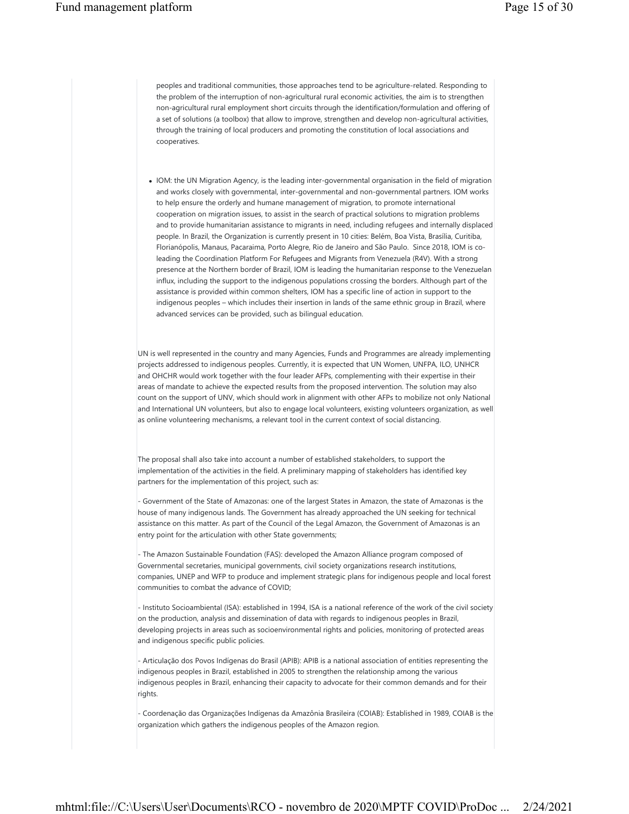peoples and traditional communities, those approaches tend to be agriculture-related. Responding to the problem of the interruption of non-agricultural rural economic activities, the aim is to strengthen non-agricultural rural employment short circuits through the identification/formulation and offering of a set of solutions (a toolbox) that allow to improve, strengthen and develop non-agricultural activities, through the training of local producers and promoting the constitution of local associations and cooperatives.

 IOM: the UN Migration Agency, is the leading inter-governmental organisation in the field of migration and works closely with governmental, inter-governmental and non-governmental partners. IOM works to help ensure the orderly and humane management of migration, to promote international cooperation on migration issues, to assist in the search of practical solutions to migration problems and to provide humanitarian assistance to migrants in need, including refugees and internally displaced people. In Brazil, the Organization is currently present in 10 cities: Belém, Boa Vista, Brasília, Curitiba, Florianópolis, Manaus, Pacaraima, Porto Alegre, Rio de Janeiro and São Paulo. Since 2018, IOM is coleading the Coordination Platform For Refugees and Migrants from Venezuela (R4V). With a strong presence at the Northern border of Brazil, IOM is leading the humanitarian response to the Venezuelan influx, including the support to the indigenous populations crossing the borders. Although part of the assistance is provided within common shelters, IOM has a specific line of action in support to the indigenous peoples – which includes their insertion in lands of the same ethnic group in Brazil, where advanced services can be provided, such as bilingual education.

UN is well represented in the country and many Agencies, Funds and Programmes are already implementing projects addressed to indigenous peoples. Currently, it is expected that UN Women, UNFPA, ILO, UNHCR and OHCHR would work together with the four leader AFPs, complementing with their expertise in their areas of mandate to achieve the expected results from the proposed intervention. The solution may also count on the support of UNV, which should work in alignment with other AFPs to mobilize not only National and International UN volunteers, but also to engage local volunteers, existing volunteers organization, as well as online volunteering mechanisms, a relevant tool in the current context of social distancing.

The proposal shall also take into account a number of established stakeholders, to support the implementation of the activities in the field. A preliminary mapping of stakeholders has identified key partners for the implementation of this project, such as:

- Government of the State of Amazonas: one of the largest States in Amazon, the state of Amazonas is the house of many indigenous lands. The Government has already approached the UN seeking for technical assistance on this matter. As part of the Council of the Legal Amazon, the Government of Amazonas is an entry point for the articulation with other State governments;

- The Amazon Sustainable Foundation (FAS): developed the Amazon Alliance program composed of Governmental secretaries, municipal governments, civil society organizations research institutions, companies, UNEP and WFP to produce and implement strategic plans for indigenous people and local forest communities to combat the advance of COVID;

- Instituto Socioambiental (ISA): established in 1994, ISA is a national reference of the work of the civil society on the production, analysis and dissemination of data with regards to indigenous peoples in Brazil, developing projects in areas such as socioenvironmental rights and policies, monitoring of protected areas and indigenous specific public policies.

- Articulação dos Povos Indígenas do Brasil (APIB): APIB is a national association of entities representing the indigenous peoples in Brazil, established in 2005 to strengthen the relationship among the various indigenous peoples in Brazil, enhancing their capacity to advocate for their common demands and for their rights.

- Coordenação das Organizações Indígenas da Amazônia Brasileira (COIAB): Established in 1989, COIAB is the organization which gathers the indigenous peoples of the Amazon region.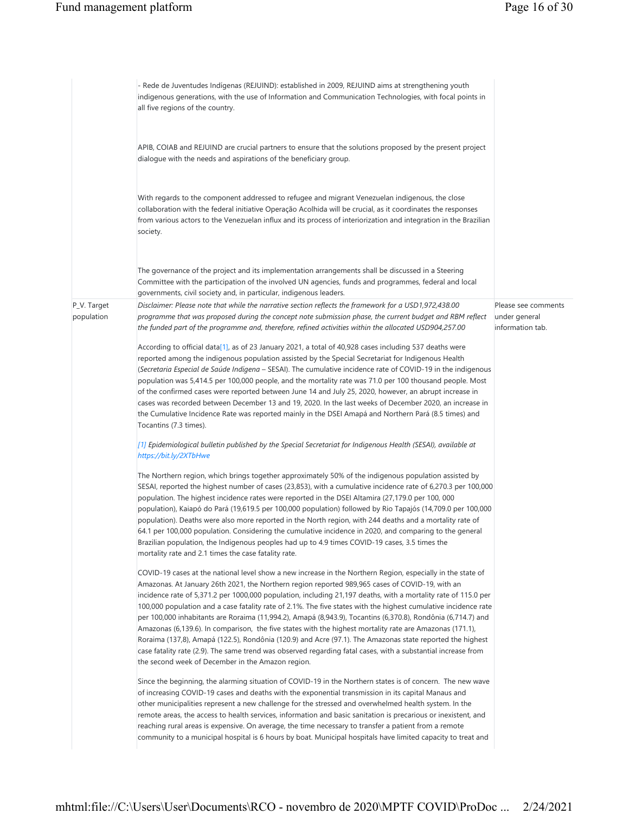|                           | - Rede de Juventudes Indígenas (REJUIND): established in 2009, REJUIND aims at strengthening youth<br>indigenous generations, with the use of Information and Communication Technologies, with focal points in<br>all five regions of the country.                                                                                                                                                                                                                                                                                                                                                                                                                                                                                                                                                                                                                                                                                                                 |                                                          |
|---------------------------|--------------------------------------------------------------------------------------------------------------------------------------------------------------------------------------------------------------------------------------------------------------------------------------------------------------------------------------------------------------------------------------------------------------------------------------------------------------------------------------------------------------------------------------------------------------------------------------------------------------------------------------------------------------------------------------------------------------------------------------------------------------------------------------------------------------------------------------------------------------------------------------------------------------------------------------------------------------------|----------------------------------------------------------|
|                           | APIB, COIAB and REJUIND are crucial partners to ensure that the solutions proposed by the present project<br>dialogue with the needs and aspirations of the beneficiary group.                                                                                                                                                                                                                                                                                                                                                                                                                                                                                                                                                                                                                                                                                                                                                                                     |                                                          |
|                           | With regards to the component addressed to refugee and migrant Venezuelan indigenous, the close<br>collaboration with the federal initiative Operação Acolhida will be crucial, as it coordinates the responses<br>from various actors to the Venezuelan influx and its process of interiorization and integration in the Brazilian<br>society.                                                                                                                                                                                                                                                                                                                                                                                                                                                                                                                                                                                                                    |                                                          |
|                           | The governance of the project and its implementation arrangements shall be discussed in a Steering <br>Committee with the participation of the involved UN agencies, funds and programmes, federal and local<br>governments, civil society and, in particular, indigenous leaders.                                                                                                                                                                                                                                                                                                                                                                                                                                                                                                                                                                                                                                                                                 |                                                          |
| P_V. Target<br>population | Disclaimer: Please note that while the narrative section reflects the framework for a USD1,972,438.00<br>programme that was proposed during the concept note submission phase, the current budget and RBM reflect<br>the funded part of the programme and, therefore, refined activities within the allocated USD904,257.00                                                                                                                                                                                                                                                                                                                                                                                                                                                                                                                                                                                                                                        | Please see comments<br>under general<br>information tab. |
|                           | According to official data[1], as of 23 January 2021, a total of 40,928 cases including 537 deaths were<br>reported among the indigenous population assisted by the Special Secretariat for Indigenous Health<br>(Secretaria Especial de Saúde Indígena – SESAI). The cumulative incidence rate of COVID-19 in the indigenous<br>population was 5,414.5 per 100,000 people, and the mortality rate was 71.0 per 100 thousand people. Most<br>of the confirmed cases were reported between June 14 and July 25, 2020, however, an abrupt increase in<br>cases was recorded between December 13 and 19, 2020. In the last weeks of December 2020, an increase in<br>the Cumulative Incidence Rate was reported mainly in the DSEI Amapá and Northern Pará (8.5 times) and<br>Tocantins (7.3 times).                                                                                                                                                                  |                                                          |
|                           | [1] Epidemiological bulletin published by the Special Secretariat for Indigenous Health (SESAI), available at<br>https://bit.ly/2XTbHwe                                                                                                                                                                                                                                                                                                                                                                                                                                                                                                                                                                                                                                                                                                                                                                                                                            |                                                          |
|                           | The Northern region, which brings together approximately 50% of the indigenous population assisted by<br>SESAI, reported the highest number of cases (23,853), with a cumulative incidence rate of 6,270.3 per 100,000<br>population. The highest incidence rates were reported in the DSEI Altamira (27,179.0 per 100, 000<br>population), Kaiapó do Pará (19,619.5 per 100,000 population) followed by Rio Tapajós (14,709.0 per 100,000<br>population). Deaths were also more reported in the North region, with 244 deaths and a mortality rate of<br>64.1 per 100,000 population. Considering the cumulative incidence in 2020, and comparing to the general<br>Brazilian population, the Indigenous peoples had up to 4.9 times COVID-19 cases, 3.5 times the<br>mortality rate and 2.1 times the case fatality rate.                                                                                                                                        |                                                          |
|                           | COVID-19 cases at the national level show a new increase in the Northern Region, especially in the state of<br>Amazonas. At January 26th 2021, the Northern region reported 989,965 cases of COVID-19, with an<br>incidence rate of 5,371.2 per 1000,000 population, including 21,197 deaths, with a mortality rate of 115.0 per<br>100,000 population and a case fatality rate of 2.1%. The five states with the highest cumulative incidence rate<br>per 100,000 inhabitants are Roraima (11,994.2), Amapá (8,943.9), Tocantins (6,370.8), Rondônia (6,714.7) and<br>Amazonas (6,139.6). In comparison, the five states with the highest mortality rate are Amazonas (171.1),<br>Roraima (137,8), Amapá (122.5), Rondônia (120.9) and Acre (97.1). The Amazonas state reported the highest<br>case fatality rate (2.9). The same trend was observed regarding fatal cases, with a substantial increase from<br>the second week of December in the Amazon region. |                                                          |
|                           | Since the beginning, the alarming situation of COVID-19 in the Northern states is of concern. The new wave<br>of increasing COVID-19 cases and deaths with the exponential transmission in its capital Manaus and<br>other municipalities represent a new challenge for the stressed and overwhelmed health system. In the<br>remote areas, the access to health services, information and basic sanitation is precarious or inexistent, and<br>reaching rural areas is expensive. On average, the time necessary to transfer a patient from a remote<br>community to a municipal hospital is 6 hours by boat. Municipal hospitals have limited capacity to treat and                                                                                                                                                                                                                                                                                              |                                                          |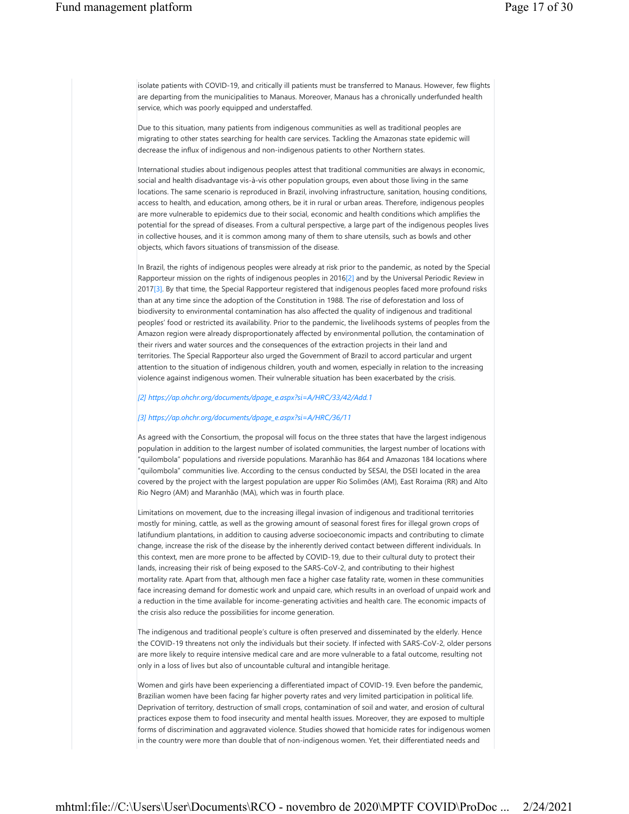isolate patients with COVID-19, and critically ill patients must be transferred to Manaus. However, few flights are departing from the municipalities to Manaus. Moreover, Manaus has a chronically underfunded health service, which was poorly equipped and understaffed.

Due to this situation, many patients from indigenous communities as well as traditional peoples are migrating to other states searching for health care services. Tackling the Amazonas state epidemic will decrease the influx of indigenous and non-indigenous patients to other Northern states.

International studies about indigenous peoples attest that traditional communities are always in economic, social and health disadvantage vis-à-vis other population groups, even about those living in the same locations. The same scenario is reproduced in Brazil, involving infrastructure, sanitation, housing conditions, access to health, and education, among others, be it in rural or urban areas. Therefore, indigenous peoples are more vulnerable to epidemics due to their social, economic and health conditions which amplifies the potential for the spread of diseases. From a cultural perspective, a large part of the indigenous peoples lives in collective houses, and it is common among many of them to share utensils, such as bowls and other objects, which favors situations of transmission of the disease.

In Brazil, the rights of indigenous peoples were already at risk prior to the pandemic, as noted by the Special Rapporteur mission on the rights of indigenous peoples in 2016[2] and by the Universal Periodic Review in 2017[3]. By that time, the Special Rapporteur registered that indigenous peoples faced more profound risks than at any time since the adoption of the Constitution in 1988. The rise of deforestation and loss of biodiversity to environmental contamination has also affected the quality of indigenous and traditional peoples' food or restricted its availability. Prior to the pandemic, the livelihoods systems of peoples from the Amazon region were already disproportionately affected by environmental pollution, the contamination of their rivers and water sources and the consequences of the extraction projects in their land and territories. The Special Rapporteur also urged the Government of Brazil to accord particular and urgent attention to the situation of indigenous children, youth and women, especially in relation to the increasing violence against indigenous women. Their vulnerable situation has been exacerbated by the crisis.

#### *[2] https://ap.ohchr.org/documents/dpage\_e.aspx?si=A/HRC/33/42/Add.1*

#### *[3] https://ap.ohchr.org/documents/dpage\_e.aspx?si=A/HRC/36/11*

As agreed with the Consortium, the proposal will focus on the three states that have the largest indigenous population in addition to the largest number of isolated communities, the largest number of locations with "quilombola" populations and riverside populations. Maranhão has 864 and Amazonas 184 locations where "quilombola" communities live. According to the census conducted by SESAI, the DSEI located in the area covered by the project with the largest population are upper Rio Solimões (AM), East Roraima (RR) and Alto Rio Negro (AM) and Maranhão (MA), which was in fourth place.

Limitations on movement, due to the increasing illegal invasion of indigenous and traditional territories mostly for mining, cattle, as well as the growing amount of seasonal forest fires for illegal grown crops of latifundium plantations, in addition to causing adverse socioeconomic impacts and contributing to climate change, increase the risk of the disease by the inherently derived contact between different individuals. In this context, men are more prone to be affected by COVID-19, due to their cultural duty to protect their lands, increasing their risk of being exposed to the SARS-CoV-2, and contributing to their highest mortality rate. Apart from that, although men face a higher case fatality rate, women in these communities face increasing demand for domestic work and unpaid care, which results in an overload of unpaid work and a reduction in the time available for income-generating activities and health care. The economic impacts of the crisis also reduce the possibilities for income generation.

The indigenous and traditional people's culture is often preserved and disseminated by the elderly. Hence the COVID-19 threatens not only the individuals but their society. If infected with SARS-CoV-2, older persons are more likely to require intensive medical care and are more vulnerable to a fatal outcome, resulting not only in a loss of lives but also of uncountable cultural and intangible heritage.

Women and girls have been experiencing a differentiated impact of COVID-19. Even before the pandemic, Brazilian women have been facing far higher poverty rates and very limited participation in political life. Deprivation of territory, destruction of small crops, contamination of soil and water, and erosion of cultural practices expose them to food insecurity and mental health issues. Moreover, they are exposed to multiple forms of discrimination and aggravated violence. Studies showed that homicide rates for indigenous women in the country were more than double that of non-indigenous women. Yet, their differentiated needs and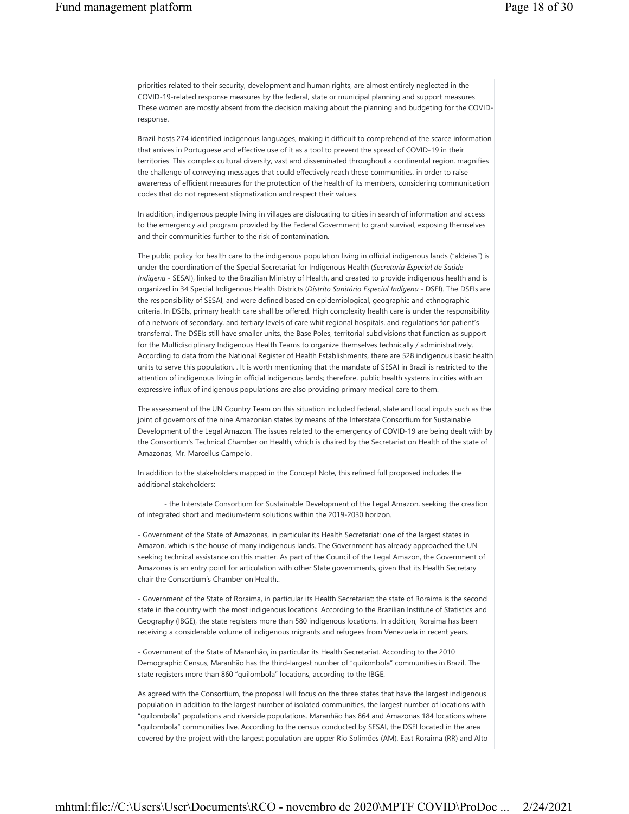priorities related to their security, development and human rights, are almost entirely neglected in the COVID-19-related response measures by the federal, state or municipal planning and support measures. These women are mostly absent from the decision making about the planning and budgeting for the COVIDresponse.

Brazil hosts 274 identified indigenous languages, making it difficult to comprehend of the scarce information that arrives in Portuguese and effective use of it as a tool to prevent the spread of COVID-19 in their territories. This complex cultural diversity, vast and disseminated throughout a continental region, magnifies the challenge of conveying messages that could effectively reach these communities, in order to raise awareness of efficient measures for the protection of the health of its members, considering communication codes that do not represent stigmatization and respect their values.

In addition, indigenous people living in villages are dislocating to cities in search of information and access to the emergency aid program provided by the Federal Government to grant survival, exposing themselves and their communities further to the risk of contamination.

The public policy for health care to the indigenous population living in official indigenous lands ("aldeias") is under the coordination of the Special Secretariat for Indigenous Health (*Secretaria Especial de Saúde Indígena* - SESAI), linked to the Brazilian Ministry of Health, and created to provide indigenous health and is organized in 34 Special Indigenous Health Districts (*Distrito Sanitário Especial Indígena -* DSEI). The DSEIs are the responsibility of SESAI, and were defined based on epidemiological, geographic and ethnographic criteria. In DSEIs, primary health care shall be offered. High complexity health care is under the responsibility of a network of secondary, and tertiary levels of care whit regional hospitals, and regulations for patient's transferral. The DSEIs still have smaller units, the Base Poles, territorial subdivisions that function as support for the Multidisciplinary Indigenous Health Teams to organize themselves technically / administratively. According to data from the National Register of Health Establishments, there are 528 indigenous basic health units to serve this population. . It is worth mentioning that the mandate of SESAI in Brazil is restricted to the attention of indigenous living in official indigenous lands; therefore, public health systems in cities with an expressive influx of indigenous populations are also providing primary medical care to them.

The assessment of the UN Country Team on this situation included federal, state and local inputs such as the joint of governors of the nine Amazonian states by means of the Interstate Consortium for Sustainable Development of the Legal Amazon. The issues related to the emergency of COVID-19 are being dealt with by the Consortium's Technical Chamber on Health, which is chaired by the Secretariat on Health of the state of Amazonas, Mr. Marcellus Campelo.

In addition to the stakeholders mapped in the Concept Note, this refined full proposed includes the additional stakeholders:

- the Interstate Consortium for Sustainable Development of the Legal Amazon, seeking the creation of integrated short and medium-term solutions within the 2019-2030 horizon.

Government of the State of Amazonas, in particular its Health Secretariat: one of the largest states in Amazon, which is the house of many indigenous lands. The Government has already approached the UN seeking technical assistance on this matter. As part of the Council of the Legal Amazon, the Government of Amazonas is an entry point for articulation with other State governments, given that its Health Secretary chair the Consortium's Chamber on Health..

- Government of the State of Roraima, in particular its Health Secretariat: the state of Roraima is the second state in the country with the most indigenous locations. According to the Brazilian Institute of Statistics and Geography (IBGE), the state registers more than 580 indigenous locations. In addition, Roraima has been receiving a considerable volume of indigenous migrants and refugees from Venezuela in recent years.

- Government of the State of Maranhão, in particular its Health Secretariat. According to the 2010 Demographic Census, Maranhão has the third-largest number of "quilombola" communities in Brazil. The state registers more than 860 "quilombola" locations, according to the IBGE.

As agreed with the Consortium, the proposal will focus on the three states that have the largest indigenous population in addition to the largest number of isolated communities, the largest number of locations with "quilombola" populations and riverside populations. Maranhão has 864 and Amazonas 184 locations where "quilombola" communities live. According to the census conducted by SESAI, the DSEI located in the area covered by the project with the largest population are upper Rio Solimões (AM), East Roraima (RR) and Alto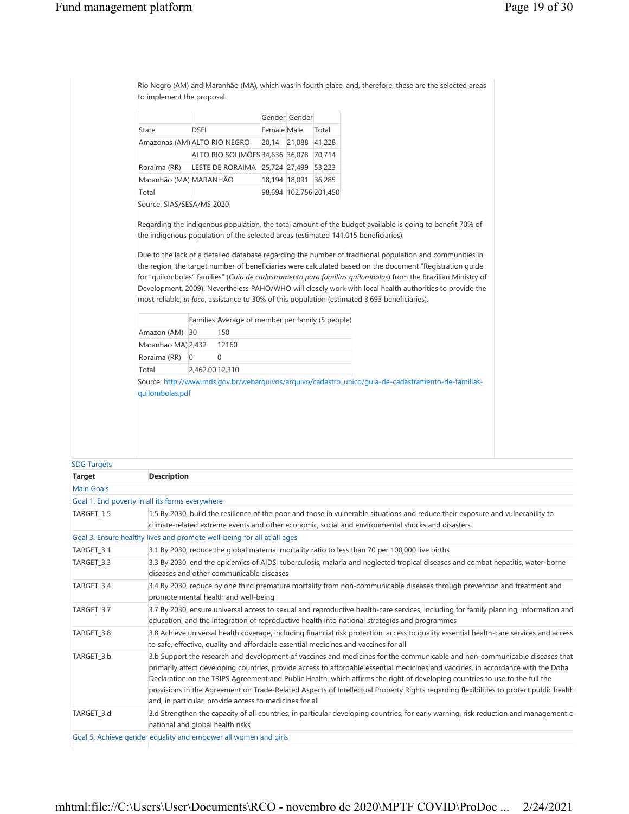|                                                      |                                                                                                                                                                                                                                                                                                                                                                                                                                                                                                                                                                                                                                                                                                                                                      |             | Gender Gender        |                        |  |  |  |  |
|------------------------------------------------------|------------------------------------------------------------------------------------------------------------------------------------------------------------------------------------------------------------------------------------------------------------------------------------------------------------------------------------------------------------------------------------------------------------------------------------------------------------------------------------------------------------------------------------------------------------------------------------------------------------------------------------------------------------------------------------------------------------------------------------------------------|-------------|----------------------|------------------------|--|--|--|--|
| State                                                | <b>DSEI</b>                                                                                                                                                                                                                                                                                                                                                                                                                                                                                                                                                                                                                                                                                                                                          | Female Male |                      | Total                  |  |  |  |  |
|                                                      | Amazonas (AM) ALTO RIO NEGRO                                                                                                                                                                                                                                                                                                                                                                                                                                                                                                                                                                                                                                                                                                                         |             | 20,14 21,088 41,228  |                        |  |  |  |  |
|                                                      | ALTO RIO SOLIMÕES 34,636 36,078 70,714                                                                                                                                                                                                                                                                                                                                                                                                                                                                                                                                                                                                                                                                                                               |             |                      |                        |  |  |  |  |
| Roraima (RR)                                         | LESTE DE RORAIMA 25,724 27,499 53,223                                                                                                                                                                                                                                                                                                                                                                                                                                                                                                                                                                                                                                                                                                                |             |                      |                        |  |  |  |  |
| Maranhão (MA) MARANHÃO                               |                                                                                                                                                                                                                                                                                                                                                                                                                                                                                                                                                                                                                                                                                                                                                      |             | 18,194 18,091 36,285 |                        |  |  |  |  |
| Total                                                |                                                                                                                                                                                                                                                                                                                                                                                                                                                                                                                                                                                                                                                                                                                                                      |             |                      | 98,694 102,756 201,450 |  |  |  |  |
| Source: SIAS/SESA/MS 2020                            |                                                                                                                                                                                                                                                                                                                                                                                                                                                                                                                                                                                                                                                                                                                                                      |             |                      |                        |  |  |  |  |
|                                                      | Regarding the indigenous population, the total amount of the budget available is going to benefit 70% of<br>the indigenous population of the selected areas (estimated 141,015 beneficiaries).<br>Due to the lack of a detailed database regarding the number of traditional population and communities in<br>the region, the target number of beneficiaries were calculated based on the document "Registration guide"<br>for "quilombolas" families" (Guia de cadastramento para famílias quilombolas) from the Brazilian Ministry of<br>Development, 2009). Nevertheless PAHO/WHO will closely work with local health authorities to provide the<br>most reliable, in loco, assistance to 30% of this population (estimated 3,693 beneficiaries). |             |                      |                        |  |  |  |  |
|                                                      |                                                                                                                                                                                                                                                                                                                                                                                                                                                                                                                                                                                                                                                                                                                                                      |             |                      |                        |  |  |  |  |
|                                                      | Families Average of member per family (5 people)                                                                                                                                                                                                                                                                                                                                                                                                                                                                                                                                                                                                                                                                                                     |             |                      |                        |  |  |  |  |
|                                                      | 150                                                                                                                                                                                                                                                                                                                                                                                                                                                                                                                                                                                                                                                                                                                                                  |             |                      |                        |  |  |  |  |
|                                                      | 12160                                                                                                                                                                                                                                                                                                                                                                                                                                                                                                                                                                                                                                                                                                                                                |             |                      |                        |  |  |  |  |
| Amazon (AM) 30<br>Maranhao MA) 2,432<br>Roraima (RR) | $\overline{0}$<br>$\Omega$                                                                                                                                                                                                                                                                                                                                                                                                                                                                                                                                                                                                                                                                                                                           |             |                      |                        |  |  |  |  |
| Total                                                | 2,462.00 12,310                                                                                                                                                                                                                                                                                                                                                                                                                                                                                                                                                                                                                                                                                                                                      |             |                      |                        |  |  |  |  |
|                                                      | Source: http://www.mds.gov.br/webarquivos/arquivo/cadastro_unico/quia-de-cadastramento-de-familias-                                                                                                                                                                                                                                                                                                                                                                                                                                                                                                                                                                                                                                                  |             |                      |                        |  |  |  |  |
| quilombolas.pdf                                      |                                                                                                                                                                                                                                                                                                                                                                                                                                                                                                                                                                                                                                                                                                                                                      |             |                      |                        |  |  |  |  |

### SDG Targets

| <b>Target</b>     | <b>Description</b>                                                                                                                                                                                                                                                                                                                                                                                                                                                                                                                                                                                  |
|-------------------|-----------------------------------------------------------------------------------------------------------------------------------------------------------------------------------------------------------------------------------------------------------------------------------------------------------------------------------------------------------------------------------------------------------------------------------------------------------------------------------------------------------------------------------------------------------------------------------------------------|
| <b>Main Goals</b> |                                                                                                                                                                                                                                                                                                                                                                                                                                                                                                                                                                                                     |
|                   | Goal 1. End poverty in all its forms everywhere                                                                                                                                                                                                                                                                                                                                                                                                                                                                                                                                                     |
| TARGET 1.5        | 1.5 By 2030, build the resilience of the poor and those in vulnerable situations and reduce their exposure and vulnerability to<br>climate-related extreme events and other economic, social and environmental shocks and disasters                                                                                                                                                                                                                                                                                                                                                                 |
|                   | Goal 3. Ensure healthy lives and promote well-being for all at all ages                                                                                                                                                                                                                                                                                                                                                                                                                                                                                                                             |
| TARGET_3.1        | 3.1 By 2030, reduce the global maternal mortality ratio to less than 70 per 100,000 live births                                                                                                                                                                                                                                                                                                                                                                                                                                                                                                     |
| TARGET 3.3        | 3.3 By 2030, end the epidemics of AIDS, tuberculosis, malaria and neglected tropical diseases and combat hepatitis, water-borne<br>diseases and other communicable diseases                                                                                                                                                                                                                                                                                                                                                                                                                         |
| TARGET 3.4        | 3.4 By 2030, reduce by one third premature mortality from non-communicable diseases through prevention and treatment and<br>promote mental health and well-being                                                                                                                                                                                                                                                                                                                                                                                                                                    |
| TARGET 3.7        | 3.7 By 2030, ensure universal access to sexual and reproductive health-care services, including for family planning, information and<br>education, and the integration of reproductive health into national strategies and programmes                                                                                                                                                                                                                                                                                                                                                               |
| TARGET 3.8        | 3.8 Achieve universal health coverage, including financial risk protection, access to quality essential health-care services and access<br>to safe, effective, quality and affordable essential medicines and vaccines for all                                                                                                                                                                                                                                                                                                                                                                      |
| TARGET 3.b        | 3.b Support the research and development of vaccines and medicines for the communicable and non-communicable diseases that<br>primarily affect developing countries, provide access to affordable essential medicines and vaccines, in accordance with the Doha<br>Declaration on the TRIPS Agreement and Public Health, which affirms the right of developing countries to use to the full the<br>provisions in the Agreement on Trade-Related Aspects of Intellectual Property Rights regarding flexibilities to protect public health<br>and, in particular, provide access to medicines for all |
| TARGET 3.d        | 3.d Strengthen the capacity of all countries, in particular developing countries, for early warning, risk reduction and management o<br>national and global health risks                                                                                                                                                                                                                                                                                                                                                                                                                            |
|                   | Goal 5. Achieve gender equality and empower all women and girls                                                                                                                                                                                                                                                                                                                                                                                                                                                                                                                                     |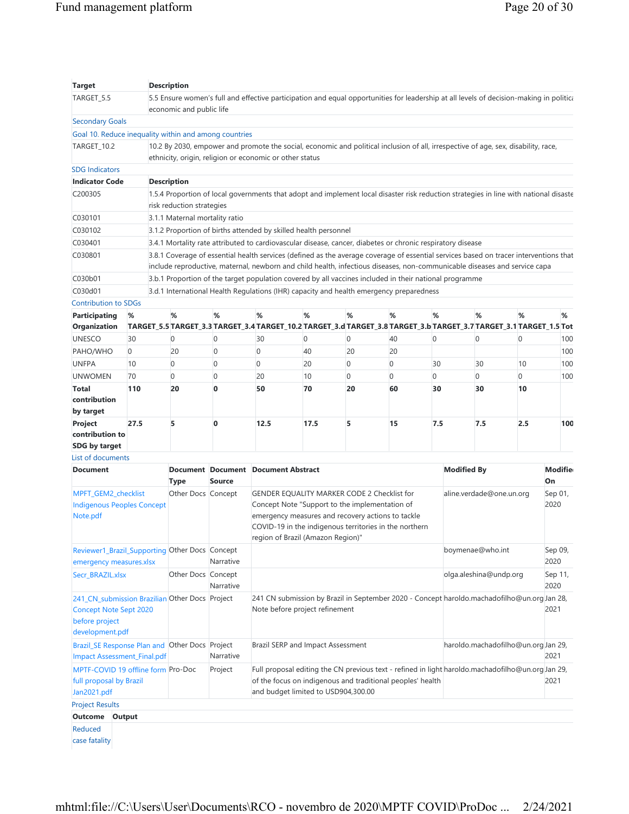| <b>Target</b>                                                                                                        |                | <b>Description</b>                                                                                                                                                 |               |                                                                                                                                                                                                                                                                    |      |    |                                                                                                  |          |                          |                  |                                     |                      |
|----------------------------------------------------------------------------------------------------------------------|----------------|--------------------------------------------------------------------------------------------------------------------------------------------------------------------|---------------|--------------------------------------------------------------------------------------------------------------------------------------------------------------------------------------------------------------------------------------------------------------------|------|----|--------------------------------------------------------------------------------------------------|----------|--------------------------|------------------|-------------------------------------|----------------------|
| TARGET_5.5                                                                                                           |                | economic and public life                                                                                                                                           |               | 5.5 Ensure women's full and effective participation and equal opportunities for leadership at all levels of decision-making in politica                                                                                                                            |      |    |                                                                                                  |          |                          |                  |                                     |                      |
| <b>Secondary Goals</b>                                                                                               |                |                                                                                                                                                                    |               |                                                                                                                                                                                                                                                                    |      |    |                                                                                                  |          |                          |                  |                                     |                      |
| Goal 10. Reduce inequality within and among countries                                                                |                |                                                                                                                                                                    |               |                                                                                                                                                                                                                                                                    |      |    |                                                                                                  |          |                          |                  |                                     |                      |
| TARGET_10.2                                                                                                          |                |                                                                                                                                                                    |               | 10.2 By 2030, empower and promote the social, economic and political inclusion of all, irrespective of age, sex, disability, race,                                                                                                                                 |      |    |                                                                                                  |          |                          |                  |                                     |                      |
|                                                                                                                      |                |                                                                                                                                                                    |               | ethnicity, origin, religion or economic or other status                                                                                                                                                                                                            |      |    |                                                                                                  |          |                          |                  |                                     |                      |
| <b>SDG Indicators</b>                                                                                                |                |                                                                                                                                                                    |               |                                                                                                                                                                                                                                                                    |      |    |                                                                                                  |          |                          |                  |                                     |                      |
| <b>Indicator Code</b>                                                                                                |                | <b>Description</b>                                                                                                                                                 |               |                                                                                                                                                                                                                                                                    |      |    |                                                                                                  |          |                          |                  |                                     |                      |
| C200305                                                                                                              |                | 1.5.4 Proportion of local governments that adopt and implement local disaster risk reduction strategies in line with national disaste<br>risk reduction strategies |               |                                                                                                                                                                                                                                                                    |      |    |                                                                                                  |          |                          |                  |                                     |                      |
| C030101                                                                                                              |                | 3.1.1 Maternal mortality ratio                                                                                                                                     |               |                                                                                                                                                                                                                                                                    |      |    |                                                                                                  |          |                          |                  |                                     |                      |
| C030102                                                                                                              |                |                                                                                                                                                                    |               | 3.1.2 Proportion of births attended by skilled health personnel                                                                                                                                                                                                    |      |    |                                                                                                  |          |                          |                  |                                     |                      |
| C030401                                                                                                              |                |                                                                                                                                                                    |               | 3.4.1 Mortality rate attributed to cardiovascular disease, cancer, diabetes or chronic respiratory disease                                                                                                                                                         |      |    |                                                                                                  |          |                          |                  |                                     |                      |
| C030801                                                                                                              |                |                                                                                                                                                                    |               | 3.8.1 Coverage of essential health services (defined as the average coverage of essential services based on tracer interventions that<br>include reproductive, maternal, newborn and child health, infectious diseases, non-communicable diseases and service capa |      |    |                                                                                                  |          |                          |                  |                                     |                      |
| C030b01                                                                                                              |                |                                                                                                                                                                    |               | 3.b.1 Proportion of the target population covered by all vaccines included in their national programme                                                                                                                                                             |      |    |                                                                                                  |          |                          |                  |                                     |                      |
| C030d01                                                                                                              |                |                                                                                                                                                                    |               | 3.d.1 International Health Regulations (IHR) capacity and health emergency preparedness                                                                                                                                                                            |      |    |                                                                                                  |          |                          |                  |                                     |                      |
| <b>Contribution to SDGs</b>                                                                                          |                |                                                                                                                                                                    |               |                                                                                                                                                                                                                                                                    |      |    |                                                                                                  |          |                          |                  |                                     |                      |
| <b>Participating</b><br>Organization                                                                                 | %              | %                                                                                                                                                                  | %             | %<br>TARGET_5.5 TARGET_3.3 TARGET_3.4 TARGET_10.2 TARGET_3.d TARGET_3.8 TARGET_3.b TARGET_3.7 TARGET_3.1 TARGET_1.5 Tot                                                                                                                                            | %    | %  | %                                                                                                | %        |                          | %                | %                                   | %                    |
| <b>UNESCO</b>                                                                                                        | 30             | 0                                                                                                                                                                  | 0             | 30                                                                                                                                                                                                                                                                 | 0    | 0  | 40                                                                                               | 0        |                          | $\mathbf 0$      | $\overline{0}$                      | 100                  |
| PAHO/WHO                                                                                                             | $\overline{0}$ | 20                                                                                                                                                                 | 0             | $\mathbf 0$                                                                                                                                                                                                                                                        | 40   | 20 | 20                                                                                               |          |                          |                  |                                     | 100                  |
| <b>UNFPA</b>                                                                                                         | 10             | 0                                                                                                                                                                  | 0             | $\overline{0}$                                                                                                                                                                                                                                                     | 20   | 0  | $\overline{0}$                                                                                   | 30       |                          | 30               | 10                                  | 100                  |
| <b>UNWOMEN</b>                                                                                                       | 70             | 0                                                                                                                                                                  | 0             | 20                                                                                                                                                                                                                                                                 | 10   | 0  | $\Omega$                                                                                         | $\Omega$ |                          | $\Omega$         | $\overline{0}$                      | 100                  |
| <b>Total</b>                                                                                                         | 110            | 20                                                                                                                                                                 | $\bf{0}$      | 50                                                                                                                                                                                                                                                                 | 70   | 20 | 60                                                                                               | 30       |                          | 30               | 10                                  |                      |
| contribution<br>by target                                                                                            |                |                                                                                                                                                                    |               |                                                                                                                                                                                                                                                                    |      |    |                                                                                                  |          |                          |                  |                                     |                      |
| Project<br>contribution to<br>SDG by target                                                                          | 27.5           | 5                                                                                                                                                                  | $\mathbf{0}$  | 12.5                                                                                                                                                                                                                                                               | 17.5 | 5  | 15                                                                                               | 7.5      |                          | 7.5              | 2.5                                 | 100                  |
| List of documents                                                                                                    |                |                                                                                                                                                                    |               |                                                                                                                                                                                                                                                                    |      |    |                                                                                                  |          |                          |                  |                                     |                      |
| <b>Document</b>                                                                                                      |                | <b>Type</b>                                                                                                                                                        | <b>Source</b> | Document Document Document Abstract                                                                                                                                                                                                                                |      |    |                                                                                                  |          | <b>Modified By</b>       |                  |                                     | <b>Modifie</b><br>On |
| MPFT_GEM2_checklist<br><b>Indigenous Peoples Concept</b><br>Note.pdf                                                 |                | Other Docs Concept                                                                                                                                                 |               | <b>GENDER EQUALITY MARKER CODE 2 Checklist for</b><br>Concept Note "Support to the implementation of<br>emergency measures and recovery actions to tackle<br>COVID-19 in the indigenous territories in the northern<br>region of Brazil (Amazon Region)"           |      |    |                                                                                                  |          | aline.verdade@one.un.org |                  |                                     | Sep 01,<br>2020      |
| Reviewer1_Brazil_Supporting Other Docs Concept<br>emergency measures.xlsx                                            |                |                                                                                                                                                                    | Narrative     |                                                                                                                                                                                                                                                                    |      |    |                                                                                                  |          |                          | boymenae@who.int |                                     | Sep 09,<br>2020      |
| Secr BRAZIL.xlsx                                                                                                     |                | Other Docs Concept                                                                                                                                                 | Narrative     |                                                                                                                                                                                                                                                                    |      |    |                                                                                                  |          | olga.aleshina@undp.org   |                  |                                     | Sep 11,<br>2020      |
| 241_CN_submission Brazilian Other Docs Project<br><b>Concept Note Sept 2020</b><br>before project<br>development.pdf |                |                                                                                                                                                                    |               | 241 CN submission by Brazil in September 2020 - Concept haroldo.machadofilho@un.org Jan 28,<br>Note before project refinement                                                                                                                                      |      |    |                                                                                                  |          |                          | 2021             |                                     |                      |
| Brazil_SE Response Plan and Other Docs Project<br><b>Impact Assessment_Final.pdf</b>                                 |                |                                                                                                                                                                    | Narrative     | Brazil SERP and Impact Assessment                                                                                                                                                                                                                                  |      |    |                                                                                                  |          |                          |                  | haroldo.machadofilho@un.org Jan 29, | 2021                 |
|                                                                                                                      |                |                                                                                                                                                                    | Project       | of the focus on indigenous and traditional peoples' health                                                                                                                                                                                                         |      |    | Full proposal editing the CN previous text - refined in light haroldo.machadofilho@un.orgJan 29, |          |                          |                  |                                     | 2021                 |
| MPTF-COVID 19 offline form Pro-Doc<br>full proposal by Brazil<br>Jan2021.pdf                                         |                |                                                                                                                                                                    |               | and budget limited to USD904,300.00                                                                                                                                                                                                                                |      |    |                                                                                                  |          |                          |                  |                                     |                      |
| <b>Project Results</b>                                                                                               |                |                                                                                                                                                                    |               |                                                                                                                                                                                                                                                                    |      |    |                                                                                                  |          |                          |                  |                                     |                      |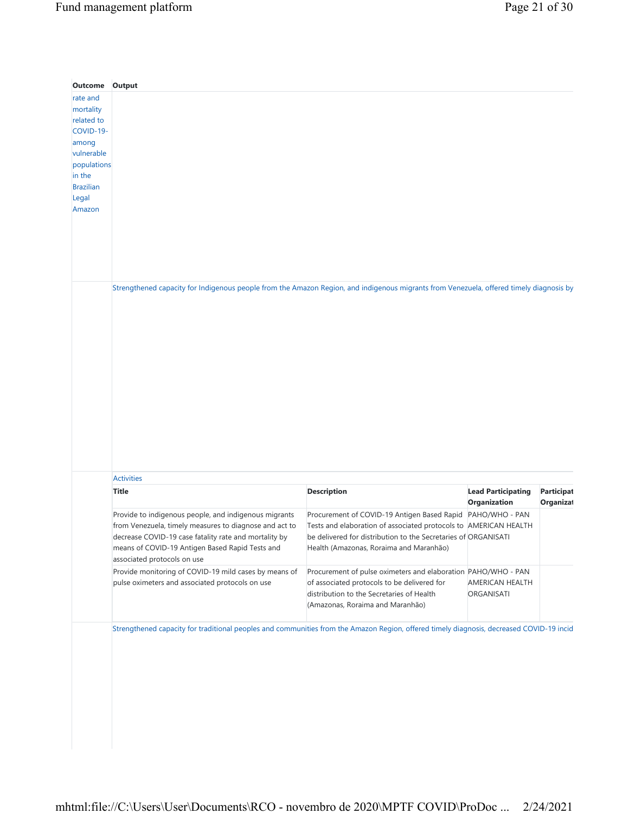| Outcome          | Output                                                                                                                                   |                                                                  |                           |                   |
|------------------|------------------------------------------------------------------------------------------------------------------------------------------|------------------------------------------------------------------|---------------------------|-------------------|
| rate and         |                                                                                                                                          |                                                                  |                           |                   |
| mortality        |                                                                                                                                          |                                                                  |                           |                   |
| related to       |                                                                                                                                          |                                                                  |                           |                   |
| COVID-19-        |                                                                                                                                          |                                                                  |                           |                   |
| among            |                                                                                                                                          |                                                                  |                           |                   |
| vulnerable       |                                                                                                                                          |                                                                  |                           |                   |
| populations      |                                                                                                                                          |                                                                  |                           |                   |
| in the           |                                                                                                                                          |                                                                  |                           |                   |
| <b>Brazilian</b> |                                                                                                                                          |                                                                  |                           |                   |
| Legal            |                                                                                                                                          |                                                                  |                           |                   |
| Amazon           |                                                                                                                                          |                                                                  |                           |                   |
|                  |                                                                                                                                          |                                                                  |                           |                   |
|                  |                                                                                                                                          |                                                                  |                           |                   |
|                  |                                                                                                                                          |                                                                  |                           |                   |
|                  |                                                                                                                                          |                                                                  |                           |                   |
|                  |                                                                                                                                          |                                                                  |                           |                   |
|                  |                                                                                                                                          |                                                                  |                           |                   |
|                  | Strengthened capacity for Indigenous people from the Amazon Region, and indigenous migrants from Venezuela, offered timely diagnosis by  |                                                                  |                           |                   |
|                  |                                                                                                                                          |                                                                  |                           |                   |
|                  |                                                                                                                                          |                                                                  |                           |                   |
|                  |                                                                                                                                          |                                                                  |                           |                   |
|                  |                                                                                                                                          |                                                                  |                           |                   |
|                  |                                                                                                                                          |                                                                  |                           |                   |
|                  |                                                                                                                                          |                                                                  |                           |                   |
|                  |                                                                                                                                          |                                                                  |                           |                   |
|                  |                                                                                                                                          |                                                                  |                           |                   |
|                  |                                                                                                                                          |                                                                  |                           |                   |
|                  |                                                                                                                                          |                                                                  |                           |                   |
|                  |                                                                                                                                          |                                                                  |                           |                   |
|                  |                                                                                                                                          |                                                                  |                           |                   |
|                  |                                                                                                                                          |                                                                  |                           |                   |
|                  |                                                                                                                                          |                                                                  |                           |                   |
|                  |                                                                                                                                          |                                                                  |                           |                   |
|                  |                                                                                                                                          |                                                                  |                           |                   |
|                  |                                                                                                                                          |                                                                  |                           |                   |
|                  |                                                                                                                                          |                                                                  |                           |                   |
|                  | <b>Activities</b>                                                                                                                        |                                                                  |                           |                   |
|                  | <b>Title</b>                                                                                                                             | <b>Description</b>                                               | <b>Lead Participating</b> | <b>Participat</b> |
|                  |                                                                                                                                          |                                                                  | Organization              | <b>Organizat</b>  |
|                  | Provide to indigenous people, and indigenous migrants                                                                                    | Procurement of COVID-19 Antigen Based Rapid                      | PAHO/WHO - PAN            |                   |
|                  |                                                                                                                                          |                                                                  |                           |                   |
|                  | from Venezuela, timely measures to diagnose and act to                                                                                   | Tests and elaboration of associated protocols to AMERICAN HEALTH |                           |                   |
|                  | decrease COVID-19 case fatality rate and mortality by                                                                                    | be delivered for distribution to the Secretaries of ORGANISATI   |                           |                   |
|                  | means of COVID-19 Antigen Based Rapid Tests and                                                                                          | Health (Amazonas, Roraima and Maranhão)                          |                           |                   |
|                  | associated protocols on use                                                                                                              |                                                                  |                           |                   |
|                  | Provide monitoring of COVID-19 mild cases by means of                                                                                    | Procurement of pulse oximeters and elaboration PAHO/WHO - PAN    |                           |                   |
|                  | pulse oximeters and associated protocols on use                                                                                          | of associated protocols to be delivered for                      | AMERICAN HEALTH           |                   |
|                  |                                                                                                                                          | distribution to the Secretaries of Health                        | ORGANISATI                |                   |
|                  |                                                                                                                                          | (Amazonas, Roraima and Maranhão)                                 |                           |                   |
|                  |                                                                                                                                          |                                                                  |                           |                   |
|                  | Strengthened capacity for traditional peoples and communities from the Amazon Region, offered timely diagnosis, decreased COVID-19 incid |                                                                  |                           |                   |
|                  |                                                                                                                                          |                                                                  |                           |                   |
|                  |                                                                                                                                          |                                                                  |                           |                   |
|                  |                                                                                                                                          |                                                                  |                           |                   |
|                  |                                                                                                                                          |                                                                  |                           |                   |
|                  |                                                                                                                                          |                                                                  |                           |                   |
|                  |                                                                                                                                          |                                                                  |                           |                   |
|                  |                                                                                                                                          |                                                                  |                           |                   |
|                  |                                                                                                                                          |                                                                  |                           |                   |
|                  |                                                                                                                                          |                                                                  |                           |                   |
|                  |                                                                                                                                          |                                                                  |                           |                   |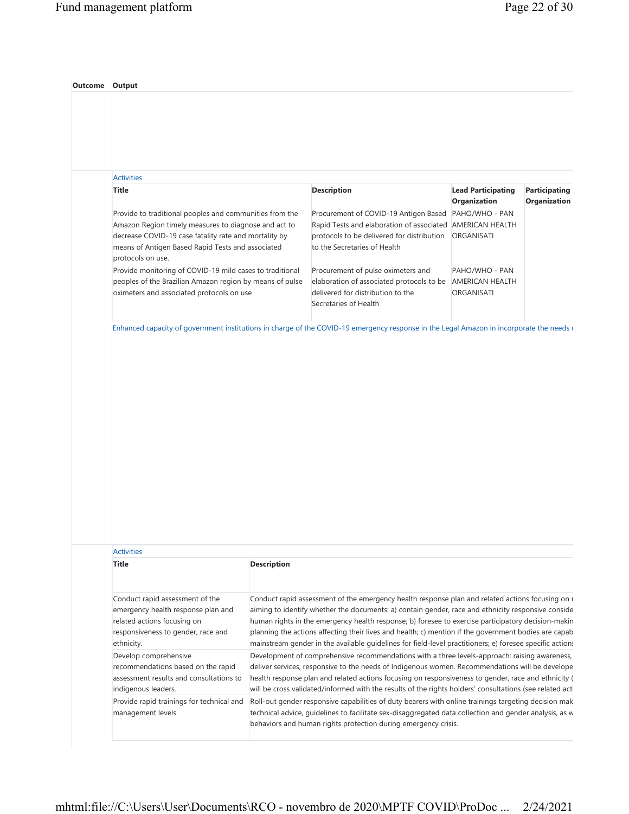| <b>Activities</b>                                                                                                                                                                                                                                  |                    |                                                                                                                                                                                                                                                                                                                                                                                                                                                                                                                                  |                                                 |                                      |
|----------------------------------------------------------------------------------------------------------------------------------------------------------------------------------------------------------------------------------------------------|--------------------|----------------------------------------------------------------------------------------------------------------------------------------------------------------------------------------------------------------------------------------------------------------------------------------------------------------------------------------------------------------------------------------------------------------------------------------------------------------------------------------------------------------------------------|-------------------------------------------------|--------------------------------------|
| <b>Title</b>                                                                                                                                                                                                                                       |                    | <b>Description</b>                                                                                                                                                                                                                                                                                                                                                                                                                                                                                                               | <b>Lead Participating</b><br>Organization       | <b>Participating</b><br>Organization |
| Provide to traditional peoples and communities from the<br>Amazon Region timely measures to diagnose and act to<br>decrease COVID-19 case fatality rate and mortality by<br>means of Antigen Based Rapid Tests and associated<br>protocols on use. |                    | Procurement of COVID-19 Antigen Based<br>Rapid Tests and elaboration of associated AMERICAN HEALTH<br>protocols to be delivered for distribution<br>to the Secretaries of Health                                                                                                                                                                                                                                                                                                                                                 | PAHO/WHO - PAN<br>ORGANISATI                    |                                      |
| Provide monitoring of COVID-19 mild cases to traditional<br>peoples of the Brazilian Amazon region by means of pulse<br>oximeters and associated protocols on use                                                                                  |                    | Procurement of pulse oximeters and<br>elaboration of associated protocols to be<br>delivered for distribution to the<br>Secretaries of Health                                                                                                                                                                                                                                                                                                                                                                                    | PAHO/WHO - PAN<br>AMERICAN HEALTH<br>ORGANISATI |                                      |
|                                                                                                                                                                                                                                                    |                    | Enhanced capacity of government institutions in charge of the COVID-19 emergency response in the Legal Amazon in incorporate the needs of                                                                                                                                                                                                                                                                                                                                                                                        |                                                 |                                      |
|                                                                                                                                                                                                                                                    |                    |                                                                                                                                                                                                                                                                                                                                                                                                                                                                                                                                  |                                                 |                                      |
|                                                                                                                                                                                                                                                    |                    |                                                                                                                                                                                                                                                                                                                                                                                                                                                                                                                                  |                                                 |                                      |
| <b>Activities</b>                                                                                                                                                                                                                                  |                    |                                                                                                                                                                                                                                                                                                                                                                                                                                                                                                                                  |                                                 |                                      |
| <b>Title</b>                                                                                                                                                                                                                                       | <b>Description</b> |                                                                                                                                                                                                                                                                                                                                                                                                                                                                                                                                  |                                                 |                                      |
| Conduct rapid assessment of the<br>emergency health response plan and<br>related actions focusing on<br>responsiveness to gender, race and<br>ethnicity.                                                                                           |                    | Conduct rapid assessment of the emergency health response plan and related actions focusing on r<br>aiming to identify whether the documents: a) contain gender, race and ethnicity responsive conside<br>human rights in the emergency health response; b) foresee to exercise participatory decision-makin<br>planning the actions affecting their lives and health; c) mention if the government bodies are capab<br>mainstream gender in the available guidelines for field-level practitioners; e) foresee specific actions |                                                 |                                      |
| Develop comprehensive<br>recommendations based on the rapid<br>assessment results and consultations to<br>indigenous leaders.                                                                                                                      |                    | Development of comprehensive recommendations with a three levels-approach: raising awareness,<br>deliver services, responsive to the needs of Indigenous women. Recommendations will be develope<br>health response plan and related actions focusing on responsiveness to gender, race and ethnicity (<br>will be cross validated/informed with the results of the rights holders' consultations (see related acti                                                                                                              |                                                 |                                      |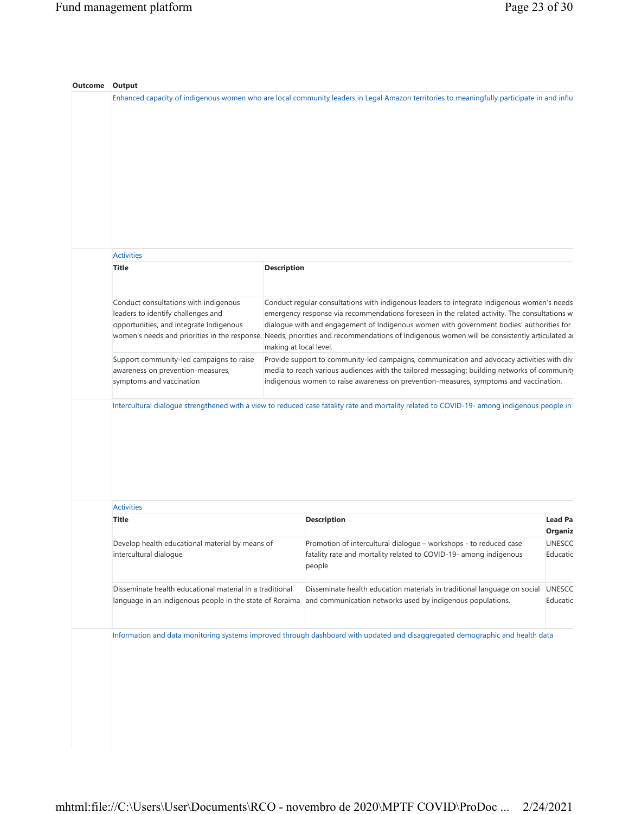| <b>Activities</b>                                                         |                                                                                                                                                                                                                                         |                                                                                                                                                                                                                                      |                           |
|---------------------------------------------------------------------------|-----------------------------------------------------------------------------------------------------------------------------------------------------------------------------------------------------------------------------------------|--------------------------------------------------------------------------------------------------------------------------------------------------------------------------------------------------------------------------------------|---------------------------|
| <b>Title</b>                                                              | <b>Description</b>                                                                                                                                                                                                                      |                                                                                                                                                                                                                                      |                           |
| Conduct consultations with indigenous                                     |                                                                                                                                                                                                                                         | Conduct regular consultations with indigenous leaders to integrate Indigenous women's needs                                                                                                                                          |                           |
| leaders to identify challenges and                                        | emergency response via recommendations foreseen in the related activity. The consultations w                                                                                                                                            |                                                                                                                                                                                                                                      |                           |
| opportunities, and integrate Indigenous                                   | dialogue with and engagement of Indigenous women with government bodies' authorities for<br>women's needs and priorities in the response. Needs, priorities and recommendations of Indigenous women will be consistently articulated ar |                                                                                                                                                                                                                                      |                           |
|                                                                           | making at local level.                                                                                                                                                                                                                  |                                                                                                                                                                                                                                      |                           |
| Support community-led campaigns to raise                                  |                                                                                                                                                                                                                                         | Provide support to community-led campaigns, communication and advocacy activities with div                                                                                                                                           |                           |
| awareness on prevention-measures,                                         |                                                                                                                                                                                                                                         |                                                                                                                                                                                                                                      |                           |
|                                                                           |                                                                                                                                                                                                                                         | media to reach various audiences with the tailored messaging; building networks of community                                                                                                                                         |                           |
| symptoms and vaccination                                                  |                                                                                                                                                                                                                                         | indigenous women to raise awareness on prevention-measures, symptoms and vaccination.<br>Intercultural dialogue strengthened with a view to reduced case fatality rate and mortality related to COVID-19- among indigenous people in |                           |
|                                                                           |                                                                                                                                                                                                                                         |                                                                                                                                                                                                                                      |                           |
| <b>Activities</b>                                                         |                                                                                                                                                                                                                                         |                                                                                                                                                                                                                                      |                           |
| <b>Title</b>                                                              |                                                                                                                                                                                                                                         | <b>Description</b>                                                                                                                                                                                                                   | <b>Lead Pa</b>            |
|                                                                           |                                                                                                                                                                                                                                         |                                                                                                                                                                                                                                      | <b>Organiz</b>            |
| Develop health educational material by means of<br>intercultural dialoque |                                                                                                                                                                                                                                         | Promotion of intercultural dialogue - workshops - to reduced case<br>fatality rate and mortality related to COVID-19- among indigenous<br>people                                                                                     | <b>UNESCC</b><br>Educatic |
| Disseminate health educational material in a traditional                  |                                                                                                                                                                                                                                         | Disseminate health education materials in traditional language on social<br>language in an indigenous people in the state of Roraima and communication networks used by indigenous populations.                                      | UNESCC<br>Educatic        |
|                                                                           |                                                                                                                                                                                                                                         |                                                                                                                                                                                                                                      |                           |
|                                                                           |                                                                                                                                                                                                                                         | Information and data monitoring systems improved through dashboard with updated and disaggregated demographic and health data                                                                                                        |                           |
|                                                                           |                                                                                                                                                                                                                                         |                                                                                                                                                                                                                                      |                           |
|                                                                           |                                                                                                                                                                                                                                         |                                                                                                                                                                                                                                      |                           |
|                                                                           |                                                                                                                                                                                                                                         |                                                                                                                                                                                                                                      |                           |
|                                                                           |                                                                                                                                                                                                                                         |                                                                                                                                                                                                                                      |                           |
|                                                                           |                                                                                                                                                                                                                                         |                                                                                                                                                                                                                                      |                           |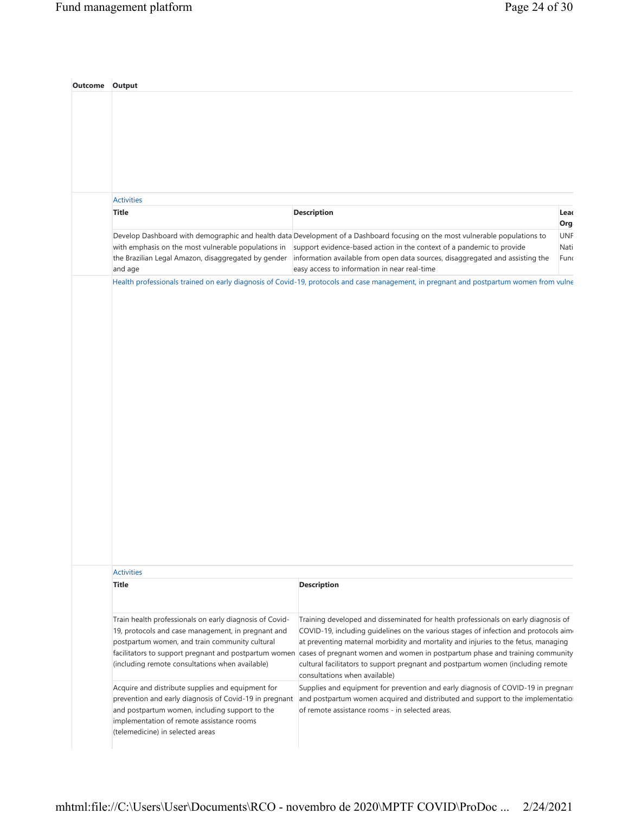| Outcome | Output                                                                                                                                                                                                                                                                      |                                                                                                                                                                                                                                                                                                                                                                                                                                                                       |                            |
|---------|-----------------------------------------------------------------------------------------------------------------------------------------------------------------------------------------------------------------------------------------------------------------------------|-----------------------------------------------------------------------------------------------------------------------------------------------------------------------------------------------------------------------------------------------------------------------------------------------------------------------------------------------------------------------------------------------------------------------------------------------------------------------|----------------------------|
|         |                                                                                                                                                                                                                                                                             |                                                                                                                                                                                                                                                                                                                                                                                                                                                                       |                            |
|         |                                                                                                                                                                                                                                                                             |                                                                                                                                                                                                                                                                                                                                                                                                                                                                       |                            |
|         |                                                                                                                                                                                                                                                                             |                                                                                                                                                                                                                                                                                                                                                                                                                                                                       |                            |
|         |                                                                                                                                                                                                                                                                             |                                                                                                                                                                                                                                                                                                                                                                                                                                                                       |                            |
|         |                                                                                                                                                                                                                                                                             |                                                                                                                                                                                                                                                                                                                                                                                                                                                                       |                            |
|         | <b>Activities</b>                                                                                                                                                                                                                                                           |                                                                                                                                                                                                                                                                                                                                                                                                                                                                       |                            |
|         | <b>Title</b>                                                                                                                                                                                                                                                                | <b>Description</b>                                                                                                                                                                                                                                                                                                                                                                                                                                                    | Leac                       |
|         |                                                                                                                                                                                                                                                                             |                                                                                                                                                                                                                                                                                                                                                                                                                                                                       | Org.                       |
|         |                                                                                                                                                                                                                                                                             | Develop Dashboard with demographic and health data Development of a Dashboard focusing on the most vulnerable populations to<br>with emphasis on the most vulnerable populations in support evidence-based action in the context of a pandemic to provide<br>the Brazilian Legal Amazon, disaggregated by gender information available from open data sources, disaggregated and assisting the                                                                        | <b>UNF</b><br>Nati<br>Func |
|         | and age                                                                                                                                                                                                                                                                     | easy access to information in near real-time<br>Health professionals trained on early diagnosis of Covid-19, protocols and case management, in pregnant and postpartum women from vulne                                                                                                                                                                                                                                                                               |                            |
|         |                                                                                                                                                                                                                                                                             |                                                                                                                                                                                                                                                                                                                                                                                                                                                                       |                            |
|         |                                                                                                                                                                                                                                                                             |                                                                                                                                                                                                                                                                                                                                                                                                                                                                       |                            |
|         | <b>Activities</b>                                                                                                                                                                                                                                                           |                                                                                                                                                                                                                                                                                                                                                                                                                                                                       |                            |
|         | <b>Title</b>                                                                                                                                                                                                                                                                | <b>Description</b>                                                                                                                                                                                                                                                                                                                                                                                                                                                    |                            |
|         | Train health professionals on early diagnosis of Covid-<br>19, protocols and case management, in pregnant and<br>postpartum women, and train community cultural<br>facilitators to support pregnant and postpartum women<br>(including remote consultations when available) | Training developed and disseminated for health professionals on early diagnosis of<br>COVID-19, including quidelines on the various stages of infection and protocols aim-<br>at preventing maternal morbidity and mortality and injuries to the fetus, managing<br>cases of pregnant women and women in postpartum phase and training community<br>cultural facilitators to support pregnant and postpartum women (including remote<br>consultations when available) |                            |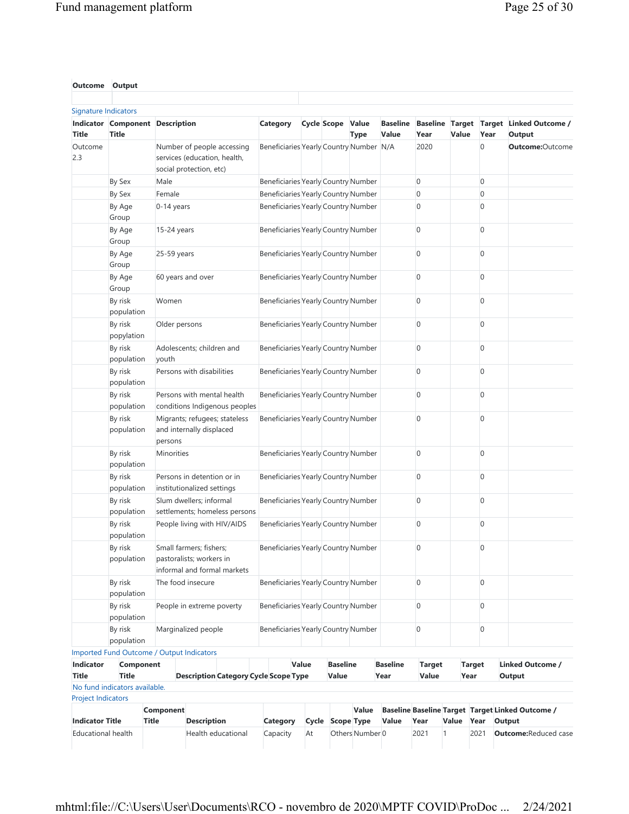| <b>Outcome Output</b>                     |                                                 |               |                                                                                       |                               |                                              |       |                          |                 |                          |                |       |                |                                                                   |
|-------------------------------------------|-------------------------------------------------|---------------|---------------------------------------------------------------------------------------|-------------------------------|----------------------------------------------|-------|--------------------------|-----------------|--------------------------|----------------|-------|----------------|-------------------------------------------------------------------|
| <b>Signature Indicators</b>               |                                                 |               |                                                                                       |                               |                                              |       |                          |                 |                          |                |       |                |                                                                   |
| <b>Title</b>                              | Indicator Component Description<br><b>Title</b> |               |                                                                                       |                               | Category                                     |       | <b>Cycle Scope Value</b> | <b>Type</b>     | <b>Baseline</b><br>Value | Year           | Value | Year           | Baseline Target Target Linked Outcome /<br>Output                 |
| Outcome<br>2.3                            |                                                 |               | Number of people accessing<br>services (education, health,<br>social protection, etc) |                               | Beneficiaries Yearly Country Number N/A      |       |                          |                 |                          | 2020           |       | 0              | Outcome:Outcome                                                   |
|                                           | By Sex                                          | Male          |                                                                                       |                               | Beneficiaries Yearly Country Number          |       |                          |                 |                          | $\mathbf 0$    |       | $\overline{0}$ |                                                                   |
|                                           | By Sex                                          | Female        |                                                                                       |                               | Beneficiaries Yearly Country Number          |       |                          |                 |                          | $\mathbf 0$    |       | $\overline{0}$ |                                                                   |
|                                           | By Age<br>Group                                 | 0-14 years    |                                                                                       |                               | Beneficiaries Yearly Country Number          |       |                          |                 |                          | $\mathbf 0$    |       | $\mathbf{0}$   |                                                                   |
|                                           | By Age<br>Group                                 | 15-24 years   |                                                                                       |                               | Beneficiaries Yearly Country Number          |       |                          |                 |                          | $\overline{0}$ |       | $\overline{0}$ |                                                                   |
|                                           | By Age<br>Group                                 | 25-59 years   |                                                                                       |                               | Beneficiaries Yearly Country Number          |       |                          |                 |                          | $\mathbf 0$    |       | $\mathbf{0}$   |                                                                   |
|                                           | By Age<br>Group                                 |               | 60 years and over                                                                     |                               | Beneficiaries Yearly Country Number          |       |                          |                 |                          | $\mathbf 0$    |       | $\mathbf{0}$   |                                                                   |
|                                           | By risk<br>population                           | Women         |                                                                                       |                               | Beneficiaries Yearly Country Number          |       |                          |                 |                          | 0              |       | $\mathbf{0}$   |                                                                   |
|                                           | By risk<br>popylation                           | Older persons |                                                                                       |                               | Beneficiaries Yearly Country Number          |       |                          |                 |                          | 0              |       | $\mathbf{0}$   |                                                                   |
|                                           | By risk<br>population                           | youth         | Adolescents; children and                                                             |                               | Beneficiaries Yearly Country Number          |       |                          |                 |                          | $\mathbf 0$    |       | $\overline{0}$ |                                                                   |
|                                           | By risk<br>population                           |               | Persons with disabilities                                                             |                               | Beneficiaries Yearly Country Number          |       |                          |                 |                          | $\mathbf 0$    |       | $\overline{0}$ |                                                                   |
|                                           | By risk<br>population                           |               | Persons with mental health                                                            | conditions Indigenous peoples | Beneficiaries Yearly Country Number          |       |                          |                 |                          | $\mathbf 0$    |       | $\mathbf{0}$   |                                                                   |
|                                           | By risk<br>population                           | persons       | Migrants; refugees; stateless<br>and internally displaced                             |                               | Beneficiaries Yearly Country Number          |       |                          |                 |                          | $\Omega$       |       | $\mathbf{0}$   |                                                                   |
|                                           | By risk<br>population                           | Minorities    |                                                                                       |                               | Beneficiaries Yearly Country Number          |       |                          |                 |                          | $\overline{0}$ |       | 0              |                                                                   |
|                                           | By risk<br>population                           |               | Persons in detention or in<br>institutionalized settings                              |                               | Beneficiaries Yearly Country Number          |       |                          |                 |                          | $\overline{0}$ |       | $\mathbf{0}$   |                                                                   |
|                                           | By risk<br>population                           |               | Slum dwellers; informal                                                               | settlements; homeless persons | Beneficiaries Yearly Country Number          |       |                          |                 |                          | $\mathbf 0$    |       | $\mathbf{0}$   |                                                                   |
|                                           | By risk<br>population                           |               | People living with HIV/AIDS                                                           |                               | Beneficiaries Yearly Country Number          |       |                          |                 |                          | $\mathbf 0$    |       | $\mathbf{0}$   |                                                                   |
|                                           | By risk<br>population                           |               | Small farmers; fishers;<br>pastoralists; workers in<br>informal and formal markets    |                               | Beneficiaries Yearly Country Number          |       |                          |                 |                          | $\mathbf 0$    |       | 0              |                                                                   |
|                                           | By risk<br>population                           |               | The food insecure                                                                     |                               | Beneficiaries Yearly Country Number          |       |                          |                 |                          | $\mathbf 0$    |       | $\mathbf{0}$   |                                                                   |
|                                           | By risk<br>population                           |               | People in extreme poverty                                                             |                               | Beneficiaries Yearly Country Number          |       |                          |                 |                          | $\mathbf 0$    |       | $\mathbf{0}$   |                                                                   |
|                                           | By risk<br>population                           |               | Marginalized people                                                                   |                               | Beneficiaries Yearly Country Number          |       |                          |                 |                          | $\mathbf 0$    |       | 0              |                                                                   |
|                                           | Imported Fund Outcome / Output Indicators       |               |                                                                                       |                               |                                              |       |                          |                 |                          |                |       |                |                                                                   |
| Indicator                                 | Component                                       |               |                                                                                       |                               |                                              | Value | <b>Baseline</b>          |                 | <b>Baseline</b>          | <b>Target</b>  |       | <b>Target</b>  | <b>Linked Outcome /</b>                                           |
| <b>Title</b><br><b>Project Indicators</b> | <b>Title</b><br>No fund indicators available.   |               |                                                                                       |                               | <b>Description Category Cycle Scope Type</b> |       | Value                    |                 | Year                     | Value          | Year  |                | Output                                                            |
| <b>Indicator Title</b>                    | <b>Title</b>                                    | Component     | <b>Description</b>                                                                    |                               | Category                                     |       | Cycle Scope Type         | Value           | Value                    | Year           | Value | Year           | <b>Baseline Baseline Target Target Linked Outcome /</b><br>Output |
|                                           | <b>Educational health</b>                       |               | Health educational                                                                    |                               | Capacity                                     | At    |                          | Others Number 0 |                          | 2021           | 1     | 2021           | <b>Outcome: Reduced case</b>                                      |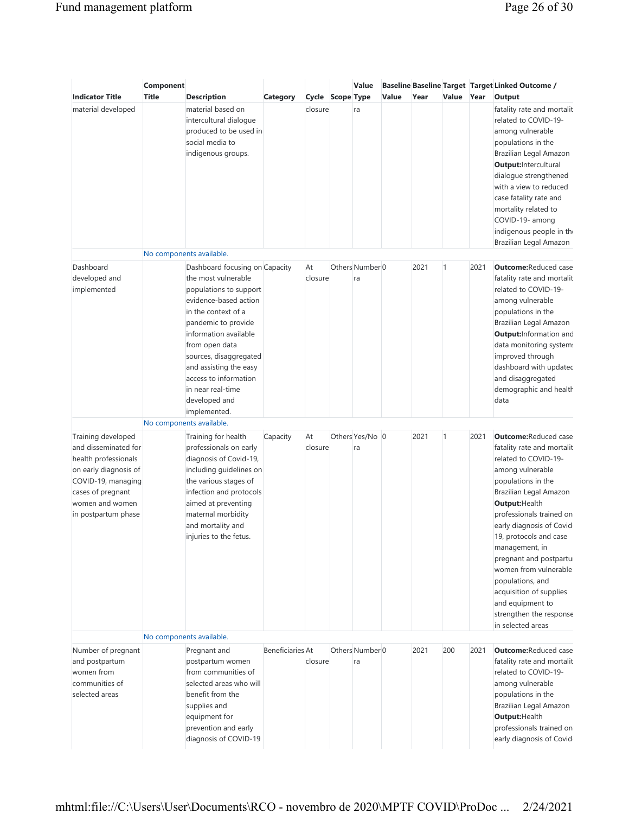|                                                                                                                                                                                  | Component    |                                                                                                                                                                                                                                                                                                                                      |                         |                  | Value                            |       |      |              |      | <b>Baseline Baseline Target Target Linked Outcome /</b>                                                                                                                                                                                                                                                                                                                                                                                             |
|----------------------------------------------------------------------------------------------------------------------------------------------------------------------------------|--------------|--------------------------------------------------------------------------------------------------------------------------------------------------------------------------------------------------------------------------------------------------------------------------------------------------------------------------------------|-------------------------|------------------|----------------------------------|-------|------|--------------|------|-----------------------------------------------------------------------------------------------------------------------------------------------------------------------------------------------------------------------------------------------------------------------------------------------------------------------------------------------------------------------------------------------------------------------------------------------------|
| <b>Indicator Title</b>                                                                                                                                                           | <b>Title</b> | <b>Description</b>                                                                                                                                                                                                                                                                                                                   | Category                | Cycle Scope Type |                                  | Value | Year | Value Year   |      | Output                                                                                                                                                                                                                                                                                                                                                                                                                                              |
| material developed                                                                                                                                                               |              | material based on<br>intercultural dialogue<br>produced to be used in<br>social media to<br>indigenous groups.                                                                                                                                                                                                                       |                         | closure          | ra                               |       |      |              |      | fatality rate and mortalit<br>related to COVID-19-<br>among vulnerable<br>populations in the<br>Brazilian Legal Amazon<br>Output: Intercultural<br>dialogue strengthened<br>with a view to reduced<br>case fatality rate and<br>mortality related to<br>COVID-19- among                                                                                                                                                                             |
|                                                                                                                                                                                  |              |                                                                                                                                                                                                                                                                                                                                      |                         |                  |                                  |       |      |              |      | indigenous people in the<br>Brazilian Legal Amazon                                                                                                                                                                                                                                                                                                                                                                                                  |
|                                                                                                                                                                                  |              | No components available.                                                                                                                                                                                                                                                                                                             |                         |                  |                                  |       |      |              |      |                                                                                                                                                                                                                                                                                                                                                                                                                                                     |
| Dashboard<br>developed and<br>implemented                                                                                                                                        |              | Dashboard focusing on Capacity<br>the most vulnerable<br>populations to support<br>evidence-based action<br>in the context of a<br>pandemic to provide<br>information available<br>from open data<br>sources, disaggregated<br>and assisting the easy<br>access to information<br>in near real-time<br>developed and<br>implemented. |                         | At<br>closure    | Others Number <sup>0</sup><br>ra |       | 2021 | $\mathbf{1}$ | 2021 | <b>Outcome: Reduced case</b><br>fatality rate and mortalit<br>related to COVID-19-<br>among vulnerable<br>populations in the<br>Brazilian Legal Amazon<br><b>Output:</b> Information and<br>data monitoring system:<br>improved through<br>dashboard with updatec<br>and disaggregated<br>demographic and health<br>data                                                                                                                            |
|                                                                                                                                                                                  |              | No components available.                                                                                                                                                                                                                                                                                                             |                         |                  |                                  |       |      |              |      |                                                                                                                                                                                                                                                                                                                                                                                                                                                     |
| Training developed<br>and disseminated for<br>health professionals<br>on early diagnosis of<br>COVID-19, managing<br>cases of pregnant<br>women and women<br>in postpartum phase |              | Training for health<br>professionals on early<br>diagnosis of Covid-19,<br>including guidelines on<br>the various stages of<br>infection and protocols<br>aimed at preventing<br>maternal morbidity<br>and mortality and<br>injuries to the fetus.<br>No components available.                                                       | Capacity                | At<br>closure    | Others Yes/No 0<br>ra            |       | 2021 | $\mathbf{1}$ | 2021 | <b>Outcome: Reduced case</b><br>fatality rate and mortalit<br>related to COVID-19-<br>among vulnerable<br>populations in the<br>Brazilian Legal Amazon<br>Output: Health<br>professionals trained on<br>early diagnosis of Covid<br>19, protocols and case<br>management, in<br>pregnant and postpartul<br>women from vulnerable<br>populations, and<br>acquisition of supplies<br>and equipment to<br>strengthen the response<br>in selected areas |
|                                                                                                                                                                                  |              |                                                                                                                                                                                                                                                                                                                                      | <b>Beneficiaries At</b> |                  | Others Number 0                  |       | 2021 | 200          | 2021 | <b>Outcome: Reduced case</b>                                                                                                                                                                                                                                                                                                                                                                                                                        |
| Number of pregnant<br>and postpartum<br>women from<br>communities of<br>selected areas                                                                                           |              | Pregnant and<br>postpartum women<br>from communities of<br>selected areas who will<br>benefit from the<br>supplies and<br>equipment for<br>prevention and early<br>diagnosis of COVID-19                                                                                                                                             |                         | closure          | ra                               |       |      |              |      | fatality rate and mortalit<br>related to COVID-19-<br>among vulnerable<br>populations in the<br>Brazilian Legal Amazon<br>Output: Health<br>professionals trained on<br>early diagnosis of Covid                                                                                                                                                                                                                                                    |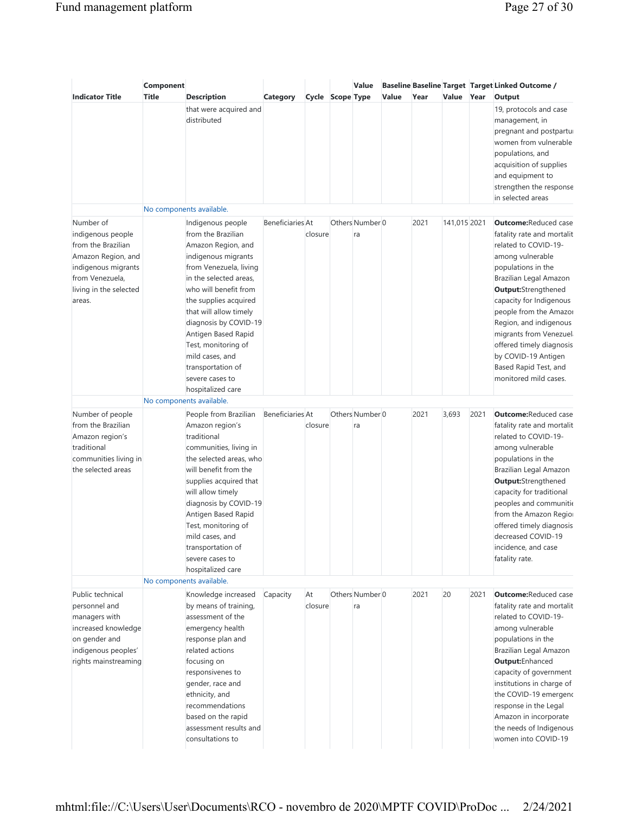|                                                                                                                                                          | Component    |                                                                                                                                                                                                                                                                                                                                                                             |                         |                  | Value                 |       |      |              |      | <b>Baseline Baseline Target Target Linked Outcome /</b>                                                                                                                                                                                                                                                                                                                                             |
|----------------------------------------------------------------------------------------------------------------------------------------------------------|--------------|-----------------------------------------------------------------------------------------------------------------------------------------------------------------------------------------------------------------------------------------------------------------------------------------------------------------------------------------------------------------------------|-------------------------|------------------|-----------------------|-------|------|--------------|------|-----------------------------------------------------------------------------------------------------------------------------------------------------------------------------------------------------------------------------------------------------------------------------------------------------------------------------------------------------------------------------------------------------|
| <b>Indicator Title</b>                                                                                                                                   | <b>Title</b> | Description<br>that were acquired and<br>distributed<br>No components available.                                                                                                                                                                                                                                                                                            | <b>Category</b>         | Cycle Scope Type |                       | Value | Year | Value Year   |      | Output<br>19, protocols and case<br>management, in<br>pregnant and postpartur<br>women from vulnerable<br>populations, and<br>acquisition of supplies<br>and equipment to<br>strengthen the response<br>in selected areas                                                                                                                                                                           |
| Number of<br>indigenous people<br>from the Brazilian<br>Amazon Region, and<br>indigenous migrants<br>from Venezuela,<br>living in the selected<br>areas. |              | Indigenous people<br>from the Brazilian<br>Amazon Region, and<br>indigenous migrants<br>from Venezuela, living<br>in the selected areas.<br>who will benefit from<br>the supplies acquired<br>that will allow timely<br>diagnosis by COVID-19<br>Antigen Based Rapid<br>Test, monitoring of<br>mild cases, and<br>transportation of<br>severe cases to<br>hospitalized care | Beneficiaries At        | closure          | Others Number 0<br>ra |       | 2021 | 141,015 2021 |      | <b>Outcome: Reduced case</b><br>fatality rate and mortalit<br>related to COVID-19-<br>among vulnerable<br>populations in the<br>Brazilian Legal Amazon<br><b>Output:</b> Strengthened<br>capacity for Indigenous<br>people from the Amazor<br>Region, and indigenous<br>migrants from Venezuel<br>offered timely diagnosis<br>by COVID-19 Antigen<br>Based Rapid Test, and<br>monitored mild cases. |
| Number of people<br>from the Brazilian<br>Amazon region's<br>traditional<br>communities living in<br>the selected areas                                  |              | No components available.<br>People from Brazilian<br>Amazon region's<br>traditional<br>communities, living in<br>the selected areas, who<br>will benefit from the<br>supplies acquired that<br>will allow timely<br>diagnosis by COVID-19<br>Antigen Based Rapid<br>Test, monitoring of<br>mild cases, and<br>transportation of<br>severe cases to<br>hospitalized care     | <b>Beneficiaries At</b> | closure          | Others Number 0<br>ra |       | 2021 | 3,693        | 2021 | <b>Outcome: Reduced case</b><br>fatality rate and mortalit<br>related to COVID-19-<br>among vulnerable<br>populations in the<br>Brazilian Legal Amazon<br>Output:Strengthened<br>capacity for traditional<br>peoples and communitie<br>from the Amazon Regior<br>offered timely diagnosis<br>decreased COVID-19<br>incidence, and case<br>fatality rate.                                            |
| Public technical<br>personnel and<br>managers with<br>increased knowledge<br>on gender and<br>indigenous peoples'<br>rights mainstreaming                |              | No components available.<br>Knowledge increased<br>by means of training,<br>assessment of the<br>emergency health<br>response plan and<br>related actions<br>focusing on<br>responsivenes to<br>gender, race and<br>ethnicity, and<br>recommendations<br>based on the rapid<br>assessment results and<br>consultations to                                                   | Capacity                | At<br>closure    | Others Number 0<br>ra |       | 2021 | 20           | 2021 | <b>Outcome: Reduced case</b><br>fatality rate and mortalit<br>related to COVID-19-<br>among vulnerable<br>populations in the<br>Brazilian Legal Amazon<br>Output:Enhanced<br>capacity of government<br>institutions in charge of<br>the COVID-19 emergenc<br>response in the Legal<br>Amazon in incorporate<br>the needs of Indigenous<br>women into COVID-19                                       |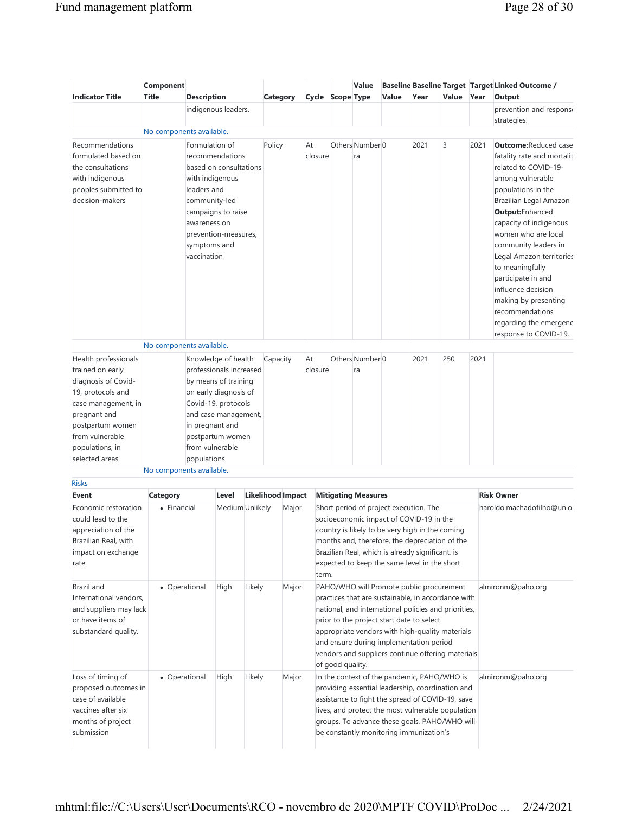| <b>Indicator Title</b>                                                                                                      | Component<br><b>Title</b> | <b>Description</b>                                                                                               |                                                                                                                                                |        | Category |                          |               | Cycle Scope Type | Value                            | Value                                  | Year                                                                                                                                                                                                                                                                                                                                                   | Value Year |      | <b>Baseline Baseline Target Target Linked Outcome /</b><br>Output                                                                                                                                                                                                                                                                                                                                                                            |
|-----------------------------------------------------------------------------------------------------------------------------|---------------------------|------------------------------------------------------------------------------------------------------------------|------------------------------------------------------------------------------------------------------------------------------------------------|--------|----------|--------------------------|---------------|------------------|----------------------------------|----------------------------------------|--------------------------------------------------------------------------------------------------------------------------------------------------------------------------------------------------------------------------------------------------------------------------------------------------------------------------------------------------------|------------|------|----------------------------------------------------------------------------------------------------------------------------------------------------------------------------------------------------------------------------------------------------------------------------------------------------------------------------------------------------------------------------------------------------------------------------------------------|
|                                                                                                                             |                           |                                                                                                                  | indigenous leaders.                                                                                                                            |        |          |                          |               |                  |                                  |                                        |                                                                                                                                                                                                                                                                                                                                                        |            |      | prevention and response<br>strategies.                                                                                                                                                                                                                                                                                                                                                                                                       |
|                                                                                                                             | No components available.  |                                                                                                                  |                                                                                                                                                |        |          |                          |               |                  |                                  |                                        |                                                                                                                                                                                                                                                                                                                                                        |            |      |                                                                                                                                                                                                                                                                                                                                                                                                                                              |
| Recommendations<br>formulated based on<br>the consultations<br>with indigenous<br>peoples submitted to<br>decision-makers   |                           | Formulation of<br>with indigenous<br>leaders and<br>community-led<br>awareness on<br>symptoms and<br>vaccination | recommendations<br>based on consultations<br>campaigns to raise<br>prevention-measures,                                                        |        | Policy   |                          | At<br>closure |                  | Others Number <sup>0</sup><br>ra |                                        | 2021                                                                                                                                                                                                                                                                                                                                                   | 3          | 2021 | <b>Outcome: Reduced case</b><br>fatality rate and mortalit<br>related to COVID-19-<br>among vulnerable<br>populations in the<br>Brazilian Legal Amazon<br>Output: Enhanced<br>capacity of indigenous<br>women who are local<br>community leaders in<br>Legal Amazon territories<br>to meaningfully<br>participate in and<br>influence decision<br>making by presenting<br>recommendations<br>regarding the emergenc<br>response to COVID-19. |
|                                                                                                                             | No components available.  |                                                                                                                  |                                                                                                                                                |        |          |                          |               |                  |                                  |                                        |                                                                                                                                                                                                                                                                                                                                                        |            |      |                                                                                                                                                                                                                                                                                                                                                                                                                                              |
| Health professionals<br>trained on early<br>diagnosis of Covid-<br>19, protocols and<br>case management, in<br>pregnant and |                           |                                                                                                                  | Knowledge of health<br>professionals increased<br>by means of training<br>on early diagnosis of<br>Covid-19, protocols<br>and case management, |        | Capacity |                          | At<br>closure |                  | Others Number 0<br>ra            |                                        | 2021                                                                                                                                                                                                                                                                                                                                                   | 250        | 2021 |                                                                                                                                                                                                                                                                                                                                                                                                                                              |
| postpartum women<br>from vulnerable<br>populations, in                                                                      |                           | in pregnant and<br>from vulnerable                                                                               | postpartum women                                                                                                                               |        |          |                          |               |                  |                                  |                                        |                                                                                                                                                                                                                                                                                                                                                        |            |      |                                                                                                                                                                                                                                                                                                                                                                                                                                              |
| selected areas                                                                                                              |                           | populations                                                                                                      |                                                                                                                                                |        |          |                          |               |                  |                                  |                                        |                                                                                                                                                                                                                                                                                                                                                        |            |      |                                                                                                                                                                                                                                                                                                                                                                                                                                              |
| <b>Risks</b>                                                                                                                | No components available.  |                                                                                                                  |                                                                                                                                                |        |          |                          |               |                  |                                  |                                        |                                                                                                                                                                                                                                                                                                                                                        |            |      |                                                                                                                                                                                                                                                                                                                                                                                                                                              |
| Event                                                                                                                       | <b>Category</b>           |                                                                                                                  | Level                                                                                                                                          |        |          | <b>Likelihood Impact</b> |               |                  | <b>Mitigating Measures</b>       |                                        |                                                                                                                                                                                                                                                                                                                                                        |            |      | <b>Risk Owner</b>                                                                                                                                                                                                                                                                                                                                                                                                                            |
| Economic restoration<br>could lead to the<br>appreciation of the<br>Brazilian Real, with<br>impact on exchange<br>rate.     | • Financial               |                                                                                                                  | Medium Unlikely                                                                                                                                |        |          | Major                    | term.         |                  |                                  | Short period of project execution. The | socioeconomic impact of COVID-19 in the<br>country is likely to be very high in the coming<br>months and, therefore, the depreciation of the<br>Brazilian Real, which is already significant, is<br>expected to keep the same level in the short                                                                                                       |            |      | haroldo.machadofilho@un.or                                                                                                                                                                                                                                                                                                                                                                                                                   |
| Brazil and<br>International vendors,<br>and suppliers may lack<br>or have items of<br>substandard quality.                  | • Operational             |                                                                                                                  | High                                                                                                                                           | Likely |          | Major                    |               | of good quality. |                                  |                                        | PAHO/WHO will Promote public procurement<br>practices that are sustainable, in accordance with<br>national, and international policies and priorities,<br>prior to the project start date to select<br>appropriate vendors with high-quality materials<br>and ensure during implementation period<br>vendors and suppliers continue offering materials |            |      | almironm@paho.org                                                                                                                                                                                                                                                                                                                                                                                                                            |
| Loss of timing of<br>proposed outcomes in<br>case of available<br>vaccines after six<br>months of project<br>submission     | • Operational             |                                                                                                                  | High                                                                                                                                           | Likely |          | Major                    |               |                  |                                  |                                        | In the context of the pandemic, PAHO/WHO is<br>providing essential leadership, coordination and<br>assistance to fight the spread of COVID-19, save<br>lives, and protect the most vulnerable population<br>groups. To advance these goals, PAHO/WHO will<br>be constantly monitoring immunization's                                                   |            |      | almironm@paho.org                                                                                                                                                                                                                                                                                                                                                                                                                            |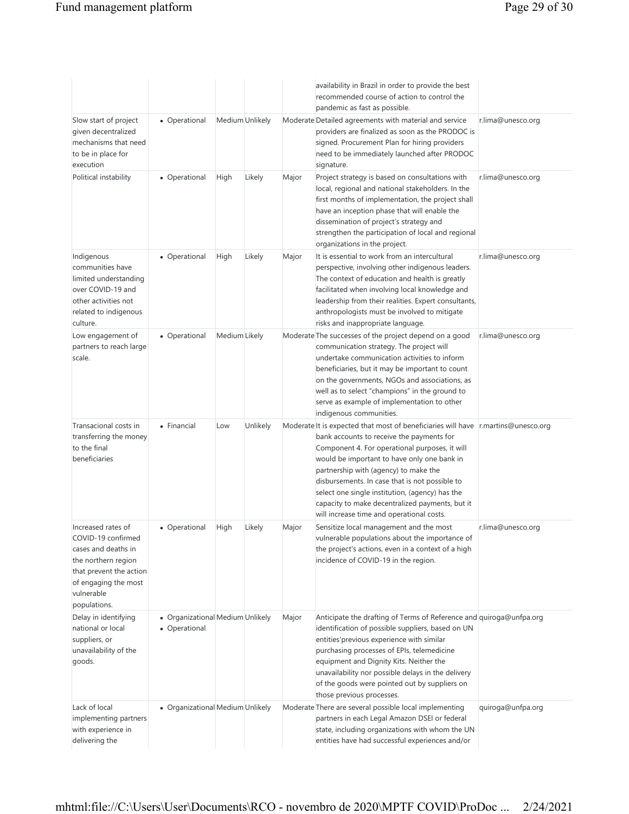|                                                                                                                                                                         |                                                   |                 |          |       | availability in Brazil in order to provide the best<br>recommended course of action to control the<br>pandemic as fast as possible.                                                                                                                                                                                                                                                                                                                                           |                   |
|-------------------------------------------------------------------------------------------------------------------------------------------------------------------------|---------------------------------------------------|-----------------|----------|-------|-------------------------------------------------------------------------------------------------------------------------------------------------------------------------------------------------------------------------------------------------------------------------------------------------------------------------------------------------------------------------------------------------------------------------------------------------------------------------------|-------------------|
| Slow start of project<br>given decentralized<br>mechanisms that need<br>to be in place for<br>execution                                                                 | • Operational                                     | Medium Unlikely |          |       | Moderate Detailed agreements with material and service<br>providers are finalized as soon as the PRODOC is<br>signed. Procurement Plan for hiring providers<br>need to be immediately launched after PRODOC<br>signature.                                                                                                                                                                                                                                                     | r.lima@unesco.org |
| Political instability                                                                                                                                                   | • Operational                                     | High            | Likely   | Major | Project strategy is based on consultations with<br>local, regional and national stakeholders. In the<br>first months of implementation, the project shall<br>have an inception phase that will enable the<br>dissemination of project's strategy and<br>strengthen the participation of local and regional<br>organizations in the project.                                                                                                                                   | r.lima@unesco.org |
| Indigenous<br>communities have<br>limited understanding<br>over COVID-19 and<br>other activities not<br>related to indigenous<br>culture.                               | • Operational                                     | High            | Likely   | Major | It is essential to work from an intercultural<br>perspective, involving other indigenous leaders.<br>The context of education and health is greatly<br>facilitated when involving local knowledge and<br>leadership from their realities. Expert consultants,<br>anthropologists must be involved to mitigate<br>risks and inappropriate language.                                                                                                                            | r.lima@unesco.org |
| Low engagement of<br>partners to reach large<br>scale.                                                                                                                  | • Operational                                     | Medium Likely   |          |       | Moderate The successes of the project depend on a good<br>communication strategy. The project will<br>undertake communication activities to inform<br>beneficiaries, but it may be important to count<br>on the governments, NGOs and associations, as<br>well as to select "champions" in the ground to<br>serve as example of implementation to other<br>indigenous communities.                                                                                            | r.lima@unesco.org |
| Transacional costs in<br>transferring the money<br>to the final<br>beneficiaries                                                                                        | • Financial                                       | Low             | Unlikely |       | Moderate It is expected that most of beneficiaries will have r.martins@unesco.org<br>bank accounts to receive the payments for<br>Component 4. For operational purposes, it will<br>would be important to have only one bank in<br>partnership with (agency) to make the<br>disbursements. In case that is not possible to<br>select one single institution, (agency) has the<br>capacity to make decentralized payments, but it<br>will increase time and operational costs. |                   |
| Increased rates of<br>COVID-19 confirmed<br>cases and deaths in<br>the northern region<br>that prevent the action<br>of engaging the most<br>vulnerable<br>populations. | • Operational                                     | High            | Likely   | Major | Sensitize local management and the most<br>vulnerable populations about the importance of<br>the project's actions, even in a context of a high<br>incidence of COVID-19 in the region.                                                                                                                                                                                                                                                                                       | r.lima@unesco.org |
| Delay in identifying<br>national or local<br>suppliers, or<br>unavailability of the<br>goods.                                                                           | • Organizational Medium Unlikely<br>• Operational |                 |          | Major | Anticipate the drafting of Terms of Reference and quiroga@unfpa.org<br>identification of possible suppliers, based on UN<br>entities' previous experience with similar<br>purchasing processes of EPIs, telemedicine<br>equipment and Dignity Kits. Neither the<br>unavailability nor possible delays in the delivery<br>of the goods were pointed out by suppliers on<br>those previous processes.                                                                           |                   |
| Lack of local<br>implementing partners<br>with experience in<br>delivering the                                                                                          | • Organizational Medium Unlikely                  |                 |          |       | Moderate There are several possible local implementing<br>partners in each Legal Amazon DSEI or federal<br>state, including organizations with whom the UN<br>entities have had successful experiences and/or                                                                                                                                                                                                                                                                 | quiroga@unfpa.org |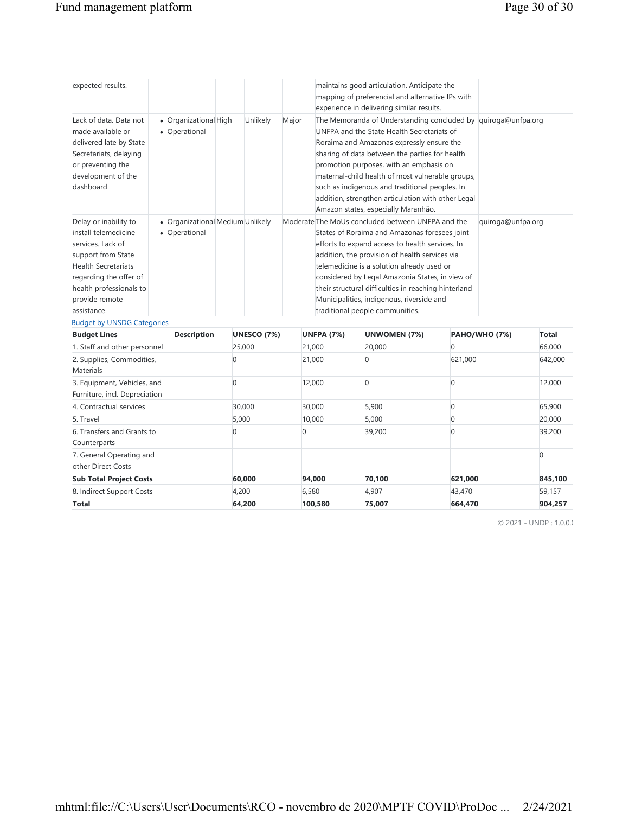6. Transfers and Grants to

7. General Operating and other Direct Costs

Counterparts

| expected results.                                                                                                                                                                                                                                 |                                         |                                                   |  |                             |        |                   | maintains good articulation. Anticipate the<br>mapping of preferencial and alternative IPs with<br>experience in delivering similar results.                                                                                                                                                                                                                                                                                                             |          |                      |              |
|---------------------------------------------------------------------------------------------------------------------------------------------------------------------------------------------------------------------------------------------------|-----------------------------------------|---------------------------------------------------|--|-----------------------------|--------|-------------------|----------------------------------------------------------------------------------------------------------------------------------------------------------------------------------------------------------------------------------------------------------------------------------------------------------------------------------------------------------------------------------------------------------------------------------------------------------|----------|----------------------|--------------|
| Lack of data. Data not<br>made available or<br>delivered late by State<br>Secretariats, delaying<br>or preventing the<br>development of the<br>dashboard.                                                                                         |                                         | • Organizational High<br>• Operational            |  | Unlikely                    | Major  |                   | The Memoranda of Understanding concluded by quiroga@unfpa.org<br>UNFPA and the State Health Secretariats of<br>Roraima and Amazonas expressly ensure the<br>sharing of data between the parties for health<br>promotion purposes, with an emphasis on<br>maternal-child health of most vulnerable groups,<br>such as indigenous and traditional peoples. In<br>addition, strengthen articulation with other Legal<br>Amazon states, especially Maranhão. |          |                      |              |
| Delay or inability to<br>install telemedicine<br>services. Lack of<br>support from State<br><b>Health Secretariats</b><br>regarding the offer of<br>health professionals to<br>provide remote<br>assistance.<br><b>Budget by UNSDG Categories</b> |                                         | • Organizational Medium Unlikely<br>• Operational |  |                             |        |                   | Moderate The MoUs concluded between UNFPA and the<br>States of Roraima and Amazonas foresees joint<br>efforts to expand access to health services. In<br>addition, the provision of health services via<br>telemedicine is a solution already used or<br>considered by Legal Amazonia States, in view of<br>their structural difficulties in reaching hinterland<br>Municipalities, indigenous, riverside and<br>traditional people communities.         |          | quiroga@unfpa.org    |              |
| <b>Budget Lines</b>                                                                                                                                                                                                                               |                                         | <b>Description</b>                                |  | <b>UNESCO (7%)</b>          |        | <b>UNFPA (7%)</b> | <b>UNWOMEN (7%)</b>                                                                                                                                                                                                                                                                                                                                                                                                                                      |          | <b>PAHO/WHO (7%)</b> | <b>Total</b> |
| 1. Staff and other personnel                                                                                                                                                                                                                      |                                         |                                                   |  | 25,000                      |        | 21.000            | 20,000                                                                                                                                                                                                                                                                                                                                                                                                                                                   | $\Omega$ |                      | 66,000       |
| 2. Supplies, Commodities,<br>Materials                                                                                                                                                                                                            | $\Omega$                                |                                                   |  |                             | 21,000 |                   | 0<br>621,000                                                                                                                                                                                                                                                                                                                                                                                                                                             |          |                      | 642,000      |
| Furniture, incl. Depreciation                                                                                                                                                                                                                     | 3. Equipment, Vehicles, and<br>$\Omega$ |                                                   |  | 12,000<br>0<br><sup>0</sup> |        |                   |                                                                                                                                                                                                                                                                                                                                                                                                                                                          | 12,000   |                      |              |
| 4. Contractual services                                                                                                                                                                                                                           |                                         |                                                   |  | 30.000                      |        | 30,000            | 5.900                                                                                                                                                                                                                                                                                                                                                                                                                                                    | $\Omega$ |                      | 65.900       |

5. Travel 5,000 10,000 5,000 0 20,000

**Sub Total Project Costs 60,000 94,000 70,100 621,000 845,100** 8. Indirect Support Costs 4,200 4,200 6,580 4,907 43,470 59,157 **Total 64,200 100,580 75,007 664,470 904,257**

0 39,200 0 39,200

© 2021 - UNDP: 1.0.0.0

0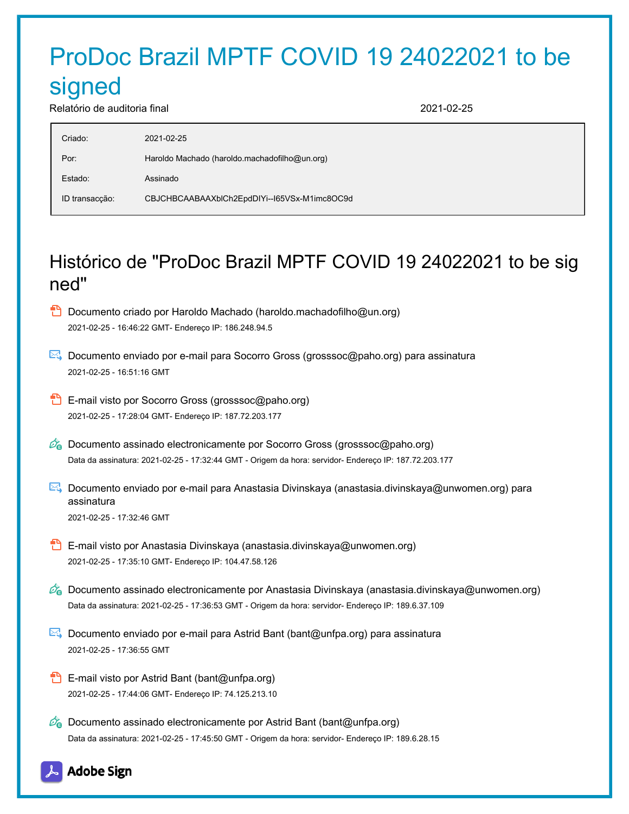# ProDoc Brazil MPTF COVID 19 24022021 to be

## signed

Relatório de auditoria final 2021-02-25

| Criado:        | 2021-02-25                                    |
|----------------|-----------------------------------------------|
| Por:           | Haroldo Machado (haroldo machadofilho@un.org) |
| Estado:        | Assinado                                      |
| ID transacção: | CBJCHBCAABAAXblCh2EpdDIYi--165VSx-M1imc8OC9d  |
|                |                                               |

## Histórico de "ProDoc Brazil MPTF COVID 19 24022021 to be sig ned"

- **D** Documento criado por Haroldo Machado (haroldo.machadofilho@un.org) 2021-02-25 - 16:46:22 GMT- Endereço IP: 186.248.94.5
- Documento enviado por e-mail para Socorro Gross (grosssoc@paho.org) para assinatura 2021-02-25 - 16:51:16 GMT
- **E**-mail visto por Socorro Gross (grosssoc@paho.org) 2021-02-25 - 17:28:04 GMT- Endereço IP: 187.72.203.177
- $\mathscr{O}_\bullet$  Documento assinado electronicamente por Socorro Gross (grosssoc@paho.org) Data da assinatura: 2021-02-25 - 17:32:44 GMT - Origem da hora: servidor- Endereço IP: 187.72.203.177
- **Documento enviado por e-mail para Anastasia Divinskaya (anastasia.divinskaya@unwomen.org) para** assinatura 2021-02-25 - 17:32:46 GMT
- **B** E-mail visto por Anastasia Divinskaya (anastasia.divinskaya@unwomen.org) 2021-02-25 - 17:35:10 GMT- Endereço IP: 104.47.58.126
- $\mathscr{O}_\bullet$  Documento assinado electronicamente por Anastasia Divinskaya (anastasia.divinskaya@unwomen.org) Data da assinatura: 2021-02-25 - 17:36:53 GMT - Origem da hora: servidor- Endereço IP: 189.6.37.109
- Documento enviado por e-mail para Astrid Bant (bant@unfpa.org) para assinatura 2021-02-25 - 17:36:55 GMT
- **E**-mail visto por Astrid Bant (bant@unfpa.org) 2021-02-25 - 17:44:06 GMT- Endereço IP: 74.125.213.10
- $\mathscr{O}_0$  Documento assinado electronicamente por Astrid Bant (bant@unfpa.org) Data da assinatura: 2021-02-25 - 17:45:50 GMT - Origem da hora: servidor- Endereço IP: 189.6.28.15

## **Adobe Sign**